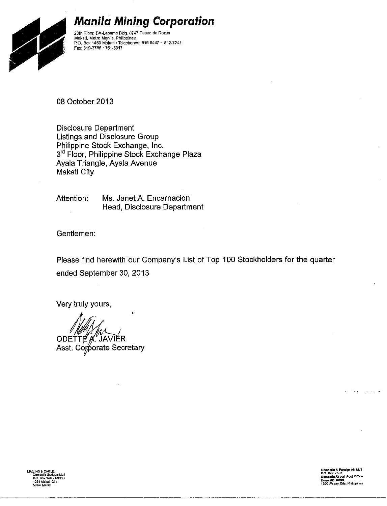

### **Manila Mining Corporation**

20th Floor, BA-Lepanto Bldg. 8747 Paseo de Roxas<br>Makati, Metro Manila, Philippines<br>P.O. Box 1460 Makati • Telephones: 815-9447 • 812-7241<br>Env. 819 3796 - 754 0247 Fax: 819-3786 - 751-6317

08 October 2013

**Disclosure Department** Listings and Disclosure Group Philippine Stock Exchange, Inc. 3rd Floor, Philippine Stock Exchange Plaza Ayala Triangle, Ayala Avenue **Makati City** 

Ms. Janet A. Encarnacion Attention: Head, Disclosure Department

Gentlemen:

Please find herewith our Company's List of Top 100 Stockholders for the quarter ended September 30, 2013

Very truly yours,

ODETTE A JAVIER Asst. Comporate Secretary

AA(LING & CABLE:<br>Domestic Surface Mall<br>P.O. Box 1460, MCPO<br>1254 Makali City elro Manifa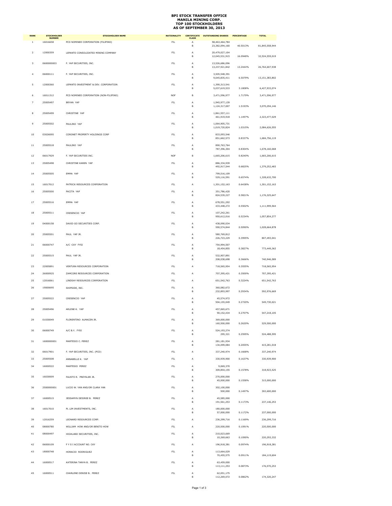## **BPI STOCK TRANSFER OFFICE MANILA MINING CORP. TOP 100 STOCKHOLDERS AS OF SEPTEMBER 30, 2013**

| <b>RANK</b>    | <b>STOCKHOLDER</b><br><b>NUMBER</b> | <b>STOCKHOLDER NAME</b>                | <b>NATIONALITY</b> | <b>CLASS</b> | <b>CERTIFICATE OUTSTANDING SHARES</b> | <b>PERCENTAGE</b> | <b>TOTAL</b>   |
|----------------|-------------------------------------|----------------------------------------|--------------------|--------------|---------------------------------------|-------------------|----------------|
| 1              | 16016658                            | PCD NOMINEE CORPORATION (FILIPINO)     | FIL.               | Α<br>B       | 58,463,464,784<br>23,382,094,160      | 40.5013%          | 81,845,558,944 |
| $\overline{2}$ | 12000359                            | LEPANTO CONSOLIDATED MINING COMPANY    | FIL                | Α<br>B       | 20,479,027,104<br>12,045,531,915      | 16.0948%          | 32,524,559,019 |
| 3              | 0600000003                          | F. YAP SECURITIES, INC.                | <b>FIL</b>         | A<br>B       | 13,526,686,096<br>13,237,921,842      | 13.2444%          | 26,764,607,938 |
| 4              | 06000111                            | F. YAP SECURITIES, INC.                | FIL                | Α<br>B       | 3,505,548,391<br>9,645,835,411        | 6.5079%           | 13,151,383,802 |
| 5              | 12000360                            | LEPANTO INVESTMENT & DEV. CORPORATION  | FIL                | А<br>B       | 1,390,313,541<br>5,037,619,533        | 3.1808%           | 6,427,933,074  |
| 6              | 16011312                            | PCD NOMINEE CORPORATION (NON-FILIPINO) | <b>NOF</b>         | $\sf B$      | 3,471,596,977                         | 1.7179%           | 3,471,596,977  |
| $\overline{7}$ | 25005497                            | BRYAN YAP                              | FIL                | Α<br>B       | 1,945,977,139<br>1,124,317,007        | 1.5193%           | 3,070,294,146  |
| 8              | 25005499                            | CHRISTINE YAP                          | FIL                | A<br>B       | 1,861,557,111<br>461,919,918          | 1.1497%           | 2,323,477,029  |
| 9              | 25005502                            | PAULINO YAP                            | FIL                | Α<br>B       | 1,064,905,731<br>1,019,720,824        | 1.0315%           | 2,084,626,555  |
| $10\,$         | 03026095                            | CORONET PROPERTY HOLDINGS CORP         | FIL                | А<br>B       | 833,093,546<br>851,662,573            | 0.8337%           | 1,684,756,119  |
| $11\,$         | 25005518                            | PAULINO YAP                            | FIL                | А<br>B       | 890,763,764<br>787,396,304            | 0.8304%           | 1,678,160,068  |
| $12\,$         | 06017929                            | F. YAP SECURITIES INC.                 | <b>NOF</b>         | $\sf B$      | 1,665,206,615                         | 0.8240%           | 1,665,206,615  |
| 13             | 25005498                            | CHRISTINE KAREN YAP                    | FIL                | A<br>B       | 886,334,939<br>492,917,544            | 0.6825%           | 1,379,252,483  |
| $14\,$         | 25005505                            | EMMA YAP                               | FIL                | Α<br>B       | 799,516,109<br>529,116,591            | 0.6574%           | 1,328,632,700  |
| 15             | 16017012                            | PATRICK RESOURCES CORPORATION          | FIL                | А            | 1,301,152,163                         | 0.6438%           | 1,301,152,163  |
| 16             | 25005500                            | PACITA YAP                             | FIL.               | A<br>B       | 351,786,420<br>824,539,227            | 0.5821%           |                |
| 17             | 25005516                            | EMMA YAP                               | FIL                | Α            | 678,551,292                           |                   | 1,176,325,647  |
| $18\,$         | 25005511                            | CRESENCIO YAP                          | FIL                | B<br>А       | 433,448,272<br>107,242,261            | 0.5502%           | 1,111,999,564  |
| 19             | 04000158                            | DAVID GO SECURITIES CORP.              | FIL                | B<br>Α       | 950,612,016<br>438,090,034            | 0.5234%           | 1,057,854,277  |
|                |                                     |                                        |                    | B            | 590,574,844                           | 0.5090%           | 1,028,664,878  |
| 20             | 25005501                            | PAUL YAP JR.                           | FIL                | А<br>B       | 580,769,812<br>226,723,229            | 0.3995%           | 807,493,041    |
| $_{\rm 21}$    | 06000747                            | A/C -CKY FYSI                          | FIL                | А<br>B       | 754,994,507<br>18,454,855             | 0.3827%           | 773,449,362    |
| 22             | 25005515                            | PAUL YAP JR.                           | FL                 | A<br>B       | 532,907,891<br>208,038,698            | 0.3666%           | 740,946,589    |
| 23             | 22005891                            | VENTURA RESOURCES CORPORATION          | FL                 | A            | 718,565,954                           | 0.3555%           | 718,565,954    |
| 24             | 26000925                            | ZAMCORE RESOURCES CORPORATION          | FIL                | А            | 707,395,421                           | 0.3500%           | 707,395,421    |
| 25             | 12016061                            | LINDSAY RESOURCES CORPORATION          | FIL.               | A            | 651, 542, 763                         | 0.3224%           | 651, 542, 763  |
| 26             | 19000695                            | SHIPSIDE, INC.                         | FIL                | А<br>B       | 360,082,672<br>232,893,997            | 0.2934%           | 592,976,669    |
| 27             | 25005522                            | CRESENCIO YAP                          | FIL                | А<br>B       | 45,574,972<br>504,155,049             | 0.2720%           | 549,730,021    |
| 28             | 25005496                            | ARLENE K. YAP                          | FIL                | A<br>B       | 457,065,671<br>90,152,434             | 0.2707%           | 547,218,105    |
| 29             | 01030049                            | FLORENTINO ALMACEN JR.                 | FIL                | А<br>B       | 369,000,000<br>160,500,000            | 0.2620%           | 529,500,000    |
| 30             | 06000749                            | A/C B.Y. FYSI                          | FIL.               | А<br>B       | 524,193,274<br>295,321                | 0.2595%           | 524,488,595    |
| 31             | 1600000001                          | MARTESIO C. PEREZ                      | FIL.               | Α<br>B       | 281,181,934<br>134,099,084            | 0.2055%           | 415,281,018    |
| 32             | 06017901                            | F. YAP SECURITIES, INC. (PCD)          | FIL.               | A            | 337,240,974                           | 0.1668%           | 337,240,974    |
| 33             | 25005508                            | ANNABELLE K. YAP                       | ${\sf FIL}$        | А            | 330,939,900                           | 0.1637%           | 330,939,900    |
| 34             | 16000522                            | MARTESIO PEREZ                         | FIL.               | A<br>B       | 9,069,370<br>309,854,155              | 0.1578%           | 318,923,525    |
| 35             | 16030009                            | FAUSTO R. PREYSLER JR.                 | ${\sf FIL}$        | А<br>B       | 270,000,000<br>45,000,000             | 0.1558%           | 315,000,000    |
| 36             | 2500000001                          | LUCIO W. YAN AND/OR CLARA YAN          | ${\sf FIL}$        | А<br>B       | 302,100,000<br>500,000                | 0.1497%           | 302,600,000    |
| 37             | 16000515                            | JESSAMYN DESIREE B. PEREZ              | ${\sf FIL}$        | Α<br>B       | 45,585,000<br>191,561,253             | 0.1173%           | 237, 146, 253  |
| 38             | 16017010                            | PL LIM INVESTMENTS, INC.               | ${\sf FIL}$        | А<br>B       | 180,000,000<br>57,000,000             | 0.1172%           | 237,000,000    |
| 39             | 12016259                            | LEONARD RESOURCES CORP.                | FIL                | A            | 236,299,716                           | 0.1169%           | 236,299,716    |
| 40             | 08000780                            | WILLIAM HOW AND/OR BENITO HOW          | FIL                | А            | 220,500,000                           | 0.1091%           | 220,500,000    |
| 41             | 08000497                            | HIGHLAND SECURITIES, INC.              | FIL.               | A<br>B       | 210,023,669<br>10,269,663             | 0.1090%           | 220,293,332    |
| 42             | 06000109                            | F Y S I ACCOUNT NO. CKY                | FIL                | A            | 196,918,381                           | 0.0974%           | 196,918,381    |
| 43             | 18000748                            | HORACIO RODRIGUEZ                      | FIL                | А<br>B       | 113,664,029<br>70,455,575             | 0.0911%           | 184,119,604    |
| 44             | 16000517                            | KATERINA TANYA B. PEREZ                | ${\sf FIL}$        | А<br>B       | 63,459,000<br>113,111,253             | 0.0873%           | 176,570,253    |
| 45             | 16000511                            | CHARLENE DENISE B. PEREZ               | FIL                | А<br>В       | 62,051,175<br>112,269,072             | 0.0862%           | 174,320,247    |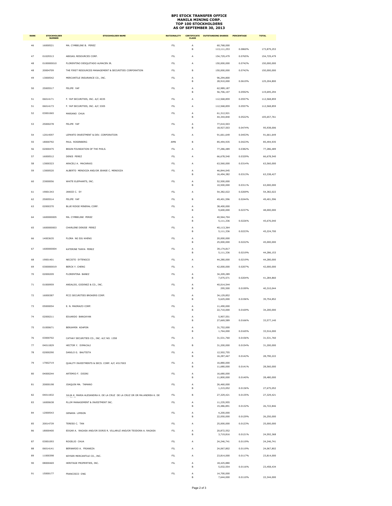## **BPI STOCK TRANSFER OFFICE MANILA MINING CORP. TOP 100 STOCKHOLDERS AS OF SEPTEMBER 30, 2013**

| <b>RANK</b> | <b>STOCKHOLDER</b><br><b>NUMBER</b> | <b>STOCKHOLDER NAME</b>                                                 | <b>NATIONALITY</b> | <b>CERTIFICATE</b><br><b>CLASS</b> | <b>OUTSTANDING SHARES</b> | <b>PERCENTAGE</b>  | <b>TOTAL</b>             |
|-------------|-------------------------------------|-------------------------------------------------------------------------|--------------------|------------------------------------|---------------------------|--------------------|--------------------------|
| 46          | 16000521                            | MA. CYMBELINE B. PEREZ                                                  | FIL                | А<br>В                             | 60,768,000<br>113,111,253 | 0.0860%            | 173,879,253              |
| 47          | 01029313                            | ABIGAIL RESOURCES CORP.                                                 | FIL                | А                                  | 154,729,479               | 0.0765%            | 154,729,479              |
| 48          | 0100000010                          | FLORENTINO DESQUITADO ALMACEN JR.                                       | FIL                | Α                                  | 150,000,000               | 0.0742%            | 150,000,000              |
| 48          | 20004709                            | THE FIRST RESOURCES MANAGEMENT & SECURITIES CORPORATION                 | FIL                | B                                  | 150,000,000               | 0.0742%            | 150,000,000              |
| 49          | 13000542                            | MERCANTILE INSURANCE CO., INC.                                          | FIL                | Α<br>В                             | 96,294,800<br>28,910,000  | 0.0619%            | 125,204,800              |
| 50          | 25005517                            | FELIPE YAP                                                              | FIL.               | A<br>В                             | 62,989,187<br>56,706,107  | 0.0592%            | 119,695,294              |
| 51          | 06014171                            | F. YAP SECURITIES, INC. A/C 4035                                        | FIL.               | A                                  | 112,568,859               | 0.0557%            | 112,568,859              |
| 51          | 06014173                            | F. YAP SECURITIES, INC. A/C 3305                                        | FIL                | Α                                  | 112,568,859               | 0.0557%            | 112,568,859              |
| 52          | 03001065                            | MARIANO CHUA                                                            | <b>FIL</b>         | A                                  | 61,312,921                |                    |                          |
| 53          | 25000278                            | FELIPE YAP                                                              | FIL                | B<br>А                             | 44,344,840<br>77,010,503  | 0.0522%            | 105,657,761              |
|             |                                     |                                                                         |                    | B                                  | 18,927,503                | 0.0474%            | 95,938,006               |
| 54          | 12014597                            | LEPANTO INVESTMENT & DEV. CORPORATION                                   | FIL                | А                                  | 91,661,649                | 0.0453%            | 91,661,649               |
| 55          | 18000792                            | PAUL ROSENBERG                                                          | AMN                | В                                  | 85,494,935                | 0.0423%            | 85,494,935               |
| 56          | 02000475                            | BRAIN FOUNDATION OF THE PHILS.                                          | FIL                | А                                  | 77,286,489                | 0.0382%            | 77,286,489               |
| 57          | 16000512                            | DENIS PEREZ                                                             | FIL                | Α                                  | 66,678,540                | 0.0329%            | 66,678,540               |
| 58          | 13000323                            | ARACELI A. MACARAIG<br>ALBERTO MENDOZA AND/OR JEANIE C. MENDOZA         | FIL                | А                                  | 63,560,000                | 0.0314%            | 63,560,000               |
| 59          | 13000520                            |                                                                         | FIL                | Α<br>В                             | 46,844,045<br>16,494,382  | 0.0313%            | 63,338,427               |
| 60          | 23000056                            | WHITE ELEPHANTS, INC.                                                   | FIL.               | A<br>В                             | 52,500,000<br>10,500,000  | 0.0311%            | 63,000,000               |
| 61          | 19001343                            | JANICE C. SY                                                            | FIL.               | A                                  | 54,382,022                | 0.0269%            | 54,382,022               |
| 62          | 25005514                            | FELIPE YAP                                                              | FIL                | В                                  | 49,401,596                | 0.0244%            | 49,401,596               |
| 63          | 02000370                            | BLUE RIDGE MINERAL CORP.                                                | <b>FIL</b>         | A                                  | 38,400,000                |                    |                          |
|             |                                     |                                                                         |                    | B                                  | 9,600,000                 | 0.0237%            | 48,000,000               |
| 64          | 1600000005                          | MA. CYMBELINE PEREZ                                                     | FIL                | А<br>B                             | 40,564,704<br>5,111,336   | 0.0226%            | 45,676,040               |
| 65          | 1600000003                          | CHARLENE DENISE PEREZ                                                   | FIL                | А<br>в                             | 40,113,364<br>5,111,336   | 0.0223%            | 45,224,700               |
| 66          | 14003635                            | FLORA NG SIU KHENG                                                      | FIL                | А<br>B                             | 20,000,000<br>25,000,000  | 0.0222%            | 45,000,000               |
| 67          | 1600000004                          | KATERINE TANYA PEREZ                                                    | FIL                | А                                  | 39,174,817                |                    |                          |
| 68          | 19001401                            | NECISTO SYTENGCO                                                        | FIL                | В<br>Α                             | 5,111,336<br>44,280,000   | 0.0219%<br>0.0219% | 44,286,153<br>44,280,000 |
| 69          | 0300000019                          | <b>BERCK Y. CHENG</b>                                                   | FIL                | А                                  |                           | 0.0207%            | 42,000,000               |
| 70          | 02000209                            | FLORENTINA BANEZ                                                        | FIL                | Α                                  | 42,000,000<br>34,209,289  |                    |                          |
|             |                                     |                                                                         |                    | В                                  | 7,075,571                 | 0.0204%            | 41,284,860               |
| $71\,$      | 01000959                            | ANSALDO, GODINEZ & CO., INC.                                            | FIL                | Α<br>В                             | 40,014,544<br>295,500     | 0.0199%            | 40,310,044               |
| 72          | 16000387                            | PCCI SECURITIES BROKERS CORP.                                           | FIL.               | A<br>В                             | 34,129,852<br>5,625,000   | 0.0196%            | 39,754,852               |
| 73          | 05000054                            | E. N. MADRAZO CORP.                                                     | FIL.               | A<br>B                             | 11,490,000<br>22,710,000  | 0.0169%            | 34,200,000               |
| 74          | 02000211                            | EDUARDO BANGAYAN                                                        | <b>FIL</b>         | А<br>B                             | 5,907,551<br>27,669,589   | 0.0166%            | 33,577,140               |
| 75          | 01000671                            | BENJAMIN ADAPON                                                         | FIL                | Α<br>B                             | 31,752,000<br>1,764,000   | 0.0165%            | 33,516,000               |
| 76          | 03000702                            | CATHAY SECURITIES CO., INC. A/C NO. 1358                                | FIL                | А                                  | 31,531,760                | 0.0156%            | 31,531,760               |
| 77          | 04011829                            | HECTOR Y. DIMACALI                                                      | <b>FIL</b>         | B                                  | 31,200,000                | 0.0154%            | 31,200,000               |
| 78          | 02000290                            | DANILO G. BAUTISTA                                                      | FIL                | Α<br>в                             | 12,502,755<br>16,287,467  | 0.0142%            | 28,790,222               |
| 79          | 17002719                            | QUALITY INVESTMENTS & SECS. CORP. A/C #017003                           | FIL                | Α<br>В                             | 16,880,000<br>11,680,000  | 0.0141%            | 28,560,000               |
| 80          | 04000244                            | ARTEMIO F. DISINI                                                       | FIL                | Α<br>В                             | 16,680,000<br>11,800,000  | 0.0140%            | 28,480,000               |
| $^{\rm 81}$ | 20000198                            | JOAQUIN MA. TAMANO                                                      | FIL                | Α<br>В                             | 26,460,000<br>1,215,052   | 0.0136%            | 27,675,052               |
| 82          | 04011832                            | JULIA K. MARIA ALESANDRA K. DE LA CRUZ DE LA CRUZ OR OR MA.ANDREA K. DE | FIL.               | B                                  | 27,329,421                | 0.0135%            | 27,329,421               |
| 83          | 16000638                            | PLLIM MANAGEMENT & INVESTMENT INC.                                      | FIL                | Α<br>в                             | 11,235,955                | 0.0132%            |                          |
| 84          | 12000543                            | GENARA LIMSON                                                           | FIL                | Α                                  | 15,486,891<br>4,200,000   |                    | 26,722,846               |
|             |                                     |                                                                         |                    | В                                  | 22,050,000                | 0.0129%            | 26,250,000               |
| 85          | 20014739                            | TERESO C. TAN                                                           | FIL                | Α                                  | 25,000,000                | 0.0123%            | 25,000,000               |
| 86          | 18000400                            | EDGAR A. RAGASA AND/OR DORIS R. VILLARUZ AND/OR TEODORA A. RAGASA       | FIL                | А<br>B                             | 20,872,552<br>3,719,816   | 0.0121%            | 24,592,368               |
| 87          | 03001093                            | ROGELIO CHUA                                                            | FIL                | А                                  | 24, 246, 741              | 0.0119%            | 24,246,741               |
| 88          | 06014141                            | BERNARDO A. FRIANEZA                                                    | <b>FIL</b>         | A                                  | 24,067,802                | 0.0119%            | 24,067,802               |
| 89          | 11000398                            | KEYSER MERCANTILE CO., INC.                                             | FIL                | А                                  | 23,814,000                | 0.0117%            | 23,814,000               |
| 90          | 08000469                            | HERITAGE PROPERTIES, INC.                                               | FIL                | Α<br>В                             | 18,425,880<br>5,032,554   | 0.0116%            | 23,458,434               |
| 91          | 15000177                            | FRANCISCO ONG                                                           | FIL.               | A<br>В                             | 14,700,000<br>7,644,000   | 0.0110%            | 22,344,000               |
|             |                                     |                                                                         |                    |                                    |                           |                    |                          |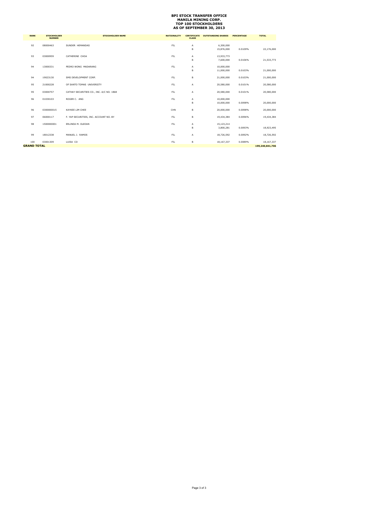# **BPI STOCK TRANSFER OFFICE MANILA MINING CORP. TOP 100 STOCKHOLDERS AS OF SEPTEMBER 30, 2013**

| <b>RANK</b>        | <b>STOCKHOLDER</b><br><b>NUMBER</b> | <b>STOCKHOLDER NAME</b>                  | <b>NATIONALITY</b> | <b>CERTIFICATE</b><br><b>CLASS</b> | <b>OUTSTANDING SHARES</b> | <b>PERCENTAGE</b> | <b>TOTAL</b>    |
|--------------------|-------------------------------------|------------------------------------------|--------------------|------------------------------------|---------------------------|-------------------|-----------------|
| 92                 | 08000463                            | SUNDER HEMANDAS                          | FIL.               | А                                  | 6,300,000                 |                   |                 |
|                    |                                     |                                          |                    | B                                  | 15,876,000                | 0.0109%           | 22,176,000      |
| 93                 | 03000959                            | CATHERINE CHOA                           | FIL                | A                                  | 13,933,773                |                   |                 |
|                    |                                     |                                          |                    | B                                  | 7,600,000                 | 0.0106%           | 21,533,773      |
| 94                 | 13000331                            | PEDRO WONG MADARANG                      | FIL                | A                                  | 10,000,000                |                   |                 |
|                    |                                     |                                          |                    | B                                  | 11,000,000                | 0.0103%           | 21,000,000      |
| 94                 | 19023130                            | SMS DEVELOPMENT CORP.                    | FIL                | B                                  | 21,000,000                | 0.0103%           | 21,000,000      |
| 95                 | 21000228                            | OF SANTO TOMAS UNIVERSITY                | FIL                | А                                  | 20,580,000                | 0.0101%           | 20,580,000      |
| 95                 | 03000757                            | CATHAY SECURITIES CO., INC. A/C NO. 1868 | FIL                | А                                  | 20,580,000                | 0.0101%           | 20,580,000      |
| 96                 | 01030103                            | ROGER C. ANG                             | FIL                | A                                  | 10,000,000                |                   |                 |
|                    |                                     |                                          |                    | B                                  | 10,000,000                | 0.0098%           | 20,000,000      |
| 96                 | 0300000015                          | KAYKEE LIM CHEE                          | CHN                | B                                  | 20,000,000                | 0.0098%           | 20,000,000      |
| 97                 | 06000117                            | F. YAP SECURITIES, INC. ACCOUNT NO. BY   | FIL                | B                                  | 19,434,384                | 0.0096%           | 19,434,384      |
| 98                 | 1500000001                          | ERLINDA M. OLEDAN                        | FIL                | А                                  | 15,123,214                |                   |                 |
|                    |                                     |                                          |                    | B                                  | 3,800,281                 | 0.0093%           | 18,923,495      |
| 99                 | 18012338                            | MANUEL J. RAMOS                          | FIL                | A                                  | 18,726,592                | 0.0092%           | 18,726,592      |
| 100                | 03001309                            | LUISA CO                                 | FIL                | B                                  | 18,167,337                | 0.0089%           | 18,167,337      |
| <b>GRAND TOTAL</b> |                                     |                                          |                    |                                    |                           |                   | 199,240,841,706 |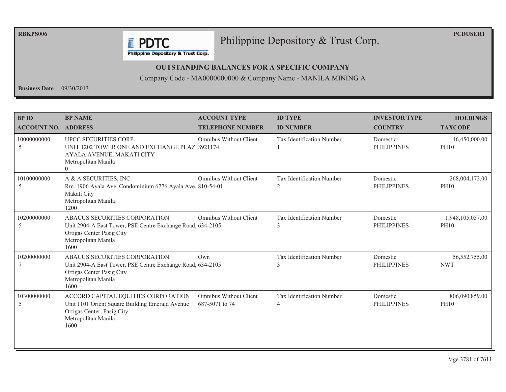**RBKPS006** 

**PCDUSER1** 

## Philippine Depository & Trust Corp.

Philippine Depository & Trust Corp.

**F** PDTC

#### **OUTSTANDING BALANCES FOR A SPECIFIC COMPANY**

Company Code - MA0000000000 & Company Name - MANILA MINING A

**Business Date**  $09/30/2013$ 

| <b>BP ID</b><br><b>ACCOUNT NO. ADDRESS</b> | <b>BP NAME</b>                                                                                                                                          | <b>ACCOUNT TYPE</b><br><b>TELEPHONE NUMBER</b> | <b>ID TYPE</b><br><b>ID NUMBER</b>         | <b>INVESTOR TYPE</b><br><b>COUNTRY</b> | <b>HOLDINGS</b><br><b>TAXCODE</b> |
|--------------------------------------------|---------------------------------------------------------------------------------------------------------------------------------------------------------|------------------------------------------------|--------------------------------------------|----------------------------------------|-----------------------------------|
| 10000000000<br>5                           | UPCC SECURITIES CORP.<br>UNIT 1202 TOWER ONE AND EXCHANGE PLAZ 8921174<br>AYALA AVENUE, MAKATI CITY<br>Metropolitan Manila<br>$\Omega$                  | <b>Omnibus Without Client</b>                  | Tax Identification Number                  | Domestic<br><b>PHILIPPINES</b>         | 46,450,000.00<br><b>PH10</b>      |
| 10100000000<br>5                           | A & A SECURITIES, INC.<br>Rm. 1906 Ayala Ave. Condominium 6776 Ayala Ave. 810-54-01<br>Makati City<br>Metropolitan Manila<br>1200                       | <b>Omnibus Without Client</b>                  | Tax Identification Number<br>2             | Domestic<br><b>PHILIPPINES</b>         | 268,004,172.00<br><b>PH10</b>     |
| 10200000000<br>5                           | ABACUS SECURITIES CORPORATION<br>Unit 2904-A East Tower, PSE Centre Exchange Road. 634-2105<br>Ortigas Center Pasig City<br>Metropolitan Manila<br>1600 | <b>Omnibus Without Client</b>                  | Tax Identification Number<br>$\mathcal{E}$ | Domestic<br><b>PHILIPPINES</b>         | 1,948,105,057.00<br><b>PH10</b>   |
| 10200000000                                | ABACUS SECURITIES CORPORATION<br>Unit 2904-A East Tower, PSE Centre Exchange Road 634-2105<br>Ortigas Center Pasig City<br>Metropolitan Manila<br>1600  | Own                                            | Tax Identification Number                  | Domestic<br><b>PHILIPPINES</b>         | 56, 552, 755.00<br><b>NWT</b>     |
| 10300000000<br>5                           | ACCORD CAPITAL EQUITIES CORPORATION<br>Unit 1101 Orient Square Building Emerald Avenue<br>Ortigas Center, Pasig City<br>Metropolitan Manila<br>1600     | Omnibus Without Client<br>687-5071 to 74       | Tax Identification Number<br>4             | Domestic<br><b>PHILIPPINES</b>         | 806,090,859.00<br><b>PH10</b>     |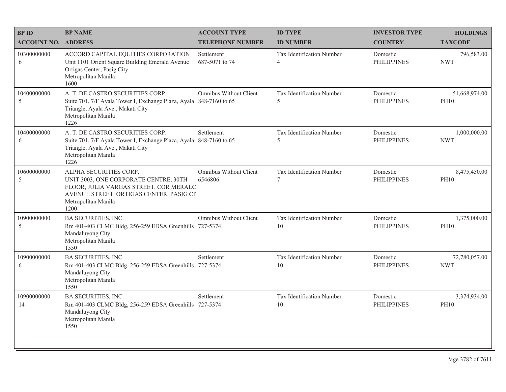| <b>BP ID</b>               | <b>BP NAME</b>                                                                                                                                                                      | <b>ACCOUNT TYPE</b>               | <b>ID TYPE</b>                      | <b>INVESTOR TYPE</b>           | <b>HOLDINGS</b>              |
|----------------------------|-------------------------------------------------------------------------------------------------------------------------------------------------------------------------------------|-----------------------------------|-------------------------------------|--------------------------------|------------------------------|
| <b>ACCOUNT NO. ADDRESS</b> |                                                                                                                                                                                     | <b>TELEPHONE NUMBER</b>           | <b>ID NUMBER</b>                    | <b>COUNTRY</b>                 | <b>TAXCODE</b>               |
| 10300000000<br>6           | ACCORD CAPITAL EQUITIES CORPORATION<br>Unit 1101 Orient Square Building Emerald Avenue<br>Ortigas Center, Pasig City<br>Metropolitan Manila<br>1600                                 | Settlement<br>687-5071 to 74      | Tax Identification Number<br>4      | Domestic<br><b>PHILIPPINES</b> | 796,583.00<br><b>NWT</b>     |
| 10400000000<br>5           | A. T. DE CASTRO SECURITIES CORP.<br>Suite 701, 7/F Ayala Tower I, Exchange Plaza, Ayala 848-7160 to 65<br>Triangle, Ayala Ave., Makati City<br>Metropolitan Manila<br>1226          | Omnibus Without Client            | Tax Identification Number<br>5      | Domestic<br><b>PHILIPPINES</b> | 51,668,974.00<br><b>PH10</b> |
| 10400000000<br>6           | A. T. DE CASTRO SECURITIES CORP.<br>Suite 701, 7/F Ayala Tower I, Exchange Plaza, Ayala 848-7160 to 65<br>Triangle, Ayala Ave., Makati City<br>Metropolitan Manila<br>1226          | Settlement                        | Tax Identification Number<br>5      | Domestic<br><b>PHILIPPINES</b> | 1,000,000.00<br><b>NWT</b>   |
| 10600000000<br>5           | ALPHA SECURITIES CORP.<br>UNIT 3003, ONE CORPORATE CENTRE, 30TH<br>FLOOR, JULIA VARGAS STREET, COR MERALC<br>AVENUE STREET, ORTIGAS CENTER, PASIG CI<br>Metropolitan Manila<br>1200 | Omnibus Without Client<br>6546806 | Tax Identification Number<br>$\tau$ | Domestic<br><b>PHILIPPINES</b> | 8,475,450.00<br><b>PH10</b>  |
| 10900000000<br>5           | <b>BA SECURITIES, INC.</b><br>Rm 401-403 CLMC Bldg, 256-259 EDSA Greenhills 727-5374<br>Mandaluyong City<br>Metropolitan Manila<br>1550                                             | Omnibus Without Client            | Tax Identification Number<br>10     | Domestic<br><b>PHILIPPINES</b> | 1,375,000.00<br><b>PH10</b>  |
| 10900000000<br>6           | BA SECURITIES, INC.<br>Rm 401-403 CLMC Bldg, 256-259 EDSA Greenhills 727-5374<br>Mandaluyong City<br>Metropolitan Manila<br>1550                                                    | Settlement                        | Tax Identification Number<br>10     | Domestic<br><b>PHILIPPINES</b> | 72,780,057.00<br><b>NWT</b>  |
| 10900000000<br>14          | <b>BA SECURITIES, INC.</b><br>Rm 401-403 CLMC Bldg, 256-259 EDSA Greenhills 727-5374<br>Mandaluyong City<br>Metropolitan Manila<br>1550                                             | Settlement                        | Tax Identification Number<br>10     | Domestic<br><b>PHILIPPINES</b> | 3,374,934.00<br><b>PH10</b>  |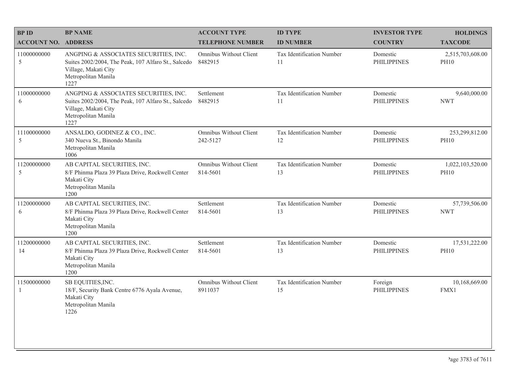| <b>BP NAME</b>                                                                                                                                      | <b>ACCOUNT TYPE</b>                       | <b>ID TYPE</b>                  | <b>INVESTOR TYPE</b>           | <b>HOLDINGS</b>                 |
|-----------------------------------------------------------------------------------------------------------------------------------------------------|-------------------------------------------|---------------------------------|--------------------------------|---------------------------------|
|                                                                                                                                                     | <b>TELEPHONE NUMBER</b>                   | <b>ID NUMBER</b>                | <b>COUNTRY</b>                 | <b>TAXCODE</b>                  |
| ANGPING & ASSOCIATES SECURITIES, INC.<br>Suites 2002/2004, The Peak, 107 Alfaro St., Salcedo<br>Village, Makati City<br>Metropolitan Manila<br>1227 | Omnibus Without Client<br>8482915         | Tax Identification Number<br>11 | Domestic<br><b>PHILIPPINES</b> | 2,515,703,608.00<br><b>PH10</b> |
| ANGPING & ASSOCIATES SECURITIES, INC.<br>Suites 2002/2004, The Peak, 107 Alfaro St., Salcedo<br>Village, Makati City<br>Metropolitan Manila<br>1227 | Settlement<br>8482915                     | Tax Identification Number<br>11 | Domestic<br><b>PHILIPPINES</b> | 9,640,000.00<br><b>NWT</b>      |
| ANSALDO, GODINEZ & CO., INC.<br>340 Nueva St., Binondo Manila<br>Metropolitan Manila<br>1006                                                        | <b>Omnibus Without Client</b><br>242-5127 | Tax Identification Number<br>12 | Domestic<br><b>PHILIPPINES</b> | 253,299,812.00<br><b>PH10</b>   |
| AB CAPITAL SECURITIES, INC.<br>8/F Phinma Plaza 39 Plaza Drive, Rockwell Center<br>Makati City<br>Metropolitan Manila<br>1200                       | Omnibus Without Client<br>814-5601        | Tax Identification Number<br>13 | Domestic<br><b>PHILIPPINES</b> | 1,022,103,520.00<br><b>PH10</b> |
| AB CAPITAL SECURITIES, INC.<br>8/F Phinma Plaza 39 Plaza Drive, Rockwell Center<br>Makati City<br>Metropolitan Manila<br>1200                       | Settlement<br>814-5601                    | Tax Identification Number<br>13 | Domestic<br><b>PHILIPPINES</b> | 57,739,506.00<br><b>NWT</b>     |
| AB CAPITAL SECURITIES, INC.<br>8/F Phinma Plaza 39 Plaza Drive, Rockwell Center<br>Makati City<br>Metropolitan Manila<br>1200                       | Settlement<br>814-5601                    | Tax Identification Number<br>13 | Domestic<br><b>PHILIPPINES</b> | 17,531,222.00<br><b>PH10</b>    |
| SB EQUITIES, INC.<br>18/F, Security Bank Centre 6776 Ayala Avenue,<br>Makati City<br>Metropolitan Manila<br>1226                                    | Omnibus Without Client<br>8911037         | Tax Identification Number<br>15 | Foreign<br><b>PHILIPPINES</b>  | 10,168,669.00<br>FMX1           |
|                                                                                                                                                     | <b>ACCOUNT NO. ADDRESS</b>                |                                 |                                |                                 |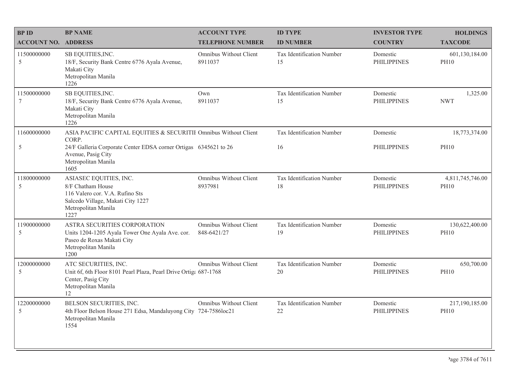| <b>BPID</b>                | <b>BP NAME</b>                                                                                                                                     | <b>ACCOUNT TYPE</b>                   | <b>ID TYPE</b>                  | <b>INVESTOR TYPE</b>           | <b>HOLDINGS</b>                 |
|----------------------------|----------------------------------------------------------------------------------------------------------------------------------------------------|---------------------------------------|---------------------------------|--------------------------------|---------------------------------|
| <b>ACCOUNT NO. ADDRESS</b> |                                                                                                                                                    | <b>TELEPHONE NUMBER</b>               | <b>ID NUMBER</b>                | <b>COUNTRY</b>                 | <b>TAXCODE</b>                  |
| 11500000000<br>5           | SB EQUITIES, INC.<br>18/F, Security Bank Centre 6776 Ayala Avenue,<br>Makati City<br>Metropolitan Manila<br>1226                                   | Omnibus Without Client<br>8911037     | Tax Identification Number<br>15 | Domestic<br><b>PHILIPPINES</b> | 601,130,184.00<br><b>PH10</b>   |
| 11500000000<br>$\tau$      | SB EQUITIES, INC.<br>18/F, Security Bank Centre 6776 Ayala Avenue,<br>Makati City<br>Metropolitan Manila<br>1226                                   | Own<br>8911037                        | Tax Identification Number<br>15 | Domestic<br><b>PHILIPPINES</b> | 1,325.00<br><b>NWT</b>          |
| 11600000000                | ASIA PACIFIC CAPITAL EQUITIES & SECURITII Omnibus Without Client<br>CORP.                                                                          |                                       | Tax Identification Number       | Domestic                       | 18,773,374.00                   |
| $\sqrt{5}$                 | 24/F Galleria Corporate Center EDSA corner Ortigas 6345621 to 26<br>Avenue, Pasig City<br>Metropolitan Manila<br>1605                              |                                       | 16                              | <b>PHILIPPINES</b>             | <b>PH10</b>                     |
| 11800000000<br>5           | ASIASEC EQUITIES, INC.<br>8/F Chatham House<br>116 Valero cor. V.A. Rufino Sts<br>Salcedo Village, Makati City 1227<br>Metropolitan Manila<br>1227 | Omnibus Without Client<br>8937981     | Tax Identification Number<br>18 | Domestic<br><b>PHILIPPINES</b> | 4,811,745,746.00<br><b>PH10</b> |
| 11900000000<br>$\sqrt{5}$  | ASTRA SECURITIES CORPORATION<br>Units 1204-1205 Ayala Tower One Ayala Ave. cor.<br>Paseo de Roxas Makati City<br>Metropolitan Manila<br>1200       | Omnibus Without Client<br>848-6421/27 | Tax Identification Number<br>19 | Domestic<br><b>PHILIPPINES</b> | 130,622,400.00<br><b>PH10</b>   |
| 12000000000<br>5           | ATC SECURITIES, INC.<br>Unit 6f, 6th Floor 8101 Pearl Plaza, Pearl Drive Ortiga 687-1768<br>Center, Pasig City<br>Metropolitan Manila<br>12        | Omnibus Without Client                | Tax Identification Number<br>20 | Domestic<br><b>PHILIPPINES</b> | 650,700.00<br><b>PH10</b>       |
| 12200000000<br>5           | BELSON SECURITIES, INC.<br>4th Floor Belson House 271 Edsa, Mandaluyong City 724-7586loc21<br>Metropolitan Manila<br>1554                          | Omnibus Without Client                | Tax Identification Number<br>22 | Domestic<br><b>PHILIPPINES</b> | 217,190,185.00<br><b>PH10</b>   |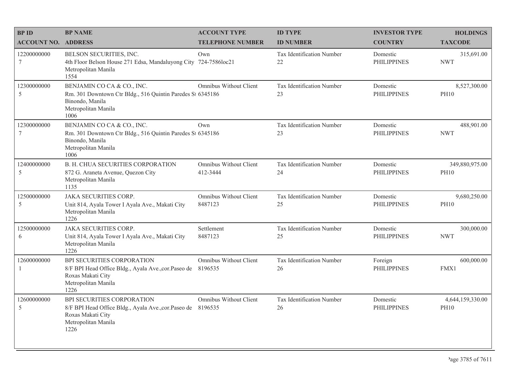| <b>BPID</b>                | <b>BP NAME</b>                                                                                                                                 | <b>ACCOUNT TYPE</b>                      | <b>ID TYPE</b>                      | <b>INVESTOR TYPE</b>           | <b>HOLDINGS</b>                 |
|----------------------------|------------------------------------------------------------------------------------------------------------------------------------------------|------------------------------------------|-------------------------------------|--------------------------------|---------------------------------|
| <b>ACCOUNT NO. ADDRESS</b> |                                                                                                                                                | <b>TELEPHONE NUMBER</b>                  | <b>ID NUMBER</b>                    | <b>COUNTRY</b>                 | <b>TAXCODE</b>                  |
| 12200000000<br>7           | BELSON SECURITIES, INC.<br>4th Floor Belson House 271 Edsa, Mandaluyong City 724-7586loc21<br>Metropolitan Manila<br>1554                      | Own                                      | Tax Identification Number<br>$22\,$ | Domestic<br><b>PHILIPPINES</b> | 315,691.00<br><b>NWT</b>        |
| 12300000000<br>5           | BENJAMIN CO CA & CO., INC.<br>Rm. 301 Downtown Ctr Bldg., 516 Quintin Paredes St 6345186<br>Binondo, Manila<br>Metropolitan Manila<br>1006     | Omnibus Without Client                   | Tax Identification Number<br>23     | Domestic<br><b>PHILIPPINES</b> | 8,527,300.00<br><b>PH10</b>     |
| 12300000000<br>7           | BENJAMIN CO CA & CO., INC.<br>Rm. 301 Downtown Ctr Bldg., 516 Quintin Paredes St 6345186<br>Binondo, Manila<br>Metropolitan Manila<br>1006     | Own                                      | Tax Identification Number<br>23     | Domestic<br><b>PHILIPPINES</b> | 488,901.00<br><b>NWT</b>        |
| 12400000000<br>5           | B. H. CHUA SECURITIES CORPORATION<br>872 G. Araneta Avenue, Quezon City<br>Metropolitan Manila<br>1135                                         | Omnibus Without Client<br>412-3444       | Tax Identification Number<br>24     | Domestic<br><b>PHILIPPINES</b> | 349,880,975.00<br><b>PH10</b>   |
| 12500000000<br>5           | <b>JAKA SECURITIES CORP.</b><br>Unit 814, Ayala Tower I Ayala Ave., Makati City<br>Metropolitan Manila<br>1226                                 | <b>Omnibus Without Client</b><br>8487123 | Tax Identification Number<br>25     | Domestic<br><b>PHILIPPINES</b> | 9,680,250.00<br><b>PH10</b>     |
| 12500000000<br>6           | <b>JAKA SECURITIES CORP.</b><br>Unit 814, Ayala Tower I Ayala Ave., Makati City<br>Metropolitan Manila<br>1226                                 | Settlement<br>8487123                    | Tax Identification Number<br>25     | Domestic<br><b>PHILIPPINES</b> | 300,000.00<br><b>NWT</b>        |
| 12600000000<br>1           | BPI SECURITIES CORPORATION<br>8/F BPI Head Office Bldg., Ayala Ave., cor. Paseo de<br>Roxas Makati City<br>Metropolitan Manila<br>1226         | Omnibus Without Client<br>8196535        | Tax Identification Number<br>26     | Foreign<br><b>PHILIPPINES</b>  | 600,000.00<br>FMX1              |
| 12600000000<br>5           | BPI SECURITIES CORPORATION<br>8/F BPI Head Office Bldg., Ayala Ave., cor. Paseo de 8196535<br>Roxas Makati City<br>Metropolitan Manila<br>1226 | Omnibus Without Client                   | Tax Identification Number<br>26     | Domestic<br><b>PHILIPPINES</b> | 4,644,159,330.00<br><b>PH10</b> |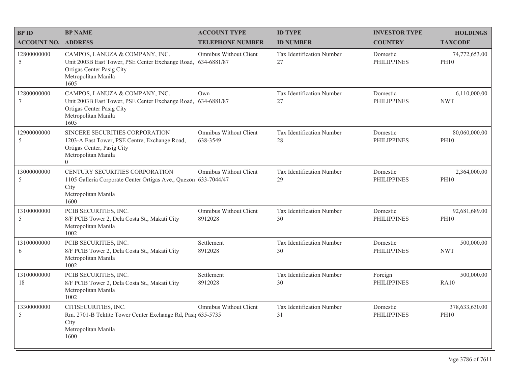| <b>BPID</b>                | <b>BP NAME</b>                                                                                                                                             | <b>ACCOUNT TYPE</b>                | <b>ID TYPE</b>                  | <b>INVESTOR TYPE</b>           | <b>HOLDINGS</b>               |
|----------------------------|------------------------------------------------------------------------------------------------------------------------------------------------------------|------------------------------------|---------------------------------|--------------------------------|-------------------------------|
| <b>ACCOUNT NO. ADDRESS</b> |                                                                                                                                                            | <b>TELEPHONE NUMBER</b>            | <b>ID NUMBER</b>                | <b>COUNTRY</b>                 | <b>TAXCODE</b>                |
| 12800000000<br>5           | CAMPOS, LANUZA & COMPANY, INC.<br>Unit 2003B East Tower, PSE Center Exchange Road, 634-6881/87<br>Ortigas Center Pasig City<br>Metropolitan Manila<br>1605 | Omnibus Without Client             | Tax Identification Number<br>27 | Domestic<br><b>PHILIPPINES</b> | 74,772,653.00<br><b>PH10</b>  |
| 12800000000<br>7           | CAMPOS, LANUZA & COMPANY, INC.<br>Unit 2003B East Tower, PSE Center Exchange Road, 634-6881/87<br>Ortigas Center Pasig City<br>Metropolitan Manila<br>1605 | Own                                | Tax Identification Number<br>27 | Domestic<br><b>PHILIPPINES</b> | 6,110,000.00<br><b>NWT</b>    |
| 12900000000<br>5           | SINCERE SECURITIES CORPORATION<br>1203-A East Tower, PSE Centre, Exchange Road,<br>Ortigas Center, Pasig City<br>Metropolitan Manila<br>$\Omega$           | Omnibus Without Client<br>638-3549 | Tax Identification Number<br>28 | Domestic<br><b>PHILIPPINES</b> | 80,060,000.00<br><b>PH10</b>  |
| 13000000000<br>5           | CENTURY SECURITIES CORPORATION<br>1105 Galleria Corporate Center Ortigas Ave., Quezon 633-7044/47<br>City<br>Metropolitan Manila<br>1600                   | <b>Omnibus Without Client</b>      | Tax Identification Number<br>29 | Domestic<br><b>PHILIPPINES</b> | 2,364,000.00<br><b>PH10</b>   |
| 13100000000<br>5           | PCIB SECURITIES, INC.<br>8/F PCIB Tower 2, Dela Costa St., Makati City<br>Metropolitan Manila<br>1002                                                      | Omnibus Without Client<br>8912028  | Tax Identification Number<br>30 | Domestic<br><b>PHILIPPINES</b> | 92,681,689.00<br><b>PH10</b>  |
| 13100000000<br>6           | PCIB SECURITIES, INC.<br>8/F PCIB Tower 2, Dela Costa St., Makati City<br>Metropolitan Manila<br>1002                                                      | Settlement<br>8912028              | Tax Identification Number<br>30 | Domestic<br><b>PHILIPPINES</b> | 500,000.00<br><b>NWT</b>      |
| 13100000000<br>18          | PCIB SECURITIES, INC.<br>8/F PCIB Tower 2, Dela Costa St., Makati City<br>Metropolitan Manila<br>1002                                                      | Settlement<br>8912028              | Tax Identification Number<br>30 | Foreign<br><b>PHILIPPINES</b>  | 500,000.00<br><b>RA10</b>     |
| 13300000000<br>5           | CITISECURITIES, INC.<br>Rm. 2701-B Tektite Tower Center Exchange Rd, Pasi; 635-5735<br>City<br>Metropolitan Manila<br>1600                                 | Omnibus Without Client             | Tax Identification Number<br>31 | Domestic<br><b>PHILIPPINES</b> | 378,633,630.00<br><b>PH10</b> |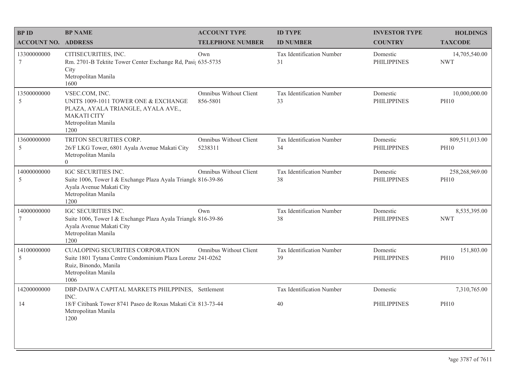| <b>BPID</b>                | <b>BP NAME</b>                                                                                                                                                | <b>ACCOUNT TYPE</b>                | <b>ID TYPE</b>                         | <b>INVESTOR TYPE</b>           | <b>HOLDINGS</b>               |
|----------------------------|---------------------------------------------------------------------------------------------------------------------------------------------------------------|------------------------------------|----------------------------------------|--------------------------------|-------------------------------|
| <b>ACCOUNT NO. ADDRESS</b> |                                                                                                                                                               | <b>TELEPHONE NUMBER</b>            | <b>ID NUMBER</b>                       | <b>COUNTRY</b>                 | <b>TAXCODE</b>                |
| 13300000000<br>$\tau$      | CITISECURITIES, INC.<br>Rm. 2701-B Tektite Tower Center Exchange Rd, Pasi; 635-5735<br>City<br>Metropolitan Manila<br>1600                                    | Own                                | <b>Tax Identification Number</b><br>31 | Domestic<br><b>PHILIPPINES</b> | 14,705,540.00<br><b>NWT</b>   |
| 13500000000<br>5           | VSEC.COM, INC.<br>UNITS 1009-1011 TOWER ONE & EXCHANGE<br>PLAZA, AYALA TRIANGLE, AYALA AVE.,<br><b>MAKATI CITY</b><br>Metropolitan Manila<br>1200             | Omnibus Without Client<br>856-5801 | Tax Identification Number<br>33        | Domestic<br><b>PHILIPPINES</b> | 10,000,000.00<br><b>PH10</b>  |
| 13600000000<br>5           | TRITON SECURITIES CORP.<br>26/F LKG Tower, 6801 Ayala Avenue Makati City<br>Metropolitan Manila<br>$\overline{0}$                                             | Omnibus Without Client<br>5238311  | Tax Identification Number<br>34        | Domestic<br><b>PHILIPPINES</b> | 809,511,013.00<br><b>PH10</b> |
| 14000000000<br>5           | IGC SECURITIES INC.<br>Suite 1006, Tower I & Exchange Plaza Ayala Triangle 816-39-86<br>Ayala Avenue Makati City<br>Metropolitan Manila<br>1200               | Omnibus Without Client             | Tax Identification Number<br>38        | Domestic<br><b>PHILIPPINES</b> | 258,268,969.00<br><b>PH10</b> |
| 14000000000<br>7           | IGC SECURITIES INC.<br>Suite 1006, Tower I & Exchange Plaza Ayala Triangle 816-39-86<br>Ayala Avenue Makati City<br>Metropolitan Manila<br>1200               | Own                                | Tax Identification Number<br>38        | Domestic<br><b>PHILIPPINES</b> | 8,535,395.00<br><b>NWT</b>    |
| 14100000000<br>5           | <b>CUALOPING SECURITIES CORPORATION</b><br>Suite 1801 Tytana Centre Condominium Plaza Lorenz 241-0262<br>Ruiz, Binondo, Manila<br>Metropolitan Manila<br>1006 | Omnibus Without Client             | Tax Identification Number<br>39        | Domestic<br><b>PHILIPPINES</b> | 151,803.00<br><b>PH10</b>     |
| 14200000000                | DBP-DAIWA CAPITAL MARKETS PHILPPINES, Settlement<br>INC.                                                                                                      |                                    | Tax Identification Number              | Domestic                       | 7,310,765.00                  |
| 14                         | 18/F Citibank Tower 8741 Paseo de Roxas Makati Cit 813-73-44<br>Metropolitan Manila<br>1200                                                                   |                                    | 40                                     | <b>PHILIPPINES</b>             | <b>PH10</b>                   |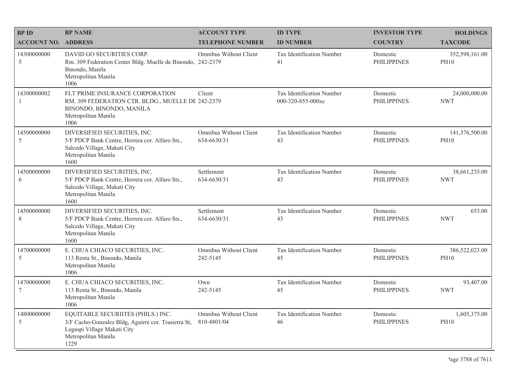| <b>BPID</b>                | <b>BP NAME</b>                                                                                                                                          | <b>ACCOUNT TYPE</b>                          | <b>ID TYPE</b>                                        | <b>INVESTOR TYPE</b>           | <b>HOLDINGS</b>               |
|----------------------------|---------------------------------------------------------------------------------------------------------------------------------------------------------|----------------------------------------------|-------------------------------------------------------|--------------------------------|-------------------------------|
| <b>ACCOUNT NO. ADDRESS</b> |                                                                                                                                                         | <b>TELEPHONE NUMBER</b>                      | <b>ID NUMBER</b>                                      | <b>COUNTRY</b>                 | <b>TAXCODE</b>                |
| 14300000000<br>5           | DAVID GO SECURITIES CORP.<br>Rm. 309 Federation Center Bldg. Muelle de Binondo, 242-2379<br>Binondo, Manila<br>Metropolitan Manila<br>1006              | Omnibus Without Client                       | Tax Identification Number<br>41                       | Domestic<br><b>PHILIPPINES</b> | 352,598,161.00<br><b>PH10</b> |
| 14300000002<br>-1          | FLT PRIME INSURANCE CORPORATION<br>RM. 309 FEDERATION CTR. BLDG., MUELLE DE 242-2379<br>BINONDO, BINONDO, MANILA<br>Metropolitan Manila<br>1006         | Client                                       | <b>Tax Identification Number</b><br>000-320-855-000xc | Domestic<br><b>PHILIPPINES</b> | 24,000,000.00<br><b>NWT</b>   |
| 14500000000<br>5           | DIVERSIFIED SECURITIES, INC.<br>5/F PDCP Bank Centre, Herrera cor. Alfaro Sts.,<br>Salcedo Village, Makati City<br>Metropolitan Manila<br>1600          | <b>Omnibus Without Client</b><br>634-6630/31 | Tax Identification Number<br>43                       | Domestic<br><b>PHILIPPINES</b> | 141,376,500.00<br><b>PH10</b> |
| 14500000000<br>6           | DIVERSIFIED SECURITIES, INC.<br>5/F PDCP Bank Centre, Herrera cor. Alfaro Sts.,<br>Salcedo Village, Makati City<br>Metropolitan Manila<br>1600          | Settlement<br>634-6630/31                    | Tax Identification Number<br>43                       | Domestic<br><b>PHILIPPINES</b> | 38,661,235.00<br><b>NWT</b>   |
| 14500000000<br>8           | DIVERSIFIED SECURITIES, INC.<br>5/F PDCP Bank Centre, Herrera cor. Alfaro Sts.,<br>Salcedo Village, Makati City<br>Metropolitan Manila<br>1600          | Settlement<br>634-6630/31                    | Tax Identification Number<br>43                       | Domestic<br><b>PHILIPPINES</b> | 653.00<br><b>NWT</b>          |
| 14700000000<br>5           | E. CHUA CHIACO SECURITIES, INC.<br>113 Renta St., Binondo, Manila<br>Metropolitan Manila<br>1006                                                        | <b>Omnibus Without Client</b><br>242-5145    | Tax Identification Number<br>45                       | Domestic<br><b>PHILIPPINES</b> | 386,522,023.00<br><b>PH10</b> |
| 14700000000<br>7           | E. CHUA CHIACO SECURITIES, INC.<br>113 Renta St., Binondo, Manila<br>Metropolitan Manila<br>1006                                                        | Own<br>242-5145                              | Tax Identification Number<br>45                       | Domestic<br><b>PHILIPPINES</b> | 93,407.00<br><b>NWT</b>       |
| 14800000000<br>5           | EQUITABLE SECURIITES (PHILS.) INC.<br>3/F Cacho-Gonzalez Bldg, Aguirre cor. Trasierra St,<br>Legaspi Village Makati City<br>Metropolitan Manila<br>1229 | Omnibus Without Client<br>810-4801/04        | Tax Identification Number<br>46                       | Domestic<br><b>PHILIPPINES</b> | 1,605,375.00<br><b>PH10</b>   |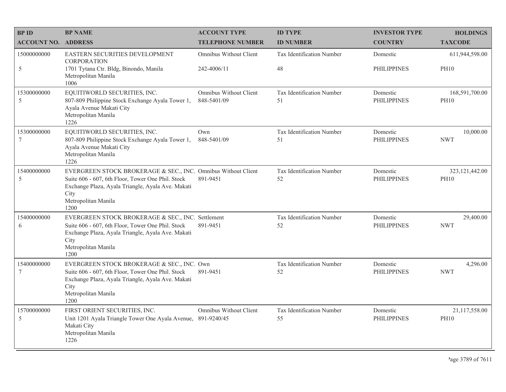| <b>BPID</b>                | <b>BP NAME</b>                                                                                                                                                                                                 | <b>ACCOUNT TYPE</b>                   | <b>ID TYPE</b>                   | <b>INVESTOR TYPE</b>           | <b>HOLDINGS</b>                 |
|----------------------------|----------------------------------------------------------------------------------------------------------------------------------------------------------------------------------------------------------------|---------------------------------------|----------------------------------|--------------------------------|---------------------------------|
| <b>ACCOUNT NO. ADDRESS</b> |                                                                                                                                                                                                                | <b>TELEPHONE NUMBER</b>               | <b>ID NUMBER</b>                 | <b>COUNTRY</b>                 | <b>TAXCODE</b>                  |
| 15000000000                | EASTERN SECURITIES DEVELOPMENT<br><b>CORPORATION</b>                                                                                                                                                           | <b>Omnibus Without Client</b>         | <b>Tax Identification Number</b> | Domestic                       | 611,944,598.00                  |
| 5                          | 1701 Tytana Ctr. Bldg, Binondo, Manila<br>Metropolitan Manila<br>1006                                                                                                                                          | 242-4006/11                           | 48                               | PHILIPPINES                    | <b>PH10</b>                     |
| 15300000000<br>5           | EQUITIWORLD SECURITIES, INC.<br>807-809 Philippine Stock Exchange Ayala Tower 1,<br>Ayala Avenue Makati City<br>Metropolitan Manila<br>1226                                                                    | Omnibus Without Client<br>848-5401/09 | Tax Identification Number<br>51  | Domestic<br><b>PHILIPPINES</b> | 168,591,700.00<br><b>PH10</b>   |
| 15300000000<br>7           | EQUITIWORLD SECURITIES, INC.<br>807-809 Philippine Stock Exchange Ayala Tower 1,<br>Ayala Avenue Makati City<br>Metropolitan Manila<br>1226                                                                    | Own<br>848-5401/09                    | Tax Identification Number<br>51  | Domestic<br><b>PHILIPPINES</b> | 10,000.00<br><b>NWT</b>         |
| 15400000000<br>5           | EVERGREEN STOCK BROKERAGE & SEC., INC. Omnibus Without Client<br>Suite 606 - 607, 6th Floor, Tower One Phil. Stock<br>Exchange Plaza, Ayala Triangle, Ayala Ave. Makati<br>City<br>Metropolitan Manila<br>1200 | 891-9451                              | Tax Identification Number<br>52  | Domestic<br><b>PHILIPPINES</b> | 323, 121, 442.00<br><b>PH10</b> |
| 15400000000<br>6           | EVERGREEN STOCK BROKERAGE & SEC., INC. Settlement<br>Suite 606 - 607, 6th Floor, Tower One Phil. Stock<br>Exchange Plaza, Ayala Triangle, Ayala Ave. Makati<br>City<br>Metropolitan Manila<br>1200             | 891-9451                              | Tax Identification Number<br>52  | Domestic<br><b>PHILIPPINES</b> | 29,400.00<br><b>NWT</b>         |
| 15400000000<br>7           | EVERGREEN STOCK BROKERAGE & SEC., INC. Own<br>Suite 606 - 607, 6th Floor, Tower One Phil. Stock<br>Exchange Plaza, Ayala Triangle, Ayala Ave. Makati<br>City<br>Metropolitan Manila<br>1200                    | 891-9451                              | Tax Identification Number<br>52  | Domestic<br><b>PHILIPPINES</b> | 4,296.00<br><b>NWT</b>          |
| 15700000000<br>5           | FIRST ORIENT SECURITIES, INC.<br>Unit 1201 Ayala Triangle Tower One Ayala Avenue, 891-9240/45<br>Makati City<br>Metropolitan Manila<br>1226                                                                    | Omnibus Without Client                | Tax Identification Number<br>55  | Domestic<br><b>PHILIPPINES</b> | 21,117,558.00<br><b>PH10</b>    |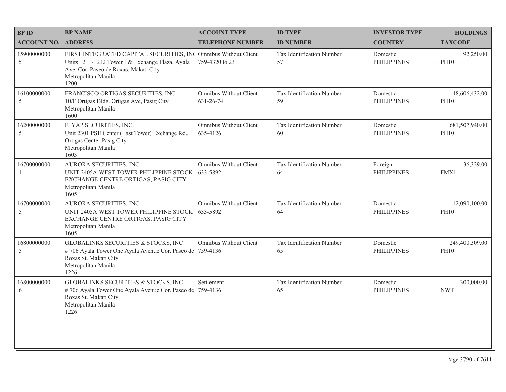| <b>BPID</b>                   | <b>BP NAME</b>                                                                                                                                                                             | <b>ACCOUNT TYPE</b>                       | <b>ID TYPE</b>                  | <b>INVESTOR TYPE</b>           | <b>HOLDINGS</b>               |
|-------------------------------|--------------------------------------------------------------------------------------------------------------------------------------------------------------------------------------------|-------------------------------------------|---------------------------------|--------------------------------|-------------------------------|
| <b>ACCOUNT NO. ADDRESS</b>    |                                                                                                                                                                                            | <b>TELEPHONE NUMBER</b>                   | <b>ID NUMBER</b>                | <b>COUNTRY</b>                 | <b>TAXCODE</b>                |
| 15900000000<br>5              | FIRST INTEGRATED CAPITAL SECURITIES, INC Omnibus Without Client<br>Units 1211-1212 Tower I & Exchange Plaza, Ayala<br>Ave. Cor. Paseo de Roxas, Makati City<br>Metropolitan Manila<br>1200 | 759-4320 to 23                            | Tax Identification Number<br>57 | Domestic<br><b>PHILIPPINES</b> | 92,250.00<br><b>PH10</b>      |
| 16100000000<br>5              | FRANCISCO ORTIGAS SECURITIES, INC.<br>10/F Ortigas Bldg. Ortigas Ave, Pasig City<br>Metropolitan Manila<br>1600                                                                            | Omnibus Without Client<br>631-26-74       | Tax Identification Number<br>59 | Domestic<br><b>PHILIPPINES</b> | 48,606,432.00<br><b>PH10</b>  |
| 16200000000<br>5              | F. YAP SECURITIES, INC.<br>Unit 2301 PSE Center (East Tower) Exchange Rd.,<br>Ortigas Center Pasig City<br>Metropolitan Manila<br>1603                                                     | <b>Omnibus Without Client</b><br>635-4126 | Tax Identification Number<br>60 | Domestic<br><b>PHILIPPINES</b> | 681,507,940.00<br><b>PH10</b> |
| 16700000000<br>-1             | AURORA SECURITIES, INC.<br>UNIT 2405A WEST TOWER PHILIPPINE STOCK 633-5892<br>EXCHANGE CENTRE ORTIGAS, PASIG CITY<br>Metropolitan Manila<br>1605                                           | Omnibus Without Client                    | Tax Identification Number<br>64 | Foreign<br><b>PHILIPPINES</b>  | 36,329.00<br>FMX1             |
| 16700000000<br>5              | AURORA SECURITIES, INC.<br>UNIT 2405A WEST TOWER PHILIPPINE STOCK 633-5892<br>EXCHANGE CENTRE ORTIGAS, PASIG CITY<br>Metropolitan Manila<br>1605                                           | Omnibus Without Client                    | Tax Identification Number<br>64 | Domestic<br><b>PHILIPPINES</b> | 12,090,100.00<br><b>PH10</b>  |
| 16800000000<br>$\overline{5}$ | GLOBALINKS SECURITIES & STOCKS, INC.<br>#706 Ayala Tower One Ayala Avenue Cor. Paseo de 759-4136<br>Roxas St. Makati City<br>Metropolitan Manila<br>1226                                   | Omnibus Without Client                    | Tax Identification Number<br>65 | Domestic<br><b>PHILIPPINES</b> | 249,400,309.00<br><b>PH10</b> |
| 16800000000<br>6              | GLOBALINKS SECURITIES & STOCKS, INC.<br>#706 Ayala Tower One Ayala Avenue Cor. Paseo de 759-4136<br>Roxas St. Makati City<br>Metropolitan Manila<br>1226                                   | Settlement                                | Tax Identification Number<br>65 | Domestic<br><b>PHILIPPINES</b> | 300,000.00<br><b>NWT</b>      |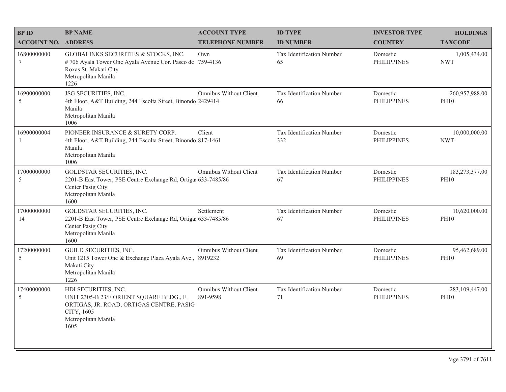| <b>BPID</b>                | <b>BP NAME</b>                                                                                                                                            | <b>ACCOUNT TYPE</b>                | <b>ID TYPE</b>                   | <b>INVESTOR TYPE</b>           | <b>HOLDINGS</b>               |
|----------------------------|-----------------------------------------------------------------------------------------------------------------------------------------------------------|------------------------------------|----------------------------------|--------------------------------|-------------------------------|
| <b>ACCOUNT NO. ADDRESS</b> |                                                                                                                                                           | <b>TELEPHONE NUMBER</b>            | <b>ID NUMBER</b>                 | <b>COUNTRY</b>                 | <b>TAXCODE</b>                |
| 16800000000<br>$\tau$      | GLOBALINKS SECURITIES & STOCKS, INC.<br>#706 Ayala Tower One Ayala Avenue Cor. Paseo de 759-4136<br>Roxas St. Makati City<br>Metropolitan Manila<br>1226  | Own                                | Tax Identification Number<br>65  | Domestic<br><b>PHILIPPINES</b> | 1,005,434.00<br><b>NWT</b>    |
| 16900000000<br>5           | JSG SECURITIES, INC.<br>4th Floor, A&T Building, 244 Escolta Street, Binondo 2429414<br>Manila<br>Metropolitan Manila<br>1006                             | Omnibus Without Client             | Tax Identification Number<br>66  | Domestic<br><b>PHILIPPINES</b> | 260,957,988.00<br><b>PH10</b> |
| 16900000004                | PIONEER INSURANCE & SURETY CORP.<br>4th Floor, A&T Building, 244 Escolta Street, Binondo 817-1461<br>Manila<br>Metropolitan Manila<br>1006                | Client                             | Tax Identification Number<br>332 | Domestic<br><b>PHILIPPINES</b> | 10,000,000.00<br><b>NWT</b>   |
| 17000000000<br>5           | GOLDSTAR SECURITIES, INC.<br>2201-B East Tower, PSE Centre Exchange Rd, Ortiga 633-7485/86<br>Center Pasig City<br>Metropolitan Manila<br>1600            | Omnibus Without Client             | Tax Identification Number<br>67  | Domestic<br><b>PHILIPPINES</b> | 183,273,377.00<br><b>PH10</b> |
| 17000000000<br>14          | GOLDSTAR SECURITIES, INC.<br>2201-B East Tower, PSE Centre Exchange Rd, Ortiga 633-7485/86<br>Center Pasig City<br>Metropolitan Manila<br>1600            | Settlement                         | Tax Identification Number<br>67  | Domestic<br><b>PHILIPPINES</b> | 10,620,000.00<br><b>PH10</b>  |
| 17200000000<br>5           | GUILD SECURITIES, INC.<br>Unit 1215 Tower One & Exchange Plaza Ayala Ave., 8919232<br>Makati City<br>Metropolitan Manila<br>1226                          | Omnibus Without Client             | Tax Identification Number<br>69  | Domestic<br><b>PHILIPPINES</b> | 95,462,689.00<br><b>PH10</b>  |
| 17400000000<br>5           | HDI SECURITIES, INC.<br>UNIT 2305-B 23/F ORIENT SQUARE BLDG., F.<br>ORTIGAS, JR. ROAD, ORTIGAS CENTRE, PASIG<br>CITY, 1605<br>Metropolitan Manila<br>1605 | Omnibus Without Client<br>891-9598 | Tax Identification Number<br>71  | Domestic<br><b>PHILIPPINES</b> | 283,109,447.00<br><b>PH10</b> |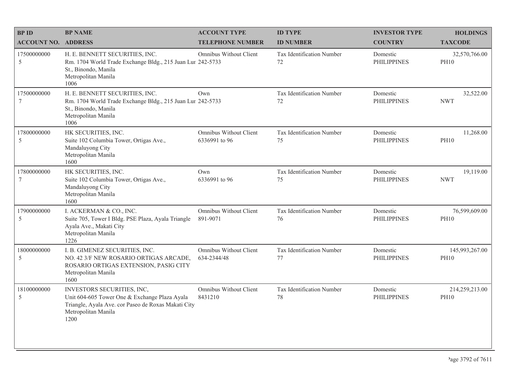| <b>BPID</b>                | <b>BP NAME</b>                                                                                                                                                    | <b>ACCOUNT TYPE</b>                     | <b>ID TYPE</b>                  | <b>INVESTOR TYPE</b>           | <b>HOLDINGS</b>               |
|----------------------------|-------------------------------------------------------------------------------------------------------------------------------------------------------------------|-----------------------------------------|---------------------------------|--------------------------------|-------------------------------|
| <b>ACCOUNT NO. ADDRESS</b> |                                                                                                                                                                   | <b>TELEPHONE NUMBER</b>                 | <b>ID NUMBER</b>                | <b>COUNTRY</b>                 | <b>TAXCODE</b>                |
| 17500000000<br>5           | H. E. BENNETT SECURITIES, INC.<br>Rm. 1704 World Trade Exchange Bldg., 215 Juan Lur 242-5733<br>St., Binondo, Manila<br>Metropolitan Manila<br>1006               | Omnibus Without Client                  | Tax Identification Number<br>72 | Domestic<br><b>PHILIPPINES</b> | 32,570,766.00<br><b>PH10</b>  |
| 17500000000<br>$\tau$      | H. E. BENNETT SECURITIES, INC.<br>Rm. 1704 World Trade Exchange Bldg., 215 Juan Lur 242-5733<br>St., Binondo, Manila<br>Metropolitan Manila<br>1006               | Own                                     | Tax Identification Number<br>72 | Domestic<br><b>PHILIPPINES</b> | 32,522.00<br><b>NWT</b>       |
| 17800000000<br>5           | HK SECURITIES, INC.<br>Suite 102 Columbia Tower, Ortigas Ave.,<br>Mandaluyong City<br>Metropolitan Manila<br>1600                                                 | Omnibus Without Client<br>6336991 to 96 | Tax Identification Number<br>75 | Domestic<br><b>PHILIPPINES</b> | 11,268.00<br><b>PH10</b>      |
| 17800000000<br>$\tau$      | HK SECURITIES, INC.<br>Suite 102 Columbia Tower, Ortigas Ave.,<br>Mandaluyong City<br>Metropolitan Manila<br>1600                                                 | Own<br>6336991 to 96                    | Tax Identification Number<br>75 | Domestic<br><b>PHILIPPINES</b> | 19,119.00<br><b>NWT</b>       |
| 17900000000<br>5           | I. ACKERMAN & CO., INC.<br>Suite 705, Tower I Bldg. PSE Plaza, Ayala Triangle<br>Ayala Ave., Makati City<br>Metropolitan Manila<br>1226                           | Omnibus Without Client<br>891-9071      | Tax Identification Number<br>76 | Domestic<br><b>PHILIPPINES</b> | 76,599,609.00<br><b>PH10</b>  |
| 18000000000<br>5           | I. B. GIMENEZ SECURITIES, INC.<br>NO. 42 3/F NEW ROSARIO ORTIGAS ARCADE,<br>ROSARIO ORTIGAS EXTENSION, PASIG CITY<br>Metropolitan Manila<br>1600                  | Omnibus Without Client<br>634-2344/48   | Tax Identification Number<br>77 | Domestic<br><b>PHILIPPINES</b> | 145,993,267.00<br><b>PH10</b> |
| 18100000000<br>5           | INVESTORS SECURITIES, INC,<br>Unit 604-605 Tower One & Exchange Plaza Ayala<br>Triangle, Ayala Ave. cor Paseo de Roxas Makati City<br>Metropolitan Manila<br>1200 | Omnibus Without Client<br>8431210       | Tax Identification Number<br>78 | Domestic<br><b>PHILIPPINES</b> | 214,259,213.00<br><b>PH10</b> |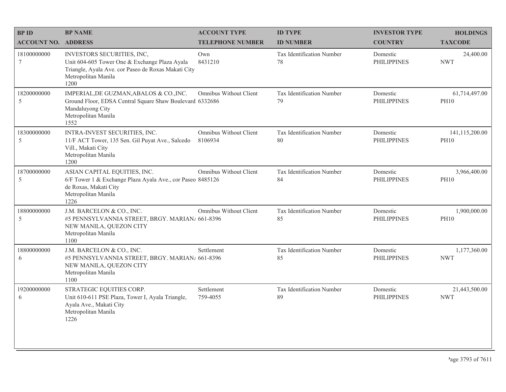| <b>BPID</b>                    | <b>BP NAME</b>                                                                                                                                                    | <b>ACCOUNT TYPE</b>                      | <b>ID TYPE</b>                         | <b>INVESTOR TYPE</b>           | <b>HOLDINGS</b>               |
|--------------------------------|-------------------------------------------------------------------------------------------------------------------------------------------------------------------|------------------------------------------|----------------------------------------|--------------------------------|-------------------------------|
| <b>ACCOUNT NO. ADDRESS</b>     |                                                                                                                                                                   | <b>TELEPHONE NUMBER</b>                  | <b>ID NUMBER</b>                       | <b>COUNTRY</b>                 | <b>TAXCODE</b>                |
| 18100000000<br>$7\phantom{.0}$ | INVESTORS SECURITIES, INC,<br>Unit 604-605 Tower One & Exchange Plaza Ayala<br>Triangle, Ayala Ave. cor Paseo de Roxas Makati City<br>Metropolitan Manila<br>1200 | Own<br>8431210                           | <b>Tax Identification Number</b><br>78 | Domestic<br><b>PHILIPPINES</b> | 24,400.00<br><b>NWT</b>       |
| 18200000000<br>5               | IMPERIAL, DE GUZMAN, ABALOS & CO., INC.<br>Ground Floor, EDSA Central Square Shaw Boulevard 6332686<br>Mandaluyong City<br>Metropolitan Manila<br>1552            | Omnibus Without Client                   | Tax Identification Number<br>79        | Domestic<br><b>PHILIPPINES</b> | 61,714,497.00<br><b>PH10</b>  |
| 18300000000<br>5               | INTRA-INVEST SECURITIES, INC.<br>11/F ACT Tower, 135 Sen. Gil Puyat Ave., Salcedo<br>Vill., Makati City<br>Metropolitan Manila<br>1200                            | <b>Omnibus Without Client</b><br>8106934 | Tax Identification Number<br>80        | Domestic<br><b>PHILIPPINES</b> | 141,115,200.00<br><b>PH10</b> |
| 18700000000<br>5               | ASIAN CAPITAL EQUITIES, INC.<br>6/F Tower 1 & Exchange Plaza Ayala Ave., cor Paseo 8485126<br>de Roxas, Makati City<br>Metropolitan Manila<br>1226                | Omnibus Without Client                   | Tax Identification Number<br>84        | Domestic<br><b>PHILIPPINES</b> | 3,966,400.00<br><b>PH10</b>   |
| 18800000000<br>5               | J.M. BARCELON & CO., INC.<br>#5 PENNSYLVANNIA STREET, BRGY. MARIAN/ 661-8396<br>NEW MANILA, QUEZON CITY<br>Metropolitan Manila<br>1100                            | Omnibus Without Client                   | Tax Identification Number<br>85        | Domestic<br><b>PHILIPPINES</b> | 1,900,000.00<br><b>PH10</b>   |
| 18800000000<br>6               | J.M. BARCELON & CO., INC.<br>#5 PENNSYLVANNIA STREET, BRGY. MARIAN/ 661-8396<br>NEW MANILA, QUEZON CITY<br>Metropolitan Manila<br>1100                            | Settlement                               | Tax Identification Number<br>85        | Domestic<br><b>PHILIPPINES</b> | 1,177,360.00<br><b>NWT</b>    |
| 19200000000<br>6               | STRATEGIC EQUITIES CORP.<br>Unit 610-611 PSE Plaza, Tower I, Ayala Triangle,<br>Ayala Ave., Makati City<br>Metropolitan Manila<br>1226                            | Settlement<br>759-4055                   | Tax Identification Number<br>89        | Domestic<br><b>PHILIPPINES</b> | 21,443,500.00<br><b>NWT</b>   |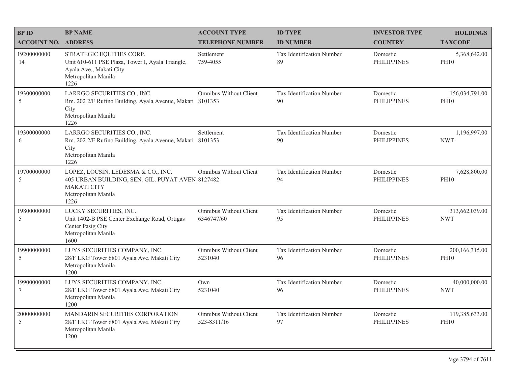| <b>BPID</b>                    | <b>BP NAME</b>                                                                                                                              | <b>ACCOUNT TYPE</b>                      | <b>ID TYPE</b>                  | <b>INVESTOR TYPE</b>           | <b>HOLDINGS</b>               |
|--------------------------------|---------------------------------------------------------------------------------------------------------------------------------------------|------------------------------------------|---------------------------------|--------------------------------|-------------------------------|
| <b>ACCOUNT NO. ADDRESS</b>     |                                                                                                                                             | <b>TELEPHONE NUMBER</b>                  | <b>ID NUMBER</b>                | <b>COUNTRY</b>                 | <b>TAXCODE</b>                |
| 19200000000<br>14              | STRATEGIC EQUITIES CORP.<br>Unit 610-611 PSE Plaza, Tower I, Ayala Triangle,<br>Ayala Ave., Makati City<br>Metropolitan Manila<br>1226      | Settlement<br>759-4055                   | Tax Identification Number<br>89 | Domestic<br><b>PHILIPPINES</b> | 5,368,642.00<br><b>PH10</b>   |
| 19300000000<br>5               | LARRGO SECURITIES CO., INC.<br>Rm. 202 2/F Rufino Building, Ayala Avenue, Makati 8101353<br>City<br>Metropolitan Manila<br>1226             | Omnibus Without Client                   | Tax Identification Number<br>90 | Domestic<br><b>PHILIPPINES</b> | 156,034,791.00<br><b>PH10</b> |
| 19300000000<br>6               | LARRGO SECURITIES CO., INC.<br>Rm. 202 2/F Rufino Building, Ayala Avenue, Makati 8101353<br>City<br>Metropolitan Manila<br>1226             | Settlement                               | Tax Identification Number<br>90 | Domestic<br><b>PHILIPPINES</b> | 1,196,997.00<br><b>NWT</b>    |
| 19700000000<br>5               | LOPEZ, LOCSIN, LEDESMA & CO., INC.<br>405 URBAN BUILDING, SEN. GIL. PUYAT AVEN 8127482<br><b>MAKATI CITY</b><br>Metropolitan Manila<br>1226 | Omnibus Without Client                   | Tax Identification Number<br>94 | Domestic<br><b>PHILIPPINES</b> | 7,628,800.00<br><b>PH10</b>   |
| 19800000000<br>5               | LUCKY SECURITIES, INC.<br>Unit 1402-B PSE Center Exchange Road, Ortigas<br>Center Pasig City<br>Metropolitan Manila<br>1600                 | Omnibus Without Client<br>6346747/60     | Tax Identification Number<br>95 | Domestic<br><b>PHILIPPINES</b> | 313,662,039.00<br><b>NWT</b>  |
| 19900000000<br>5               | LUYS SECURITIES COMPANY, INC.<br>28/F LKG Tower 6801 Ayala Ave. Makati City<br>Metropolitan Manila<br>1200                                  | <b>Omnibus Without Client</b><br>5231040 | Tax Identification Number<br>96 | Domestic<br><b>PHILIPPINES</b> | 200,166,315.00<br><b>PH10</b> |
| 19900000000<br>$7\phantom{.0}$ | LUYS SECURITIES COMPANY, INC.<br>28/F LKG Tower 6801 Ayala Ave. Makati City<br>Metropolitan Manila<br>1200                                  | Own<br>5231040                           | Tax Identification Number<br>96 | Domestic<br><b>PHILIPPINES</b> | 40,000,000.00<br><b>NWT</b>   |
| 20000000000<br>5               | MANDARIN SECURITIES CORPORATION<br>28/F LKG Tower 6801 Ayala Ave. Makati City<br>Metropolitan Manila<br>1200                                | Omnibus Without Client<br>523-8311/16    | Tax Identification Number<br>97 | Domestic<br><b>PHILIPPINES</b> | 119,385,633.00<br><b>PH10</b> |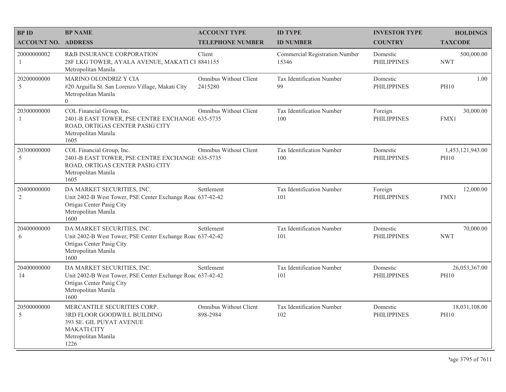| <b>BPID</b><br><b>ACCOUNT NO. ADDRESS</b> | <b>BP NAME</b>                                                                                                                                       | <b>ACCOUNT TYPE</b><br><b>TELEPHONE NUMBER</b> | <b>ID TYPE</b><br><b>ID NUMBER</b>             | <b>INVESTOR TYPE</b><br><b>COUNTRY</b> | <b>HOLDINGS</b><br><b>TAXCODE</b> |
|-------------------------------------------|------------------------------------------------------------------------------------------------------------------------------------------------------|------------------------------------------------|------------------------------------------------|----------------------------------------|-----------------------------------|
| 20000000002<br>1                          | <b>R&amp;B INSURANCE CORPORATION</b><br>28F LKG TOWER, AYALA AVENUE, MAKATI CI 8841155<br>Metropolitan Manila                                        | Client                                         | <b>Commercial Registration Number</b><br>15346 | Domestic<br><b>PHILIPPINES</b>         | 500,000.00<br><b>NWT</b>          |
| 20200000000<br>$\sqrt{5}$                 | MARINO OLONDRIZ Y CIA<br>#20 Arguilla St. San Lorenzo Village, Makati City<br>Metropolitan Manila<br>$\overline{0}$                                  | Omnibus Without Client<br>2415280              | Tax Identification Number<br>99                | Domestic<br><b>PHILIPPINES</b>         | 1.00<br><b>PH10</b>               |
| 20300000000<br>-1                         | COL Financial Group, Inc.<br>2401-B EAST TOWER, PSE CENTRE EXCHANGE 635-5735<br>ROAD, ORTIGAS CENTER PASIG CITY<br>Metropolitan Manila<br>1605       | Omnibus Without Client                         | Tax Identification Number<br>100               | Foreign<br><b>PHILIPPINES</b>          | 30,000.00<br>FMX1                 |
| 20300000000<br>5                          | COL Financial Group, Inc.<br>2401-B EAST TOWER, PSE CENTRE EXCHANGE 635-5735<br>ROAD, ORTIGAS CENTER PASIG CITY<br>Metropolitan Manila<br>1605       | Omnibus Without Client                         | Tax Identification Number<br>100               | Domestic<br><b>PHILIPPINES</b>         | 1,453,121,943.00<br><b>PH10</b>   |
| 20400000000<br>$\overline{2}$             | DA MARKET SECURITIES, INC.<br>Unit 2402-B West Tower, PSE Center Exchange Roac 637-42-42<br>Ortigas Center Pasig City<br>Metropolitan Manila<br>1600 | Settlement                                     | Tax Identification Number<br>101               | Foreign<br><b>PHILIPPINES</b>          | 12,000.00<br>FMX1                 |
| 20400000000<br>6                          | DA MARKET SECURITIES, INC.<br>Unit 2402-B West Tower, PSE Center Exchange Roac 637-42-42<br>Ortigas Center Pasig City<br>Metropolitan Manila<br>1600 | Settlement                                     | Tax Identification Number<br>101               | Domestic<br><b>PHILIPPINES</b>         | 70,000.00<br><b>NWT</b>           |
| 20400000000<br>14                         | DA MARKET SECURITIES, INC.<br>Unit 2402-B West Tower, PSE Center Exchange Roac 637-42-42<br>Ortigas Center Pasig City<br>Metropolitan Manila<br>1600 | Settlement                                     | Tax Identification Number<br>101               | Domestic<br><b>PHILIPPINES</b>         | 26,053,367.00<br><b>PH10</b>      |
| 20500000000<br>5                          | MERCANTILE SECURITIES CORP.<br>3RD FLOOR GOODWILL BUILDING<br>393 SE. GIL PUYAT AVENUE<br><b>MAKATI CITY</b><br>Metropolitan Manila<br>1226          | Omnibus Without Client<br>898-2984             | Tax Identification Number<br>102               | Domestic<br><b>PHILIPPINES</b>         | 18,031,108.00<br><b>PH10</b>      |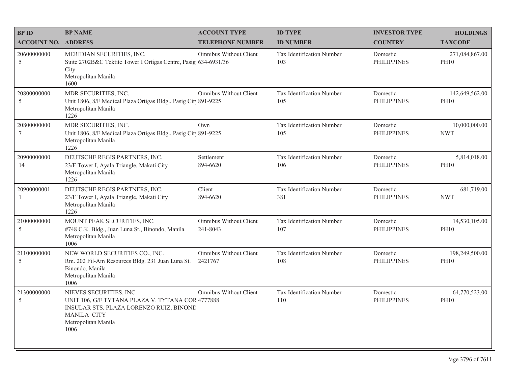| <b>BPID</b>                     | <b>BP NAME</b>                                                                                                                                                              | <b>ACCOUNT TYPE</b>                      | <b>ID TYPE</b>                   | <b>INVESTOR TYPE</b>           | <b>HOLDINGS</b>               |
|---------------------------------|-----------------------------------------------------------------------------------------------------------------------------------------------------------------------------|------------------------------------------|----------------------------------|--------------------------------|-------------------------------|
| <b>ACCOUNT NO. ADDRESS</b>      |                                                                                                                                                                             | <b>TELEPHONE NUMBER</b>                  | <b>ID NUMBER</b>                 | <b>COUNTRY</b>                 | <b>TAXCODE</b>                |
| 20600000000<br>5                | MERIDIAN SECURITIES, INC.<br>Suite 2702B&C Tektite Tower I Ortigas Centre, Pasig 634-6931/36<br>City<br>Metropolitan Manila<br>1600                                         | Omnibus Without Client                   | Tax Identification Number<br>103 | Domestic<br><b>PHILIPPINES</b> | 271,084,867.00<br><b>PH10</b> |
| 20800000000<br>5                | MDR SECURITIES, INC.<br>Unit 1806, 8/F Medical Plaza Ortigas Bldg., Pasig Cit 891-9225<br>Metropolitan Manila<br>1226                                                       | Omnibus Without Client                   | Tax Identification Number<br>105 | Domestic<br><b>PHILIPPINES</b> | 142,649,562.00<br><b>PH10</b> |
| 20800000000<br>$\boldsymbol{7}$ | MDR SECURITIES, INC.<br>Unit 1806, 8/F Medical Plaza Ortigas Bldg., Pasig Cit 891-9225<br>Metropolitan Manila<br>1226                                                       | Own                                      | Tax Identification Number<br>105 | Domestic<br><b>PHILIPPINES</b> | 10,000,000.00<br><b>NWT</b>   |
| 20900000000<br>14               | DEUTSCHE REGIS PARTNERS, INC.<br>23/F Tower I, Ayala Triangle, Makati City<br>Metropolitan Manila<br>1226                                                                   | Settlement<br>894-6620                   | Tax Identification Number<br>106 | Domestic<br><b>PHILIPPINES</b> | 5,814,018.00<br><b>PH10</b>   |
| 20900000001<br>$\mathbf{1}$     | DEUTSCHE REGIS PARTNERS, INC.<br>23/F Tower I, Ayala Triangle, Makati City<br>Metropolitan Manila<br>1226                                                                   | Client<br>894-6620                       | Tax Identification Number<br>381 | Domestic<br><b>PHILIPPINES</b> | 681,719.00<br><b>NWT</b>      |
| 21000000000<br>5                | MOUNT PEAK SECURITIES, INC.<br>#748 C.K. Bldg., Juan Luna St., Binondo, Manila<br>Metropolitan Manila<br>1006                                                               | Omnibus Without Client<br>241-8043       | Tax Identification Number<br>107 | Domestic<br><b>PHILIPPINES</b> | 14,530,105.00<br><b>PH10</b>  |
| 21100000000<br>5                | NEW WORLD SECURITIES CO., INC.<br>Rm. 202 Fil-Am Resources Bldg. 231 Juan Luna St.<br>Binondo, Manila<br>Metropolitan Manila<br>1006                                        | <b>Omnibus Without Client</b><br>2421767 | Tax Identification Number<br>108 | Domestic<br><b>PHILIPPINES</b> | 198,249,500.00<br><b>PH10</b> |
| 21300000000<br>$\sqrt{5}$       | NIEVES SECURITIES, INC.<br>UNIT 106, G/F TYTANA PLAZA V. TYTANA COR 4777888<br>INSULAR STS. PLAZA LORENZO RUIZ, BINONE<br><b>MANILA CITY</b><br>Metropolitan Manila<br>1006 | Omnibus Without Client                   | Tax Identification Number<br>110 | Domestic<br><b>PHILIPPINES</b> | 64,770,523.00<br><b>PH10</b>  |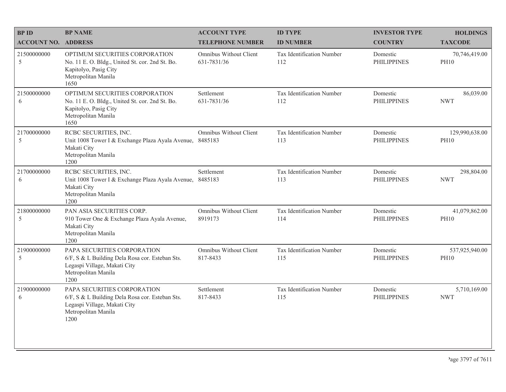| <b>BPID</b>                | <b>BP NAME</b>                                                                                                                                | <b>ACCOUNT TYPE</b>                   | <b>ID TYPE</b>                   | <b>INVESTOR TYPE</b>           | <b>HOLDINGS</b>               |
|----------------------------|-----------------------------------------------------------------------------------------------------------------------------------------------|---------------------------------------|----------------------------------|--------------------------------|-------------------------------|
| <b>ACCOUNT NO. ADDRESS</b> |                                                                                                                                               | <b>TELEPHONE NUMBER</b>               | <b>ID NUMBER</b>                 | <b>COUNTRY</b>                 | <b>TAXCODE</b>                |
| 21500000000<br>5           | OPTIMUM SECURITIES CORPORATION<br>No. 11 E. O. Bldg., United St. cor. 2nd St. Bo.<br>Kapitolyo, Pasig City<br>Metropolitan Manila<br>1650     | Omnibus Without Client<br>631-7831/36 | Tax Identification Number<br>112 | Domestic<br><b>PHILIPPINES</b> | 70,746,419.00<br><b>PH10</b>  |
| 21500000000<br>6           | OPTIMUM SECURITIES CORPORATION<br>No. 11 E.O. Bldg., United St. cor. 2nd St. Bo.<br>Kapitolyo, Pasig City<br>Metropolitan Manila<br>1650      | Settlement<br>631-7831/36             | Tax Identification Number<br>112 | Domestic<br><b>PHILIPPINES</b> | 86,039.00<br><b>NWT</b>       |
| 21700000000<br>5           | RCBC SECURITIES, INC.<br>Unit 1008 Tower I & Exchange Plaza Ayala Avenue,<br>Makati City<br>Metropolitan Manila<br>1200                       | Omnibus Without Client<br>8485183     | Tax Identification Number<br>113 | Domestic<br><b>PHILIPPINES</b> | 129,990,638.00<br><b>PH10</b> |
| 21700000000<br>6           | RCBC SECURITIES, INC.<br>Unit 1008 Tower I & Exchange Plaza Ayala Avenue,<br>Makati City<br>Metropolitan Manila<br>1200                       | Settlement<br>8485183                 | Tax Identification Number<br>113 | Domestic<br><b>PHILIPPINES</b> | 298,804.00<br><b>NWT</b>      |
| 21800000000<br>5           | PAN ASIA SECURITIES CORP.<br>910 Tower One & Exchange Plaza Ayala Avenue,<br>Makati City<br>Metropolitan Manila<br>1200                       | Omnibus Without Client<br>8919173     | Tax Identification Number<br>114 | Domestic<br><b>PHILIPPINES</b> | 41,079,862.00<br><b>PH10</b>  |
| 21900000000<br>5           | PAPA SECURITIES CORPORATION<br>6/F, S & L Building Dela Rosa cor. Esteban Sts.<br>Legaspi Village, Makati City<br>Metropolitan Manila<br>1200 | Omnibus Without Client<br>817-8433    | Tax Identification Number<br>115 | Domestic<br><b>PHILIPPINES</b> | 537,925,940.00<br><b>PH10</b> |
| 21900000000<br>6           | PAPA SECURITIES CORPORATION<br>6/F, S & L Building Dela Rosa cor. Esteban Sts.<br>Legaspi Village, Makati City<br>Metropolitan Manila<br>1200 | Settlement<br>817-8433                | Tax Identification Number<br>115 | Domestic<br><b>PHILIPPINES</b> | 5,710,169.00<br><b>NWT</b>    |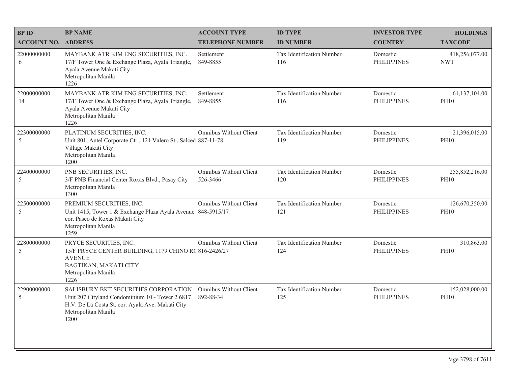| <b>BP ID</b>                  | <b>BP NAME</b>                                                                                                                                                             | <b>ACCOUNT TYPE</b>                        | <b>ID TYPE</b>                   | <b>INVESTOR TYPE</b>           | <b>HOLDINGS</b>               |
|-------------------------------|----------------------------------------------------------------------------------------------------------------------------------------------------------------------------|--------------------------------------------|----------------------------------|--------------------------------|-------------------------------|
| <b>ACCOUNT NO. ADDRESS</b>    |                                                                                                                                                                            | <b>TELEPHONE NUMBER</b>                    | <b>ID NUMBER</b>                 | <b>COUNTRY</b>                 | <b>TAXCODE</b>                |
| 22000000000<br>6              | MAYBANK ATR KIM ENG SECURITIES, INC.<br>17/F Tower One & Exchange Plaza, Ayala Triangle,<br>Ayala Avenue Makati City<br>Metropolitan Manila<br>1226                        | Settlement<br>849-8855                     | Tax Identification Number<br>116 | Domestic<br><b>PHILIPPINES</b> | 418,256,077.00<br><b>NWT</b>  |
| 22000000000<br>14             | MAYBANK ATR KIM ENG SECURITIES, INC.<br>17/F Tower One & Exchange Plaza, Ayala Triangle,<br>Ayala Avenue Makati City<br>Metropolitan Manila<br>1226                        | Settlement<br>849-8855                     | Tax Identification Number<br>116 | Domestic<br><b>PHILIPPINES</b> | 61,137,104.00<br><b>PH10</b>  |
| 22300000000<br>5              | PLATINUM SECURITIES, INC.<br>Unit 801, Antel Corporate Ctr., 121 Valero St., Salced 887-11-78<br>Village Makati City<br>Metropolitan Manila<br>1200                        | <b>Omnibus Without Client</b>              | Tax Identification Number<br>119 | Domestic<br><b>PHILIPPINES</b> | 21,396,015.00<br><b>PH10</b>  |
| 22400000000<br>$\overline{5}$ | PNB SECURITIES, INC.<br>3/F PNB Financial Center Roxas Blvd., Pasay City<br>Metropolitan Manila<br>1300                                                                    | <b>Omnibus Without Client</b><br>526-3466  | Tax Identification Number<br>120 | Domestic<br><b>PHILIPPINES</b> | 255,852,216.00<br><b>PH10</b> |
| 22500000000<br>5              | PREMIUM SECURITIES, INC.<br>Unit 1415, Tower 1 & Exchange Plaza Ayala Avenue 848-5915/17<br>cor. Paseo de Roxas Makati City<br>Metropolitan Manila<br>1259                 | Omnibus Without Client                     | Tax Identification Number<br>121 | Domestic<br><b>PHILIPPINES</b> | 126,670,350.00<br><b>PH10</b> |
| 22800000000<br>5              | PRYCE SECURITIES, INC.<br>15/F PRYCE CENTER BUILDING, 1179 CHINO R( 816-2426/27<br><b>AVENUE</b><br>BAGTIKAN, MAKATI CITY<br>Metropolitan Manila<br>1226                   | Omnibus Without Client                     | Tax Identification Number<br>124 | Domestic<br><b>PHILIPPINES</b> | 310,863.00<br><b>PH10</b>     |
| 22900000000<br>$\overline{5}$ | SALISBURY BKT SECURITIES CORPORATION<br>Unit 207 Cityland Condominium 10 - Tower 2 6817<br>H.V. De La Costa St. cor. Ayala Ave. Makati City<br>Metropolitan Manila<br>1200 | <b>Omnibus Without Client</b><br>892-88-34 | Tax Identification Number<br>125 | Domestic<br><b>PHILIPPINES</b> | 152,028,000.00<br><b>PH10</b> |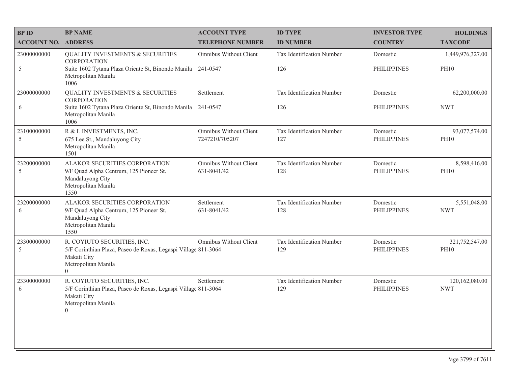| <b>BP ID</b>               | <b>BP NAME</b>                                                                                                                                      | <b>ACCOUNT TYPE</b>                             | <b>ID TYPE</b>                   | <b>INVESTOR TYPE</b>           | <b>HOLDINGS</b>               |
|----------------------------|-----------------------------------------------------------------------------------------------------------------------------------------------------|-------------------------------------------------|----------------------------------|--------------------------------|-------------------------------|
| <b>ACCOUNT NO. ADDRESS</b> |                                                                                                                                                     | <b>TELEPHONE NUMBER</b>                         | <b>ID NUMBER</b>                 | <b>COUNTRY</b>                 | <b>TAXCODE</b>                |
| 23000000000                | <b>QUALITY INVESTMENTS &amp; SECURITIES</b><br><b>CORPORATION</b>                                                                                   | Omnibus Without Client                          | Tax Identification Number        | Domestic                       | 1,449,976,327.00              |
| 5                          | Suite 1602 Tytana Plaza Oriente St, Binondo Manila 241-0547<br>Metropolitan Manila<br>1006                                                          |                                                 | 126                              | <b>PHILIPPINES</b>             | <b>PH10</b>                   |
| 23000000000                | <b>QUALITY INVESTMENTS &amp; SECURITIES</b><br><b>CORPORATION</b>                                                                                   | Settlement                                      | Tax Identification Number        | Domestic                       | 62,200,000.00                 |
| 6                          | Suite 1602 Tytana Plaza Oriente St, Binondo Manila<br>Metropolitan Manila<br>1006                                                                   | 241-0547                                        | 126                              | <b>PHILIPPINES</b>             | <b>NWT</b>                    |
| 23100000000<br>5           | R & L INVESTMENTS, INC.<br>675 Lee St., Mandaluyong City<br>Metropolitan Manila<br>1501                                                             | <b>Omnibus Without Client</b><br>7247210/705207 | Tax Identification Number<br>127 | Domestic<br><b>PHILIPPINES</b> | 93,077,574.00<br><b>PH10</b>  |
| 23200000000<br>5           | ALAKOR SECURITIES CORPORATION<br>9/F Quad Alpha Centrum, 125 Pioneer St.<br>Mandaluyong City<br>Metropolitan Manila<br>1550                         | Omnibus Without Client<br>631-8041/42           | Tax Identification Number<br>128 | Domestic<br><b>PHILIPPINES</b> | 8,598,416.00<br><b>PH10</b>   |
| 23200000000<br>6           | ALAKOR SECURITIES CORPORATION<br>9/F Quad Alpha Centrum, 125 Pioneer St.<br>Mandaluyong City<br>Metropolitan Manila<br>1550                         | Settlement<br>631-8041/42                       | Tax Identification Number<br>128 | Domestic<br><b>PHILIPPINES</b> | 5,551,048.00<br><b>NWT</b>    |
| 23300000000<br>$\sqrt{5}$  | R. COYIUTO SECURITIES, INC.<br>5/F Corinthian Plaza, Paseo de Roxas, Legaspi Village 811-3064<br>Makati City<br>Metropolitan Manila<br>$\Omega$     | Omnibus Without Client                          | Tax Identification Number<br>129 | Domestic<br><b>PHILIPPINES</b> | 321,752,547.00<br><b>PH10</b> |
| 23300000000<br>6           | R. COYIUTO SECURITIES, INC.<br>5/F Corinthian Plaza, Paseo de Roxas, Legaspi Village 811-3064<br>Makati City<br>Metropolitan Manila<br>$\mathbf{0}$ | Settlement                                      | Tax Identification Number<br>129 | Domestic<br><b>PHILIPPINES</b> | 120,162,080.00<br><b>NWT</b>  |
|                            |                                                                                                                                                     |                                                 |                                  |                                |                               |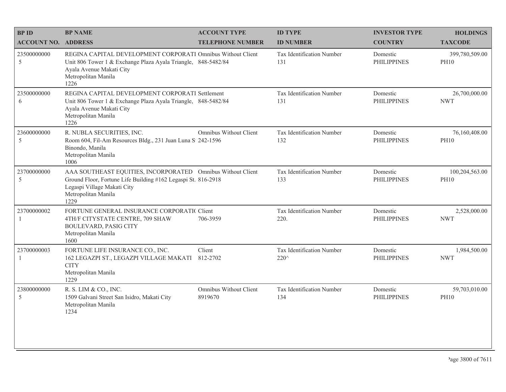| <b>BP ID</b>               | <b>BP NAME</b>                                                                                                                                                                             | <b>ACCOUNT TYPE</b>               | <b>ID TYPE</b>                    | <b>INVESTOR TYPE</b>           | <b>HOLDINGS</b>               |
|----------------------------|--------------------------------------------------------------------------------------------------------------------------------------------------------------------------------------------|-----------------------------------|-----------------------------------|--------------------------------|-------------------------------|
| <b>ACCOUNT NO. ADDRESS</b> |                                                                                                                                                                                            | <b>TELEPHONE NUMBER</b>           | <b>ID NUMBER</b>                  | <b>COUNTRY</b>                 | <b>TAXCODE</b>                |
| 23500000000<br>5           | REGINA CAPITAL DEVELOPMENT CORPORATI Omnibus Without Client<br>Unit 806 Tower 1 & Exchange Plaza Ayala Triangle, 848-5482/84<br>Ayala Avenue Makati City<br>Metropolitan Manila<br>1226    |                                   | Tax Identification Number<br>131  | Domestic<br><b>PHILIPPINES</b> | 399,780,509.00<br><b>PH10</b> |
| 23500000000<br>6           | REGINA CAPITAL DEVELOPMENT CORPORATI Settlement<br>Unit 806 Tower 1 & Exchange Plaza Ayala Triangle, 848-5482/84<br>Ayala Avenue Makati City<br>Metropolitan Manila<br>1226                |                                   | Tax Identification Number<br>131  | Domestic<br><b>PHILIPPINES</b> | 26,700,000.00<br><b>NWT</b>   |
| 23600000000<br>5           | R. NUBLA SECURITIES, INC.<br>Room 604, Fil-Am Resources Bldg., 231 Juan Luna S 242-1596<br>Binondo, Manila<br>Metropolitan Manila<br>1006                                                  | Omnibus Without Client            | Tax Identification Number<br>132  | Domestic<br><b>PHILIPPINES</b> | 76,160,408.00<br><b>PH10</b>  |
| 23700000000<br>5           | AAA SOUTHEAST EQUITIES, INCORPORATED Omnibus Without Client<br>Ground Floor, Fortune Life Building #162 Legaspi St. 816-2918<br>Legaspi Village Makati City<br>Metropolitan Manila<br>1229 |                                   | Tax Identification Number<br>133  | Domestic<br><b>PHILIPPINES</b> | 100,204,563.00<br><b>PH10</b> |
| 23700000002<br>-1          | FORTUNE GENERAL INSURANCE CORPORATIC Client<br>4TH/F CITYSTATE CENTRE, 709 SHAW<br><b>BOULEVARD, PASIG CITY</b><br>Metropolitan Manila<br>1600                                             | 706-3959                          | Tax Identification Number<br>220. | Domestic<br><b>PHILIPPINES</b> | 2,528,000.00<br><b>NWT</b>    |
| 23700000003<br>-1          | FORTUNE LIFE INSURANCE CO., INC.<br>162 LEGAZPI ST., LEGAZPI VILLAGE MAKATI<br><b>CITY</b><br>Metropolitan Manila<br>1229                                                                  | Client<br>812-2702                | Tax Identification Number<br>220^ | Domestic<br><b>PHILIPPINES</b> | 1,984,500.00<br><b>NWT</b>    |
| 23800000000<br>5           | R. S. LIM & CO., INC.<br>1509 Galvani Street San Isidro, Makati City<br>Metropolitan Manila<br>1234                                                                                        | Omnibus Without Client<br>8919670 | Tax Identification Number<br>134  | Domestic<br><b>PHILIPPINES</b> | 59,703,010.00<br><b>PH10</b>  |
|                            |                                                                                                                                                                                            |                                   |                                   |                                |                               |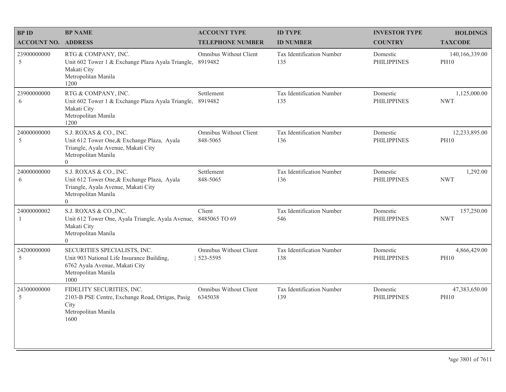| <b>BPID</b>                  | <b>BP NAME</b>                                                                                                                                        | <b>ACCOUNT TYPE</b>                | <b>ID TYPE</b>                          | <b>INVESTOR TYPE</b>           | <b>HOLDINGS</b>               |
|------------------------------|-------------------------------------------------------------------------------------------------------------------------------------------------------|------------------------------------|-----------------------------------------|--------------------------------|-------------------------------|
| <b>ACCOUNT NO. ADDRESS</b>   |                                                                                                                                                       | <b>TELEPHONE NUMBER</b>            | <b>ID NUMBER</b>                        | <b>COUNTRY</b>                 | <b>TAXCODE</b>                |
| 23900000000<br>5             | RTG & COMPANY, INC.<br>Unit 602 Tower 1 & Exchange Plaza Ayala Triangle,<br>Makati City<br>Metropolitan Manila<br>1200                                | Omnibus Without Client<br>8919482  | <b>Tax Identification Number</b><br>135 | Domestic<br><b>PHILIPPINES</b> | 140,166,339.00<br><b>PH10</b> |
| 23900000000<br>6             | RTG & COMPANY, INC.<br>Unit 602 Tower 1 & Exchange Plaza Ayala Triangle,<br>Makati City<br>Metropolitan Manila<br>1200                                | Settlement<br>8919482              | Tax Identification Number<br>135        | Domestic<br><b>PHILIPPINES</b> | 1,125,000.00<br><b>NWT</b>    |
| 24000000000<br>5             | S.J. ROXAS & CO., INC.<br>Unit 612 Tower One, & Exchange Plaza, Ayala<br>Triangle, Ayala Avenue, Makati City<br>Metropolitan Manila<br>$\overline{0}$ | Omnibus Without Client<br>848-5065 | Tax Identification Number<br>136        | Domestic<br><b>PHILIPPINES</b> | 12,233,895.00<br><b>PH10</b>  |
| 24000000000<br>6             | S.J. ROXAS & CO., INC.<br>Unit 612 Tower One, & Exchange Plaza, Ayala<br>Triangle, Ayala Avenue, Makati City<br>Metropolitan Manila<br>$\Omega$       | Settlement<br>848-5065             | Tax Identification Number<br>136        | Domestic<br><b>PHILIPPINES</b> | 1,292.00<br><b>NWT</b>        |
| 24000000002<br>$\mathbf{1}$  | S.J. ROXAS & CO., INC.<br>Unit 612 Tower One, Ayala Triangle, Ayala Avenue,<br>Makati City<br>Metropolitan Manila<br>$\Omega$                         | Client<br>8485065 TO 69            | Tax Identification Number<br>546        | Domestic<br><b>PHILIPPINES</b> | 157,250.00<br><b>NWT</b>      |
| 24200000000<br>$\mathfrak s$ | SECURITIES SPECIALISTS, INC.<br>Unit 903 National Life Insurance Building,<br>6762 Ayala Avenue, Makati City<br>Metropolitan Manila<br>1000           | Omnibus Without Client<br>523-5595 | Tax Identification Number<br>138        | Domestic<br><b>PHILIPPINES</b> | 4,866,429.00<br><b>PH10</b>   |
| 24300000000<br>5             | FIDELITY SECURITIES, INC.<br>2103-B PSE Centre, Exchange Road, Ortigas, Pasig<br>City<br>Metropolitan Manila<br>1600                                  | Omnibus Without Client<br>6345038  | Tax Identification Number<br>139        | Domestic<br><b>PHILIPPINES</b> | 47,383,650.00<br><b>PH10</b>  |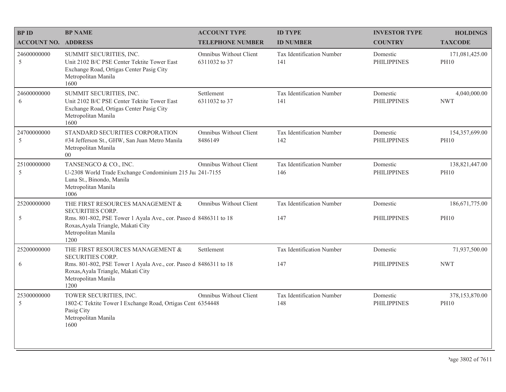| <b>BPID</b>                | <b>BP NAME</b>                                                                                                                                    | <b>ACCOUNT TYPE</b>                      | <b>ID TYPE</b>                   | <b>INVESTOR TYPE</b>           | <b>HOLDINGS</b>               |
|----------------------------|---------------------------------------------------------------------------------------------------------------------------------------------------|------------------------------------------|----------------------------------|--------------------------------|-------------------------------|
| <b>ACCOUNT NO. ADDRESS</b> |                                                                                                                                                   | <b>TELEPHONE NUMBER</b>                  | <b>ID NUMBER</b>                 | <b>COUNTRY</b>                 | <b>TAXCODE</b>                |
| 24600000000<br>5           | SUMMIT SECURITIES, INC.<br>Unit 2102 B/C PSE Center Tektite Tower East<br>Exchange Road, Ortigas Center Pasig City<br>Metropolitan Manila<br>1600 | Omnibus Without Client<br>6311032 to 37  | Tax Identification Number<br>141 | Domestic<br><b>PHILIPPINES</b> | 171,081,425.00<br><b>PH10</b> |
| 24600000000<br>6           | SUMMIT SECURITIES, INC.<br>Unit 2102 B/C PSE Center Tektite Tower East<br>Exchange Road, Ortigas Center Pasig City<br>Metropolitan Manila<br>1600 | Settlement<br>6311032 to 37              | Tax Identification Number<br>141 | Domestic<br><b>PHILIPPINES</b> | 4,040,000.00<br><b>NWT</b>    |
| 24700000000<br>5           | STANDARD SECURITIES CORPORATION<br>#34 Jefferson St., GHW, San Juan Metro Manila<br>Metropolitan Manila<br>00 <sup>°</sup>                        | <b>Omnibus Without Client</b><br>8486149 | Tax Identification Number<br>142 | Domestic<br><b>PHILIPPINES</b> | 154,357,699.00<br><b>PH10</b> |
| 25100000000<br>5           | TANSENGCO & CO., INC.<br>U-2308 World Trade Exchange Condominium 215 Jul 241-7155<br>Luna St., Binondo, Manila<br>Metropolitan Manila<br>1006     | <b>Omnibus Without Client</b>            | Tax Identification Number<br>146 | Domestic<br><b>PHILIPPINES</b> | 138,821,447.00<br><b>PH10</b> |
| 25200000000                | THE FIRST RESOURCES MANAGEMENT &<br><b>SECURITIES CORP.</b>                                                                                       | Omnibus Without Client                   | Tax Identification Number        | Domestic                       | 186, 671, 775.00              |
| 5                          | Rms. 801-802, PSE Tower 1 Ayala Ave., cor. Paseo d 8486311 to 18<br>Roxas, Ayala Triangle, Makati City<br>Metropolitan Manila<br>1200             |                                          | 147                              | <b>PHILIPPINES</b>             | <b>PH10</b>                   |
| 25200000000                | THE FIRST RESOURCES MANAGEMENT &<br><b>SECURITIES CORP.</b>                                                                                       | Settlement                               | Tax Identification Number        | Domestic                       | 71,937,500.00                 |
| 6                          | Rms. 801-802, PSE Tower 1 Ayala Ave., cor. Paseo d 8486311 to 18<br>Roxas, Ayala Triangle, Makati City<br>Metropolitan Manila<br>1200             |                                          | 147                              | <b>PHILIPPINES</b>             | <b>NWT</b>                    |
| 25300000000<br>5           | TOWER SECURITIES, INC.<br>1802-C Tektite Tower I Exchange Road, Ortigas Cent 6354448<br>Pasig City<br>Metropolitan Manila<br>1600                 | Omnibus Without Client                   | Tax Identification Number<br>148 | Domestic<br><b>PHILIPPINES</b> | 378,153,870.00<br><b>PH10</b> |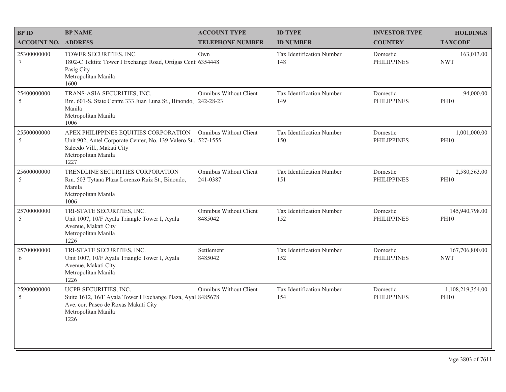| <b>BPID</b>                    | <b>BP NAME</b>                                                                                                                                                       | <b>ACCOUNT TYPE</b>                | <b>ID TYPE</b>                   | <b>INVESTOR TYPE</b>           | <b>HOLDINGS</b>                 |
|--------------------------------|----------------------------------------------------------------------------------------------------------------------------------------------------------------------|------------------------------------|----------------------------------|--------------------------------|---------------------------------|
| <b>ACCOUNT NO. ADDRESS</b>     |                                                                                                                                                                      | <b>TELEPHONE NUMBER</b>            | <b>ID NUMBER</b>                 | <b>COUNTRY</b>                 | <b>TAXCODE</b>                  |
| 25300000000<br>$7\phantom{.0}$ | TOWER SECURITIES, INC.<br>1802-C Tektite Tower I Exchange Road, Ortigas Cent 6354448<br>Pasig City<br>Metropolitan Manila<br>1600                                    | Own                                | Tax Identification Number<br>148 | Domestic<br><b>PHILIPPINES</b> | 163,013.00<br><b>NWT</b>        |
| 25400000000<br>5               | TRANS-ASIA SECURITIES, INC.<br>Rm. 601-S, State Centre 333 Juan Luna St., Binondo, 242-28-23<br>Manila<br>Metropolitan Manila<br>1006                                | Omnibus Without Client             | Tax Identification Number<br>149 | Domestic<br><b>PHILIPPINES</b> | 94,000.00<br><b>PH10</b>        |
| 25500000000<br>5               | APEX PHILIPPINES EQUITIES CORPORATION<br>Unit 902, Antel Corporate Center, No. 139 Valero St., 527-1555<br>Salcedo Vill., Makati City<br>Metropolitan Manila<br>1227 | Omnibus Without Client             | Tax Identification Number<br>150 | Domestic<br><b>PHILIPPINES</b> | 1,001,000.00<br><b>PH10</b>     |
| 25600000000<br>5               | TRENDLINE SECURITIES CORPORATION<br>Rm. 503 Tytana Plaza Lorenzo Ruiz St., Binondo,<br>Manila<br>Metropolitan Manila<br>1006                                         | Omnibus Without Client<br>241-0387 | Tax Identification Number<br>151 | Domestic<br><b>PHILIPPINES</b> | 2,580,563.00<br><b>PH10</b>     |
| 25700000000<br>5               | TRI-STATE SECURITIES, INC.<br>Unit 1007, 10/F Ayala Triangle Tower I, Ayala<br>Avenue, Makati City<br>Metropolitan Manila<br>1226                                    | Omnibus Without Client<br>8485042  | Tax Identification Number<br>152 | Domestic<br><b>PHILIPPINES</b> | 145,940,798.00<br><b>PH10</b>   |
| 25700000000<br>6               | TRI-STATE SECURITIES, INC.<br>Unit 1007, 10/F Ayala Triangle Tower I, Ayala<br>Avenue, Makati City<br>Metropolitan Manila<br>1226                                    | Settlement<br>8485042              | Tax Identification Number<br>152 | Domestic<br><b>PHILIPPINES</b> | 167,706,800.00<br><b>NWT</b>    |
| 25900000000<br>5               | UCPB SECURITIES, INC.<br>Suite 1612, 16/F Ayala Tower I Exchange Plaza, Ayal 8485678<br>Ave. cor. Paseo de Roxas Makati City<br>Metropolitan Manila<br>1226          | <b>Omnibus Without Client</b>      | Tax Identification Number<br>154 | Domestic<br><b>PHILIPPINES</b> | 1,108,219,354.00<br><b>PH10</b> |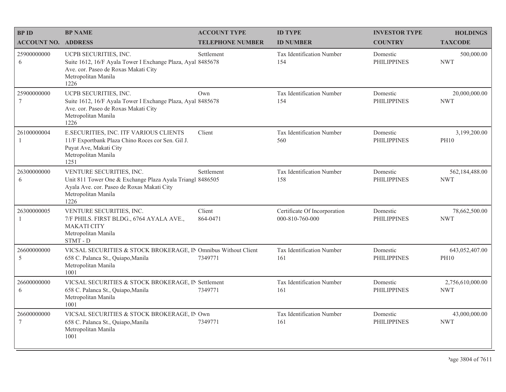| <b>BP ID</b>                  | <b>BP NAME</b>                                                                                                                                                     | <b>ACCOUNT TYPE</b>     | <b>ID TYPE</b>                                  | <b>INVESTOR TYPE</b>           | <b>HOLDINGS</b>                |
|-------------------------------|--------------------------------------------------------------------------------------------------------------------------------------------------------------------|-------------------------|-------------------------------------------------|--------------------------------|--------------------------------|
| <b>ACCOUNT NO. ADDRESS</b>    |                                                                                                                                                                    | <b>TELEPHONE NUMBER</b> | <b>ID NUMBER</b>                                | <b>COUNTRY</b>                 | <b>TAXCODE</b>                 |
| 25900000000<br>6              | UCPB SECURITIES, INC.<br>Suite 1612, 16/F Ayala Tower I Exchange Plaza, Ayal 8485678<br>Ave. cor. Paseo de Roxas Makati City<br>Metropolitan Manila<br>1226        | Settlement              | Tax Identification Number<br>154                | Domestic<br><b>PHILIPPINES</b> | 500,000.00<br><b>NWT</b>       |
| 25900000000<br>7              | UCPB SECURITIES, INC.<br>Suite 1612, 16/F Ayala Tower I Exchange Plaza, Ayal 8485678<br>Ave. cor. Paseo de Roxas Makati City<br>Metropolitan Manila<br>1226        | Own                     | Tax Identification Number<br>154                | Domestic<br><b>PHILIPPINES</b> | 20,000,000.00<br><b>NWT</b>    |
| 26100000004<br>-1             | E.SECURITIES, INC. ITF VARIOUS CLIENTS<br>11/F Exportbank Plaza Chino Roces cor Sen. Gil J.<br>Puyat Ave, Makati City<br>Metropolitan Manila<br>1251               | Client                  | Tax Identification Number<br>560                | Domestic<br><b>PHILIPPINES</b> | 3,199,200.00<br><b>PH10</b>    |
| 26300000000<br>6              | VENTURE SECURITIES, INC.<br>Unit 811 Tower One & Exchange Plaza Ayala Triangl 8486505<br>Ayala Ave. cor. Paseo de Roxas Makati City<br>Metropolitan Manila<br>1226 | Settlement              | Tax Identification Number<br>158                | Domestic<br><b>PHILIPPINES</b> | 562,184,488.00<br><b>NWT</b>   |
| 26300000005<br>$\overline{1}$ | VENTURE SECURITIES, INC.<br>7/F PHILS. FIRST BLDG., 6764 AYALA AVE.,<br><b>MAKATI CITY</b><br>Metropolitan Manila<br>STMT-D                                        | Client<br>864-0471      | Certificate Of Incorporation<br>000-810-760-000 | Domestic<br><b>PHILIPPINES</b> | 78,662,500.00<br><b>NWT</b>    |
| 26600000000<br>5              | VICSAL SECURITIES & STOCK BROKERAGE, IN Omnibus Without Client<br>658 C. Palanca St., Quiapo, Manila<br>Metropolitan Manila<br>1001                                | 7349771                 | Tax Identification Number<br>161                | Domestic<br><b>PHILIPPINES</b> | 643,052,407.00<br><b>PH10</b>  |
| 26600000000<br>6              | VICSAL SECURITIES & STOCK BROKERAGE, IN Settlement<br>658 C. Palanca St., Quiapo, Manila<br>Metropolitan Manila<br>1001                                            | 7349771                 | Tax Identification Number<br>161                | Domestic<br><b>PHILIPPINES</b> | 2,756,610,000.00<br><b>NWT</b> |
| 26600000000<br>$\tau$         | VICSAL SECURITIES & STOCK BROKERAGE, IN Own<br>658 C. Palanca St., Quiapo, Manila<br>Metropolitan Manila<br>1001                                                   | 7349771                 | Tax Identification Number<br>161                | Domestic<br><b>PHILIPPINES</b> | 43,000,000.00<br><b>NWT</b>    |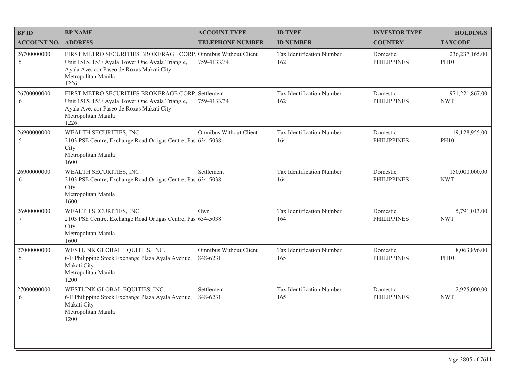| <b>BPID</b>                | <b>BP NAME</b>                                                                                                                                                                               | <b>ACCOUNT TYPE</b>                | <b>ID TYPE</b>                   | <b>INVESTOR TYPE</b>           | <b>HOLDINGS</b>                 |
|----------------------------|----------------------------------------------------------------------------------------------------------------------------------------------------------------------------------------------|------------------------------------|----------------------------------|--------------------------------|---------------------------------|
| <b>ACCOUNT NO. ADDRESS</b> |                                                                                                                                                                                              | <b>TELEPHONE NUMBER</b>            | <b>ID NUMBER</b>                 | <b>COUNTRY</b>                 | <b>TAXCODE</b>                  |
| 26700000000<br>5           | FIRST METRO SECURITIES BROKERAGE CORP. Omnibus Without Client<br>Unit 1515, 15/F Ayala Tower One Ayala Triangle,<br>Ayala Ave. cor Paseo de Roxas Makati City<br>Metropolitan Manila<br>1226 | 759-4133/34                        | Tax Identification Number<br>162 | Domestic<br><b>PHILIPPINES</b> | 236, 237, 165.00<br><b>PH10</b> |
| 26700000000<br>6           | FIRST METRO SECURITIES BROKERAGE CORP. Settlement<br>Unit 1515, 15/F Ayala Tower One Ayala Triangle,<br>Ayala Ave. cor Paseo de Roxas Makati City<br>Metropolitan Manila<br>1226             | 759-4133/34                        | Tax Identification Number<br>162 | Domestic<br><b>PHILIPPINES</b> | 971,221,867.00<br><b>NWT</b>    |
| 26900000000<br>5           | WEALTH SECURITIES, INC.<br>2103 PSE Centre, Exchange Road Ortigas Centre, Pas 634-5038<br>City<br>Metropolitan Manila<br>1600                                                                | Omnibus Without Client             | Tax Identification Number<br>164 | Domestic<br><b>PHILIPPINES</b> | 19,128,955.00<br><b>PH10</b>    |
| 26900000000<br>6           | WEALTH SECURITIES, INC.<br>2103 PSE Centre, Exchange Road Ortigas Centre, Pas 634-5038<br>City<br>Metropolitan Manila<br>1600                                                                | Settlement                         | Tax Identification Number<br>164 | Domestic<br><b>PHILIPPINES</b> | 150,000,000.00<br><b>NWT</b>    |
| 26900000000<br>7           | WEALTH SECURITIES, INC.<br>2103 PSE Centre, Exchange Road Ortigas Centre, Pas 634-5038<br>City<br>Metropolitan Manila<br>1600                                                                | Own                                | Tax Identification Number<br>164 | Domestic<br><b>PHILIPPINES</b> | 5,791,013.00<br><b>NWT</b>      |
| 27000000000<br>5           | WESTLINK GLOBAL EQUITIES, INC.<br>6/F Philippine Stock Exchange Plaza Ayala Avenue,<br>Makati City<br>Metropolitan Manila<br>1200                                                            | Omnibus Without Client<br>848-6231 | Tax Identification Number<br>165 | Domestic<br><b>PHILIPPINES</b> | 8,063,896.00<br><b>PH10</b>     |
| 27000000000<br>6           | WESTLINK GLOBAL EQUITIES, INC.<br>6/F Philippine Stock Exchange Plaza Ayala Avenue,<br>Makati City<br>Metropolitan Manila<br>1200                                                            | Settlement<br>848-6231             | Tax Identification Number<br>165 | Domestic<br><b>PHILIPPINES</b> | 2,925,000.00<br><b>NWT</b>      |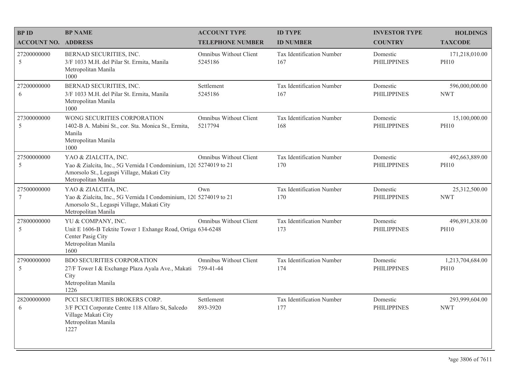| <b>BP ID</b>               | <b>BP NAME</b>                                                                                                                                                 | <b>ACCOUNT TYPE</b>                      | <b>ID TYPE</b>                   | <b>INVESTOR TYPE</b>           | <b>HOLDINGS</b>                 |
|----------------------------|----------------------------------------------------------------------------------------------------------------------------------------------------------------|------------------------------------------|----------------------------------|--------------------------------|---------------------------------|
| <b>ACCOUNT NO. ADDRESS</b> |                                                                                                                                                                | <b>TELEPHONE NUMBER</b>                  | <b>ID NUMBER</b>                 | <b>COUNTRY</b>                 | <b>TAXCODE</b>                  |
| 27200000000<br>5           | BERNAD SECURITIES, INC.<br>3/F 1033 M.H. del Pilar St. Ermita, Manila<br>Metropolitan Manila<br>1000                                                           | <b>Omnibus Without Client</b><br>5245186 | Tax Identification Number<br>167 | Domestic<br><b>PHILIPPINES</b> | 171,218,010.00<br><b>PH10</b>   |
| 27200000000<br>6           | BERNAD SECURITIES, INC.<br>3/F 1033 M.H. del Pilar St. Ermita, Manila<br>Metropolitan Manila<br>1000                                                           | Settlement<br>5245186                    | Tax Identification Number<br>167 | Domestic<br><b>PHILIPPINES</b> | 596,000,000.00<br><b>NWT</b>    |
| 27300000000<br>5           | WONG SECURITIES CORPORATION<br>1402-B A. Mabini St., cor. Sta. Monica St., Ermita,<br>Manila<br>Metropolitan Manila<br>1000                                    | Omnibus Without Client<br>5217794        | Tax Identification Number<br>168 | Domestic<br><b>PHILIPPINES</b> | 15,100,000.00<br><b>PH10</b>    |
| 27500000000<br>5           | YAO & ZIALCITA, INC.<br>Yao & Zialcita, Inc., 5G Vernida I Condominium, 120 5274019 to 21<br>Amorsolo St., Legaspi Village, Makati City<br>Metropolitan Manila | Omnibus Without Client                   | Tax Identification Number<br>170 | Domestic<br><b>PHILIPPINES</b> | 492,663,889.00<br><b>PH10</b>   |
| 27500000000<br>$\tau$      | YAO & ZIALCITA, INC.<br>Yao & Zialcita, Inc., 5G Vernida I Condominium, 120 5274019 to 21<br>Amorsolo St., Legaspi Village, Makati City<br>Metropolitan Manila | Own                                      | Tax Identification Number<br>170 | Domestic<br><b>PHILIPPINES</b> | 25,312,500.00<br><b>NWT</b>     |
| 27800000000<br>5           | YU & COMPANY, INC.<br>Unit E 1606-B Tektite Tower 1 Exhange Road, Ortiga 634-6248<br>Center Pasig City<br>Metropolitan Manila<br>1600                          | Omnibus Without Client                   | Tax Identification Number<br>173 | Domestic<br><b>PHILIPPINES</b> | 496,891,838.00<br><b>PH10</b>   |
| 27900000000<br>5           | <b>BDO SECURITIES CORPORATION</b><br>27/F Tower I & Exchange Plaza Ayala Ave., Makati<br>City<br>Metropolitan Manila<br>1226                                   | Omnibus Without Client<br>759-41-44      | Tax Identification Number<br>174 | Domestic<br><b>PHILIPPINES</b> | 1,213,704,684.00<br><b>PH10</b> |
| 28200000000<br>6           | PCCI SECURITIES BROKERS CORP.<br>3/F PCCI Corporate Centre 118 Alfaro St, Salcedo<br>Village Makati City<br>Metropolitan Manila<br>1227                        | Settlement<br>893-3920                   | Tax Identification Number<br>177 | Domestic<br><b>PHILIPPINES</b> | 293,999,604.00<br><b>NWT</b>    |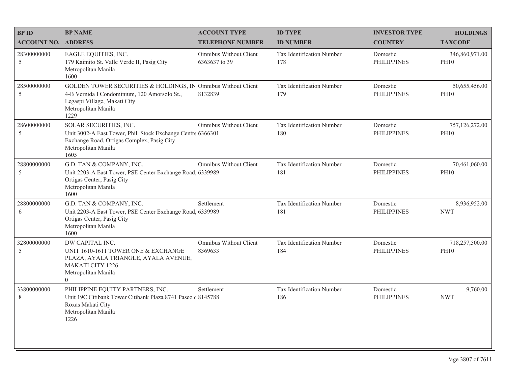| <b>BPID</b>                | <b>BP NAME</b>                                                                                                                                                               | <b>ACCOUNT TYPE</b>                      | <b>ID TYPE</b>                   | <b>INVESTOR TYPE</b>           | <b>HOLDINGS</b>               |
|----------------------------|------------------------------------------------------------------------------------------------------------------------------------------------------------------------------|------------------------------------------|----------------------------------|--------------------------------|-------------------------------|
| <b>ACCOUNT NO. ADDRESS</b> |                                                                                                                                                                              | <b>TELEPHONE NUMBER</b>                  | <b>ID NUMBER</b>                 | <b>COUNTRY</b>                 | <b>TAXCODE</b>                |
| 28300000000<br>5           | EAGLE EQUITIES, INC.<br>179 Kaimito St. Valle Verde II, Pasig City<br>Metropolitan Manila<br>1600                                                                            | Omnibus Without Client<br>6363637 to 39  | Tax Identification Number<br>178 | Domestic<br><b>PHILIPPINES</b> | 346,860,971.00<br><b>PH10</b> |
| 28500000000<br>5           | GOLDEN TOWER SECURITIES & HOLDINGS, IN Omnibus Without Client<br>4-B Vernida I Condominium, 120 Amorsolo St.,<br>Legaspi Village, Makati City<br>Metropolitan Manila<br>1229 | 8132839                                  | Tax Identification Number<br>179 | Domestic<br><b>PHILIPPINES</b> | 50,655,456.00<br><b>PH10</b>  |
| 28600000000<br>5           | SOLAR SECURITIES, INC.<br>Unit 3002-A East Tower, Phil. Stock Exchange Centr 6366301<br>Exchange Road, Ortigas Complex, Pasig City<br>Metropolitan Manila<br>1605            | Omnibus Without Client                   | Tax Identification Number<br>180 | Domestic<br><b>PHILIPPINES</b> | 757,126,272.00<br><b>PH10</b> |
| 28800000000<br>5           | G.D. TAN & COMPANY, INC.<br>Unit 2203-A East Tower, PSE Center Exchange Road, 6339989<br>Ortigas Center, Pasig City<br>Metropolitan Manila<br>1600                           | Omnibus Without Client                   | Tax Identification Number<br>181 | Domestic<br><b>PHILIPPINES</b> | 70,461,060.00<br><b>PH10</b>  |
| 28800000000<br>6           | G.D. TAN & COMPANY, INC.<br>Unit 2203-A East Tower, PSE Center Exchange Road. 6339989<br>Ortigas Center, Pasig City<br>Metropolitan Manila<br>1600                           | Settlement                               | Tax Identification Number<br>181 | Domestic<br><b>PHILIPPINES</b> | 8,936,952.00<br><b>NWT</b>    |
| 32800000000<br>5           | DW CAPITAL INC.<br>UNIT 1610-1611 TOWER ONE & EXCHANGE<br>PLAZA, AYALA TRIANGLE, AYALA AVENUE,<br><b>MAKATI CITY 1226</b><br>Metropolitan Manila<br>$\Omega$                 | <b>Omnibus Without Client</b><br>8369633 | Tax Identification Number<br>184 | Domestic<br><b>PHILIPPINES</b> | 718,257,500.00<br><b>PH10</b> |
| 33800000000<br>8           | PHILIPPINE EQUITY PARTNERS, INC.<br>Unit 19C Citibank Tower Citibank Plaza 8741 Paseo c 8145788<br>Roxas Makati City<br>Metropolitan Manila<br>1226                          | Settlement                               | Tax Identification Number<br>186 | Domestic<br><b>PHILIPPINES</b> | 9,760.00<br><b>NWT</b>        |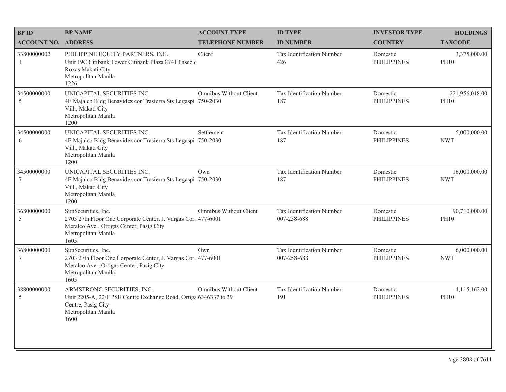| <b>BPID</b>                    | <b>BP NAME</b>                                                                                                                                                  | <b>ACCOUNT TYPE</b>           | <b>ID TYPE</b>                           | <b>INVESTOR TYPE</b>           | <b>HOLDINGS</b>               |
|--------------------------------|-----------------------------------------------------------------------------------------------------------------------------------------------------------------|-------------------------------|------------------------------------------|--------------------------------|-------------------------------|
| <b>ACCOUNT NO. ADDRESS</b>     |                                                                                                                                                                 | <b>TELEPHONE NUMBER</b>       | <b>ID NUMBER</b>                         | <b>COUNTRY</b>                 | <b>TAXCODE</b>                |
| 33800000002<br>$\mathbf{1}$    | PHILIPPINE EQUITY PARTNERS, INC.<br>Unit 19C Citibank Tower Citibank Plaza 8741 Paseo o<br>Roxas Makati City<br>Metropolitan Manila<br>1226                     | Client                        | Tax Identification Number<br>426         | Domestic<br><b>PHILIPPINES</b> | 3,375,000.00<br><b>PH10</b>   |
| 34500000000<br>5               | UNICAPITAL SECURITIES INC.<br>4F Majalco Bldg Benavidez cor Trasierra Sts Legaspi 750-2030<br>Vill., Makati City<br>Metropolitan Manila<br>1200                 | <b>Omnibus Without Client</b> | Tax Identification Number<br>187         | Domestic<br><b>PHILIPPINES</b> | 221,956,018.00<br><b>PH10</b> |
| 34500000000<br>6               | UNICAPITAL SECURITIES INC.<br>4F Majalco Bldg Benavidez cor Trasierra Sts Legaspi 750-2030<br>Vill., Makati City<br>Metropolitan Manila<br>1200                 | Settlement                    | Tax Identification Number<br>187         | Domestic<br><b>PHILIPPINES</b> | 5,000,000.00<br><b>NWT</b>    |
| 34500000000<br>$7\phantom{.0}$ | UNICAPITAL SECURITIES INC.<br>4F Majalco Bldg Benavidez cor Trasierra Sts Legaspi 750-2030<br>Vill., Makati City<br>Metropolitan Manila<br>1200                 | Own                           | Tax Identification Number<br>187         | Domestic<br><b>PHILIPPINES</b> | 16,000,000.00<br><b>NWT</b>   |
| 36800000000<br>5               | SunSecurities, Inc.<br>2703 27th Floor One Corporate Center, J. Vargas Cor. 477-6001<br>Meralco Ave., Ortigas Center, Pasig City<br>Metropolitan Manila<br>1605 | <b>Omnibus Without Client</b> | Tax Identification Number<br>007-258-688 | Domestic<br><b>PHILIPPINES</b> | 90,710,000.00<br><b>PH10</b>  |
| 36800000000<br>7               | SunSecurities, Inc.<br>2703 27th Floor One Corporate Center, J. Vargas Cor. 477-6001<br>Meralco Ave., Ortigas Center, Pasig City<br>Metropolitan Manila<br>1605 | Own                           | Tax Identification Number<br>007-258-688 | Domestic<br><b>PHILIPPINES</b> | 6,000,000.00<br><b>NWT</b>    |
| 38800000000<br>5               | ARMSTRONG SECURITIES, INC.<br>Unit 2205-A, 22/F PSE Centre Exchange Road, Ortiga 6346337 to 39<br>Centre, Pasig City<br>Metropolitan Manila<br>1600             | Omnibus Without Client        | Tax Identification Number<br>191         | Domestic<br><b>PHILIPPINES</b> | 4,115,162.00<br><b>PH10</b>   |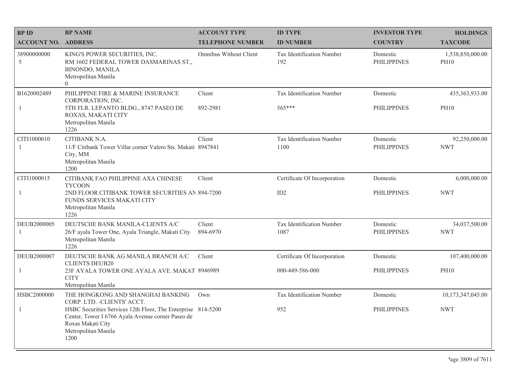| <b>BPID</b>                | <b>BP NAME</b>                                                                                                                                                        | <b>ACCOUNT TYPE</b>     | <b>ID TYPE</b>                    | <b>INVESTOR TYPE</b>           | <b>HOLDINGS</b>                 |
|----------------------------|-----------------------------------------------------------------------------------------------------------------------------------------------------------------------|-------------------------|-----------------------------------|--------------------------------|---------------------------------|
| <b>ACCOUNT NO. ADDRESS</b> |                                                                                                                                                                       | <b>TELEPHONE NUMBER</b> | <b>ID NUMBER</b>                  | <b>COUNTRY</b>                 | <b>TAXCODE</b>                  |
| 38900000000<br>5           | KING'S POWER SECURITIES, INC.<br>RM 1602 FEDERAL TOWER DASMARINAS ST.,<br><b>BINONDO, MANILA</b><br>Metropolitan Manila<br>$\overline{0}$                             | Omnibus Without Client  | Tax Identification Number<br>192  | Domestic<br><b>PHILIPPINES</b> | 1,538,850,000.00<br><b>PH10</b> |
| B1620002489                | PHILIPPINE FIRE & MARINE INSURANCE<br>CORPORATION, INC.                                                                                                               | Client                  | Tax Identification Number         | Domestic                       | 435, 363, 933.00                |
| -1                         | 5TH FLR. LEPANTO BLDG., 8747 PASEO DE<br>ROXAS, MAKATI CITY<br>Metropolitan Manila<br>1226                                                                            | 892-2981                | 565***                            | <b>PHILIPPINES</b>             | <b>PH10</b>                     |
| CITI1000010                | CITIBANK N.A.                                                                                                                                                         | Client                  | Tax Identification Number         | Domestic                       | 92,250,000.00                   |
| -1                         | 11/F Citibank Tower Villar corner Valero Sts. Makati 8947841<br>City, MM<br>Metropolitan Manila<br>1200                                                               |                         | 1100                              | <b>PHILIPPINES</b>             | <b>NWT</b>                      |
| CITI1000015                | CITIBANK FAO PHILIPPINE AXA CHINESE<br><b>TYCOON</b>                                                                                                                  | Client                  | Certificate Of Incorporation      | Domestic                       | 6,000,000.00                    |
| 1                          | 2ND FLOOR CITIBANK TOWER SECURITIES AN 894-7200<br>FUNDS SERVICES MAKATI CITY<br>Metropolitan Manila<br>1226                                                          |                         | ID2                               | <b>PHILIPPINES</b>             | <b>NWT</b>                      |
| DEUB2000005<br>-1          | DEUTSCHE BANK MANILA-CLIENTS A/C<br>26/F ayala Tower One, Ayala Triangle, Makati City<br>Metropolitan Manila<br>1226                                                  | Client<br>894-6970      | Tax Identification Number<br>1087 | Domestic<br><b>PHILIPPINES</b> | 34,037,500.00<br><b>NWT</b>     |
| DEUB2000007                | DEUTSCHE BANK AG MANILA BRANCH A/C<br><b>CLIENTS DEUB20</b>                                                                                                           | Client                  | Certificate Of Incorporation      | Domestic                       | 107,400,000.00                  |
| $\mathbf{1}$               | 23F AYALA TOWER ONE AYALA AVE. MAKAT. 8946989<br><b>CITY</b><br>Metropolitan Manila                                                                                   |                         | 000-449-586-000                   | <b>PHILIPPINES</b>             | <b>PH10</b>                     |
| HSBC2000000                | THE HONGKONG AND SHANGHAI BANKING<br>CORP. LTD. - CLIENTS' ACCT.                                                                                                      | Own                     | Tax Identification Number         | Domestic                       | 10,173,347,045.00               |
| 1                          | HSBC Securities Services 12th Floor, The Enterprise 814-5200<br>Center, Tower I 6766 Ayala Avenue corner Paseo de<br>Roxas Makati City<br>Metropolitan Manila<br>1200 |                         | 952                               | <b>PHILIPPINES</b>             | <b>NWT</b>                      |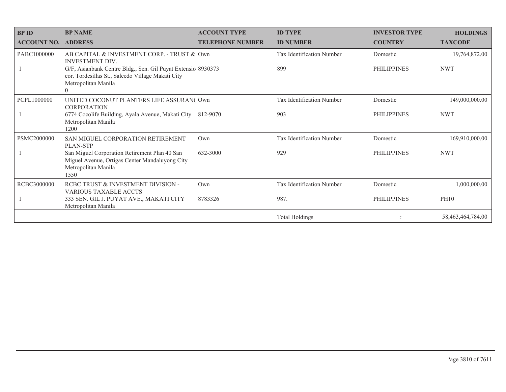| <b>BPID</b><br><b>ACCOUNT NO.</b> | <b>BP NAME</b><br><b>ADDRESS</b>                                                                                                                     | <b>ACCOUNT TYPE</b><br><b>TELEPHONE NUMBER</b> | <b>ID TYPE</b><br><b>ID NUMBER</b> | <b>INVESTOR TYPE</b><br><b>COUNTRY</b> | <b>HOLDINGS</b><br><b>TAXCODE</b> |
|-----------------------------------|------------------------------------------------------------------------------------------------------------------------------------------------------|------------------------------------------------|------------------------------------|----------------------------------------|-----------------------------------|
| PABC1000000                       | AB CAPITAL & INVESTMENT CORP. - TRUST & Own<br><b>INVESTMENT DIV.</b>                                                                                |                                                | <b>Tax Identification Number</b>   | Domestic                               | 19,764,872.00                     |
|                                   | G/F, Asianbank Centre Bldg., Sen. Gil Puyat Extensio 8930373<br>cor. Tordesillas St., Salcedo Village Makati City<br>Metropolitan Manila<br>$\theta$ |                                                | 899                                | <b>PHILIPPINES</b>                     | <b>NWT</b>                        |
| PCPL1000000                       | UNITED COCONUT PLANTERS LIFE ASSURAN(Own<br><b>CORPORATION</b>                                                                                       |                                                | Tax Identification Number          | Domestic                               | 149,000,000.00                    |
|                                   | 6774 Cocolife Building, Ayala Avenue, Makati City<br>Metropolitan Manila<br>1200                                                                     | 812-9070                                       | 903                                | <b>PHILIPPINES</b>                     | <b>NWT</b>                        |
| PSMC2000000                       | SAN MIGUEL CORPORATION RETIREMENT<br>PLAN-STP                                                                                                        | Own                                            | Tax Identification Number          | Domestic                               | 169,910,000.00                    |
|                                   | San Miguel Corporation Retirement Plan 40 San<br>Miguel Avenue, Ortigas Center Mandaluyong City<br>Metropolitan Manila<br>1550                       | 632-3000                                       | 929                                | <b>PHILIPPINES</b>                     | <b>NWT</b>                        |
| RCBC3000000                       | RCBC TRUST & INVESTMENT DIVISION -<br><b>VARIOUS TAXABLE ACCTS</b>                                                                                   | Own                                            | Tax Identification Number          | Domestic                               | 1,000,000.00                      |
|                                   | 333 SEN. GIL J. PUYAT AVE., MAKATI CITY<br>Metropolitan Manila                                                                                       | 8783326                                        | 987.                               | <b>PHILIPPINES</b>                     | <b>PH10</b>                       |
|                                   |                                                                                                                                                      |                                                | <b>Total Holdings</b>              |                                        | 58,463,464,784.00                 |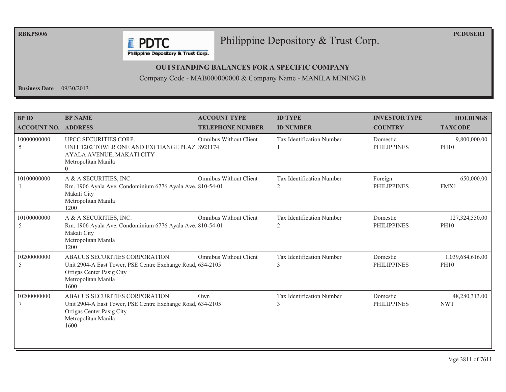**RBKPS006** 

**PCDUSER1** 

## Philippine Depository & Trust Corp.

Philippine Depository & Trust Corp.

**F** PDTC

#### **OUTSTANDING BALANCES FOR A SPECIFIC COMPANY**

Company Code - MAB000000000 & Company Name - MANILA MINING B

**Business Date**  $09/30/2013$ 

| <b>BP ID</b><br><b>ACCOUNT NO. ADDRESS</b> | <b>BP NAME</b>                                                                                                                                         | <b>ACCOUNT TYPE</b><br><b>TELEPHONE NUMBER</b> | <b>ID TYPE</b><br><b>ID NUMBER</b>          | <b>INVESTOR TYPE</b><br><b>COUNTRY</b> | <b>HOLDINGS</b><br><b>TAXCODE</b> |
|--------------------------------------------|--------------------------------------------------------------------------------------------------------------------------------------------------------|------------------------------------------------|---------------------------------------------|----------------------------------------|-----------------------------------|
| 10000000000<br>5                           | UPCC SECURITIES CORP.<br>UNIT 1202 TOWER ONE AND EXCHANGE PLAZ 8921174<br>AYALA AVENUE, MAKATI CITY<br>Metropolitan Manila<br>$\Omega$                 | <b>Omnibus Without Client</b>                  | <b>Tax Identification Number</b>            | Domestic<br><b>PHILIPPINES</b>         | 9,800,000.00<br><b>PH10</b>       |
| 10100000000                                | A & A SECURITIES, INC.<br>Rm. 1906 Ayala Ave. Condominium 6776 Ayala Ave. 810-54-01<br>Makati City<br>Metropolitan Manila<br>1200                      | <b>Omnibus Without Client</b>                  | Tax Identification Number<br>2              | Foreign<br><b>PHILIPPINES</b>          | 650,000.00<br>FMX1                |
| 10100000000<br>5                           | A & A SECURITIES, INC.<br>Rm. 1906 Ayala Ave. Condominium 6776 Ayala Ave. 810-54-01<br>Makati City<br>Metropolitan Manila<br>1200                      | Omnibus Without Client                         | Tax Identification Number<br>$\overline{2}$ | Domestic<br><b>PHILIPPINES</b>         | 127,324,550.00<br><b>PH10</b>     |
| 10200000000<br>5                           | ABACUS SECURITIES CORPORATION<br>Unit 2904-A East Tower, PSE Centre Exchange Road 634-2105<br>Ortigas Center Pasig City<br>Metropolitan Manila<br>1600 | <b>Omnibus Without Client</b>                  | Tax Identification Number<br>3              | Domestic<br><b>PHILIPPINES</b>         | 1,039,684,616.00<br><b>PH10</b>   |
| 10200000000                                | ABACUS SECURITIES CORPORATION<br>Unit 2904-A East Tower, PSE Centre Exchange Road 634-2105<br>Ortigas Center Pasig City<br>Metropolitan Manila<br>1600 | Own                                            | Tax Identification Number<br>3              | Domestic<br><b>PHILIPPINES</b>         | 48,280,313.00<br><b>NWT</b>       |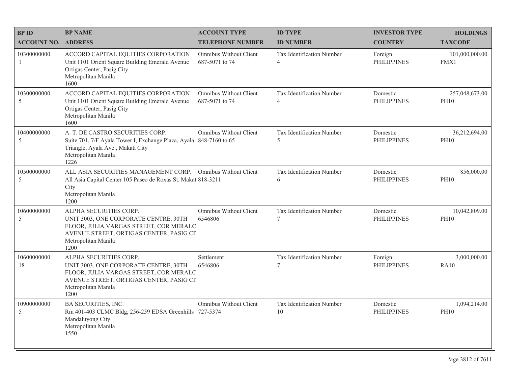| <b>BPID</b>                | <b>BP NAME</b>                                                                                                                                                                      | <b>ACCOUNT TYPE</b>                             | <b>ID TYPE</b>                              | <b>INVESTOR TYPE</b>           | <b>HOLDINGS</b>               |
|----------------------------|-------------------------------------------------------------------------------------------------------------------------------------------------------------------------------------|-------------------------------------------------|---------------------------------------------|--------------------------------|-------------------------------|
| <b>ACCOUNT NO. ADDRESS</b> |                                                                                                                                                                                     | <b>TELEPHONE NUMBER</b>                         | <b>ID NUMBER</b>                            | <b>COUNTRY</b>                 | <b>TAXCODE</b>                |
| 10300000000<br>-1          | ACCORD CAPITAL EQUITIES CORPORATION<br>Unit 1101 Orient Square Building Emerald Avenue<br>Ortigas Center, Pasig City<br>Metropolitan Manila<br>1600                                 | Omnibus Without Client<br>687-5071 to 74        | Tax Identification Number<br>$\overline{4}$ | Foreign<br><b>PHILIPPINES</b>  | 101,000,000.00<br>FMX1        |
| 10300000000<br>5           | ACCORD CAPITAL EQUITIES CORPORATION<br>Unit 1101 Orient Square Building Emerald Avenue<br>Ortigas Center, Pasig City<br>Metropolitan Manila<br>1600                                 | <b>Omnibus Without Client</b><br>687-5071 to 74 | Tax Identification Number<br>$\overline{4}$ | Domestic<br><b>PHILIPPINES</b> | 257,048,673.00<br><b>PH10</b> |
| 10400000000<br>5           | A. T. DE CASTRO SECURITIES CORP.<br>Suite 701, 7/F Ayala Tower I, Exchange Plaza, Ayala 848-7160 to 65<br>Triangle, Ayala Ave., Makati City<br>Metropolitan Manila<br>1226          | Omnibus Without Client                          | Tax Identification Number<br>5              | Domestic<br><b>PHILIPPINES</b> | 36,212,694.00<br><b>PH10</b>  |
| 10500000000<br>5           | ALL ASIA SECURITIES MANAGEMENT CORP. Omnibus Without Client<br>All Asia Capital Center 105 Paseo de Roxas St. Makat 818-3211<br>City<br>Metropolitan Manila<br>1200                 |                                                 | Tax Identification Number<br>6              | Domestic<br><b>PHILIPPINES</b> | 856,000.00<br><b>PH10</b>     |
| 10600000000<br>5           | ALPHA SECURITIES CORP.<br>UNIT 3003, ONE CORPORATE CENTRE, 30TH<br>FLOOR, JULIA VARGAS STREET, COR MERALC<br>AVENUE STREET, ORTIGAS CENTER, PASIG CI<br>Metropolitan Manila<br>1200 | Omnibus Without Client<br>6546806               | Tax Identification Number<br>$\tau$         | Domestic<br><b>PHILIPPINES</b> | 10,042,809.00<br><b>PH10</b>  |
| 10600000000<br>18          | ALPHA SECURITIES CORP.<br>UNIT 3003, ONE CORPORATE CENTRE, 30TH<br>FLOOR, JULIA VARGAS STREET, COR MERALC<br>AVENUE STREET, ORTIGAS CENTER, PASIG CI<br>Metropolitan Manila<br>1200 | Settlement<br>6546806                           | Tax Identification Number<br>7              | Foreign<br><b>PHILIPPINES</b>  | 3,000,000.00<br><b>RA10</b>   |
| 10900000000<br>5           | BA SECURITIES, INC.<br>Rm 401-403 CLMC Bldg, 256-259 EDSA Greenhills 727-5374<br>Mandaluyong City<br>Metropolitan Manila<br>1550                                                    | Omnibus Without Client                          | Tax Identification Number<br>10             | Domestic<br><b>PHILIPPINES</b> | 1,094,214.00<br><b>PH10</b>   |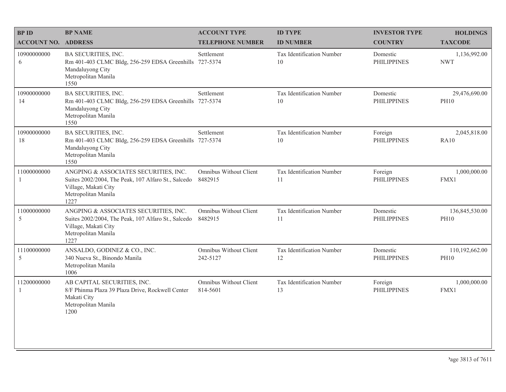| <b>BPID</b>                | <b>BP NAME</b>                                                                                                                                      | <b>ACCOUNT TYPE</b>                | <b>ID TYPE</b>                  | <b>INVESTOR TYPE</b>           | <b>HOLDINGS</b>               |
|----------------------------|-----------------------------------------------------------------------------------------------------------------------------------------------------|------------------------------------|---------------------------------|--------------------------------|-------------------------------|
| <b>ACCOUNT NO. ADDRESS</b> |                                                                                                                                                     | <b>TELEPHONE NUMBER</b>            | <b>ID NUMBER</b>                | <b>COUNTRY</b>                 | <b>TAXCODE</b>                |
| 10900000000<br>6           | BA SECURITIES, INC.<br>Rm 401-403 CLMC Bldg, 256-259 EDSA Greenhills 727-5374<br>Mandaluyong City<br>Metropolitan Manila<br>1550                    | Settlement                         | Tax Identification Number<br>10 | Domestic<br><b>PHILIPPINES</b> | 1,136,992.00<br><b>NWT</b>    |
| 10900000000<br>14          | <b>BA SECURITIES, INC.</b><br>Rm 401-403 CLMC Bldg, 256-259 EDSA Greenhills 727-5374<br>Mandaluyong City<br>Metropolitan Manila<br>1550             | Settlement                         | Tax Identification Number<br>10 | Domestic<br><b>PHILIPPINES</b> | 29,476,690.00<br><b>PH10</b>  |
| 10900000000<br>18          | BA SECURITIES, INC.<br>Rm 401-403 CLMC Bldg, 256-259 EDSA Greenhills 727-5374<br>Mandaluyong City<br>Metropolitan Manila<br>1550                    | Settlement                         | Tax Identification Number<br>10 | Foreign<br><b>PHILIPPINES</b>  | 2,045,818.00<br><b>RA10</b>   |
| 11000000000<br>1           | ANGPING & ASSOCIATES SECURITIES, INC.<br>Suites 2002/2004, The Peak, 107 Alfaro St., Salcedo<br>Village, Makati City<br>Metropolitan Manila<br>1227 | Omnibus Without Client<br>8482915  | Tax Identification Number<br>11 | Foreign<br><b>PHILIPPINES</b>  | 1,000,000.00<br>FMX1          |
| 11000000000<br>5           | ANGPING & ASSOCIATES SECURITIES, INC.<br>Suites 2002/2004, The Peak, 107 Alfaro St., Salcedo<br>Village, Makati City<br>Metropolitan Manila<br>1227 | Omnibus Without Client<br>8482915  | Tax Identification Number<br>11 | Domestic<br><b>PHILIPPINES</b> | 136,845,530.00<br><b>PH10</b> |
| 11100000000<br>5           | ANSALDO, GODINEZ & CO., INC.<br>340 Nueva St., Binondo Manila<br>Metropolitan Manila<br>1006                                                        | Omnibus Without Client<br>242-5127 | Tax Identification Number<br>12 | Domestic<br><b>PHILIPPINES</b> | 110,192,662.00<br><b>PH10</b> |
| 11200000000<br>1           | AB CAPITAL SECURITIES, INC.<br>8/F Phinma Plaza 39 Plaza Drive, Rockwell Center<br>Makati City<br>Metropolitan Manila<br>1200                       | Omnibus Without Client<br>814-5601 | Tax Identification Number<br>13 | Foreign<br><b>PHILIPPINES</b>  | 1,000,000.00<br>FMX1          |
|                            |                                                                                                                                                     |                                    |                                 |                                |                               |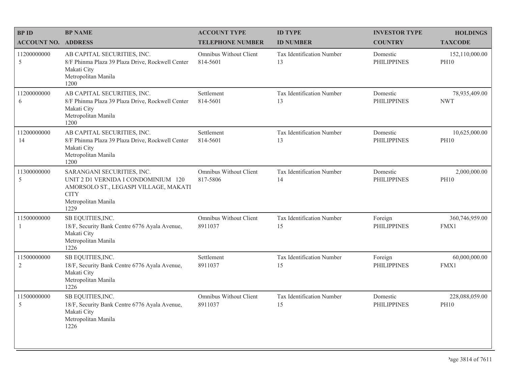| <b>BPID</b>                   | <b>BP NAME</b>                                                                                                                                           | <b>ACCOUNT TYPE</b>                | <b>ID TYPE</b>                  | <b>INVESTOR TYPE</b>           | <b>HOLDINGS</b>               |
|-------------------------------|----------------------------------------------------------------------------------------------------------------------------------------------------------|------------------------------------|---------------------------------|--------------------------------|-------------------------------|
| <b>ACCOUNT NO. ADDRESS</b>    |                                                                                                                                                          | <b>TELEPHONE NUMBER</b>            | <b>ID NUMBER</b>                | <b>COUNTRY</b>                 | <b>TAXCODE</b>                |
| 11200000000<br>5              | AB CAPITAL SECURITIES, INC.<br>8/F Phinma Plaza 39 Plaza Drive, Rockwell Center<br>Makati City<br>Metropolitan Manila<br>1200                            | Omnibus Without Client<br>814-5601 | Tax Identification Number<br>13 | Domestic<br><b>PHILIPPINES</b> | 152,110,000.00<br><b>PH10</b> |
| 11200000000<br>6              | AB CAPITAL SECURITIES, INC.<br>8/F Phinma Plaza 39 Plaza Drive, Rockwell Center<br>Makati City<br>Metropolitan Manila<br>1200                            | Settlement<br>814-5601             | Tax Identification Number<br>13 | Domestic<br><b>PHILIPPINES</b> | 78,935,409.00<br><b>NWT</b>   |
| 11200000000<br>14             | AB CAPITAL SECURITIES, INC.<br>8/F Phinma Plaza 39 Plaza Drive, Rockwell Center<br>Makati City<br>Metropolitan Manila<br>1200                            | Settlement<br>814-5601             | Tax Identification Number<br>13 | Domestic<br><b>PHILIPPINES</b> | 10,625,000.00<br><b>PH10</b>  |
| 11300000000<br>5              | SARANGANI SECURITIES, INC.<br>UNIT 2 D1 VERNIDA I CONDOMINIUM 120<br>AMORSOLO ST., LEGASPI VILLAGE, MAKATI<br><b>CITY</b><br>Metropolitan Manila<br>1229 | Omnibus Without Client<br>817-5806 | Tax Identification Number<br>14 | Domestic<br><b>PHILIPPINES</b> | 2,000,000.00<br><b>PH10</b>   |
| 11500000000<br>1              | SB EQUITIES, INC.<br>18/F, Security Bank Centre 6776 Ayala Avenue,<br>Makati City<br>Metropolitan Manila<br>1226                                         | Omnibus Without Client<br>8911037  | Tax Identification Number<br>15 | Foreign<br><b>PHILIPPINES</b>  | 360,746,959.00<br>FMX1        |
| 11500000000<br>$\overline{2}$ | SB EQUITIES, INC.<br>18/F, Security Bank Centre 6776 Ayala Avenue,<br>Makati City<br>Metropolitan Manila<br>1226                                         | Settlement<br>8911037              | Tax Identification Number<br>15 | Foreign<br><b>PHILIPPINES</b>  | 60,000,000.00<br>FMX1         |
| 11500000000<br>5              | SB EQUITIES, INC.<br>18/F, Security Bank Centre 6776 Ayala Avenue,<br>Makati City<br>Metropolitan Manila<br>1226                                         | Omnibus Without Client<br>8911037  | Tax Identification Number<br>15 | Domestic<br><b>PHILIPPINES</b> | 228,088,059.00<br><b>PH10</b> |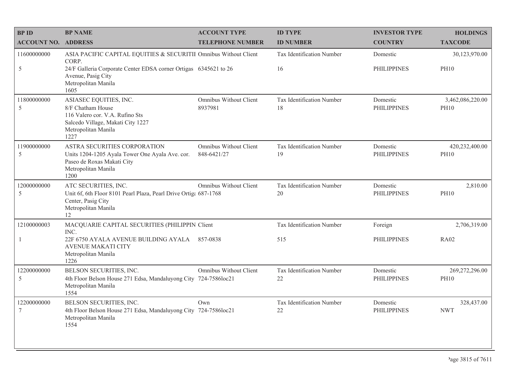| <b>BP ID</b>               | <b>BP NAME</b>                                                                                                                                     | <b>ACCOUNT TYPE</b>                          | <b>ID TYPE</b>                  | <b>INVESTOR TYPE</b>           | <b>HOLDINGS</b>                 |
|----------------------------|----------------------------------------------------------------------------------------------------------------------------------------------------|----------------------------------------------|---------------------------------|--------------------------------|---------------------------------|
| <b>ACCOUNT NO. ADDRESS</b> |                                                                                                                                                    | <b>TELEPHONE NUMBER</b>                      | <b>ID NUMBER</b>                | <b>COUNTRY</b>                 | <b>TAXCODE</b>                  |
| 11600000000                | ASIA PACIFIC CAPITAL EQUITIES & SECURITII Omnibus Without Client<br>CORP.                                                                          |                                              | Tax Identification Number       | Domestic                       | 30,123,970.00                   |
| 5                          | 24/F Galleria Corporate Center EDSA corner Ortigas 6345621 to 26<br>Avenue, Pasig City<br>Metropolitan Manila<br>1605                              |                                              | 16                              | <b>PHILIPPINES</b>             | <b>PH10</b>                     |
| 11800000000<br>5           | ASIASEC EQUITIES, INC.<br>8/F Chatham House<br>116 Valero cor. V.A. Rufino Sts<br>Salcedo Village, Makati City 1227<br>Metropolitan Manila<br>1227 | Omnibus Without Client<br>8937981            | Tax Identification Number<br>18 | Domestic<br><b>PHILIPPINES</b> | 3,462,086,220.00<br><b>PH10</b> |
| 11900000000<br>5           | ASTRA SECURITIES CORPORATION<br>Units 1204-1205 Ayala Tower One Ayala Ave. cor.<br>Paseo de Roxas Makati City<br>Metropolitan Manila<br>1200       | <b>Omnibus Without Client</b><br>848-6421/27 | Tax Identification Number<br>19 | Domestic<br><b>PHILIPPINES</b> | 420,232,400.00<br><b>PH10</b>   |
| 12000000000<br>5           | ATC SECURITIES, INC.<br>Unit 6f, 6th Floor 8101 Pearl Plaza, Pearl Drive Ortiga 687-1768<br>Center, Pasig City<br>Metropolitan Manila<br>12        | Omnibus Without Client                       | Tax Identification Number<br>20 | Domestic<br><b>PHILIPPINES</b> | 2,810.00<br><b>PH10</b>         |
| 12100000003                | MACQUARIE CAPITAL SECURITIES (PHILIPPIN Client<br>INC.                                                                                             |                                              | Tax Identification Number       | Foreign                        | 2,706,319.00                    |
| -1                         | 22F 6750 AYALA AVENUE BUILDING AYALA 857-0838<br>AVENUE MAKATI CITY<br>Metropolitan Manila<br>1226                                                 |                                              | 515                             | <b>PHILIPPINES</b>             | <b>RA02</b>                     |
| 12200000000<br>5           | BELSON SECURITIES, INC.<br>4th Floor Belson House 271 Edsa, Mandaluyong City 724-7586loc21<br>Metropolitan Manila<br>1554                          | <b>Omnibus Without Client</b>                | Tax Identification Number<br>22 | Domestic<br><b>PHILIPPINES</b> | 269,272,296.00<br><b>PH10</b>   |
| 12200000000<br>7           | BELSON SECURITIES, INC.<br>4th Floor Belson House 271 Edsa, Mandaluyong City 724-7586loc21<br>Metropolitan Manila<br>1554                          | Own                                          | Tax Identification Number<br>22 | Domestic<br><b>PHILIPPINES</b> | 328,437.00<br><b>NWT</b>        |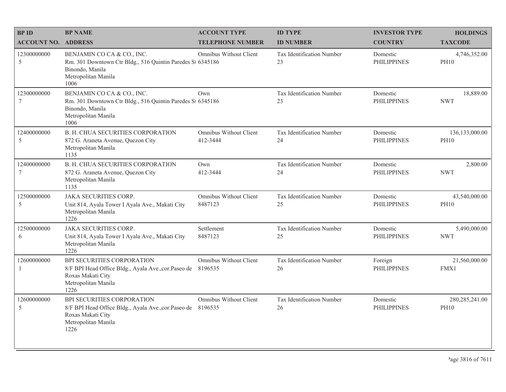| <b>BPID</b>                  | <b>BP NAME</b>                                                                                                                                 | <b>ACCOUNT TYPE</b>                | <b>ID TYPE</b>                  | <b>INVESTOR TYPE</b>           | <b>HOLDINGS</b>                 |
|------------------------------|------------------------------------------------------------------------------------------------------------------------------------------------|------------------------------------|---------------------------------|--------------------------------|---------------------------------|
| <b>ACCOUNT NO. ADDRESS</b>   |                                                                                                                                                | <b>TELEPHONE NUMBER</b>            | <b>ID NUMBER</b>                | <b>COUNTRY</b>                 | <b>TAXCODE</b>                  |
| 12300000000<br>$\mathfrak s$ | BENJAMIN CO CA & CO., INC.<br>Rm. 301 Downtown Ctr Bldg., 516 Quintin Paredes St 6345186<br>Binondo, Manila<br>Metropolitan Manila<br>1006     | Omnibus Without Client             | Tax Identification Number<br>23 | Domestic<br><b>PHILIPPINES</b> | 4,746,352.00<br><b>PH10</b>     |
| 12300000000<br>$\tau$        | BENJAMIN CO CA & CO., INC.<br>Rm. 301 Downtown Ctr Bldg., 516 Quintin Paredes St 6345186<br>Binondo, Manila<br>Metropolitan Manila<br>1006     | Own                                | Tax Identification Number<br>23 | Domestic<br><b>PHILIPPINES</b> | 18,889.00<br><b>NWT</b>         |
| 12400000000<br>5             | <b>B. H. CHUA SECURITIES CORPORATION</b><br>872 G. Araneta Avenue, Quezon City<br>Metropolitan Manila<br>1135                                  | Omnibus Without Client<br>412-3444 | Tax Identification Number<br>24 | Domestic<br><b>PHILIPPINES</b> | 136,133,000.00<br><b>PH10</b>   |
| 12400000000<br>$\tau$        | B. H. CHUA SECURITIES CORPORATION<br>872 G. Araneta Avenue, Quezon City<br>Metropolitan Manila<br>1135                                         | Own<br>412-3444                    | Tax Identification Number<br>24 | Domestic<br><b>PHILIPPINES</b> | 2,800.00<br><b>NWT</b>          |
| 12500000000<br>5             | <b>JAKA SECURITIES CORP.</b><br>Unit 814, Ayala Tower I Ayala Ave., Makati City<br>Metropolitan Manila<br>1226                                 | Omnibus Without Client<br>8487123  | Tax Identification Number<br>25 | Domestic<br><b>PHILIPPINES</b> | 43,540,000.00<br><b>PH10</b>    |
| 12500000000<br>6             | <b>JAKA SECURITIES CORP.</b><br>Unit 814, Ayala Tower I Ayala Ave., Makati City<br>Metropolitan Manila<br>1226                                 | Settlement<br>8487123              | Tax Identification Number<br>25 | Domestic<br><b>PHILIPPINES</b> | 5,490,000.00<br><b>NWT</b>      |
| 12600000000<br>$\mathbf{1}$  | BPI SECURITIES CORPORATION<br>8/F BPI Head Office Bldg., Ayala Ave., cor. Paseo de<br>Roxas Makati City<br>Metropolitan Manila<br>1226         | Omnibus Without Client<br>8196535  | Tax Identification Number<br>26 | Foreign<br><b>PHILIPPINES</b>  | 21,560,000.00<br>FMX1           |
| 12600000000<br>5             | BPI SECURITIES CORPORATION<br>8/F BPI Head Office Bldg., Ayala Ave., cor. Paseo de 8196535<br>Roxas Makati City<br>Metropolitan Manila<br>1226 | Omnibus Without Client             | Tax Identification Number<br>26 | Domestic<br><b>PHILIPPINES</b> | 280, 285, 241.00<br><b>PH10</b> |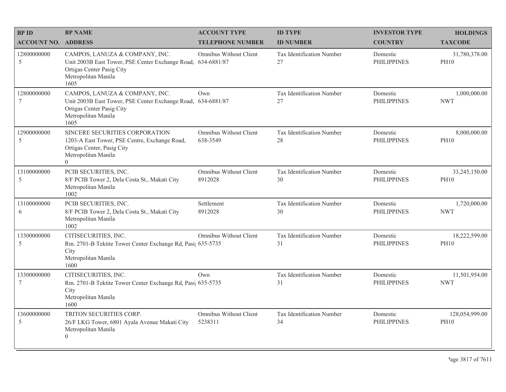| <b>BPID</b>                | <b>BP NAME</b>                                                                                                                                             | <b>ACCOUNT TYPE</b>                       | <b>ID TYPE</b>                         | <b>INVESTOR TYPE</b>           | <b>HOLDINGS</b>               |
|----------------------------|------------------------------------------------------------------------------------------------------------------------------------------------------------|-------------------------------------------|----------------------------------------|--------------------------------|-------------------------------|
| <b>ACCOUNT NO. ADDRESS</b> |                                                                                                                                                            | <b>TELEPHONE NUMBER</b>                   | <b>ID NUMBER</b>                       | <b>COUNTRY</b>                 | <b>TAXCODE</b>                |
| 12800000000<br>5           | CAMPOS, LANUZA & COMPANY, INC.<br>Unit 2003B East Tower, PSE Center Exchange Road, 634-6881/87<br>Ortigas Center Pasig City<br>Metropolitan Manila<br>1605 | Omnibus Without Client                    | <b>Tax Identification Number</b><br>27 | Domestic<br><b>PHILIPPINES</b> | 31,780,378.00<br><b>PH10</b>  |
| 12800000000<br>7           | CAMPOS, LANUZA & COMPANY, INC.<br>Unit 2003B East Tower, PSE Center Exchange Road, 634-6881/87<br>Ortigas Center Pasig City<br>Metropolitan Manila<br>1605 | Own                                       | Tax Identification Number<br>27        | Domestic<br><b>PHILIPPINES</b> | 1,000,000.00<br><b>NWT</b>    |
| 12900000000<br>5           | SINCERE SECURITIES CORPORATION<br>1203-A East Tower, PSE Centre, Exchange Road,<br>Ortigas Center, Pasig City<br>Metropolitan Manila<br>$\theta$           | <b>Omnibus Without Client</b><br>638-3549 | Tax Identification Number<br>28        | Domestic<br><b>PHILIPPINES</b> | 8,000,000.00<br><b>PH10</b>   |
| 13100000000<br>5           | PCIB SECURITIES, INC.<br>8/F PCIB Tower 2, Dela Costa St., Makati City<br>Metropolitan Manila<br>1002                                                      | Omnibus Without Client<br>8912028         | Tax Identification Number<br>30        | Domestic<br><b>PHILIPPINES</b> | 33,245,150.00<br><b>PH10</b>  |
| 13100000000<br>6           | PCIB SECURITIES, INC.<br>8/F PCIB Tower 2, Dela Costa St., Makati City<br>Metropolitan Manila<br>1002                                                      | Settlement<br>8912028                     | Tax Identification Number<br>30        | Domestic<br><b>PHILIPPINES</b> | 1,720,000.00<br><b>NWT</b>    |
| 13300000000<br>5           | CITISECURITIES, INC.<br>Rm. 2701-B Tektite Tower Center Exchange Rd, Pasi; 635-5735<br>City<br>Metropolitan Manila<br>1600                                 | Omnibus Without Client                    | Tax Identification Number<br>31        | Domestic<br><b>PHILIPPINES</b> | 18,222,599.00<br><b>PH10</b>  |
| 13300000000<br>7           | CITISECURITIES, INC.<br>Rm. 2701-B Tektite Tower Center Exchange Rd, Pasi; 635-5735<br>City<br>Metropolitan Manila<br>1600                                 | Own                                       | Tax Identification Number<br>31        | Domestic<br><b>PHILIPPINES</b> | 11,501,954.00<br><b>NWT</b>   |
| 13600000000<br>5           | TRITON SECURITIES CORP.<br>26/F LKG Tower, 6801 Ayala Avenue Makati City<br>Metropolitan Manila<br>$\theta$                                                | Omnibus Without Client<br>5238311         | Tax Identification Number<br>34        | Domestic<br><b>PHILIPPINES</b> | 128,054,999.00<br><b>PH10</b> |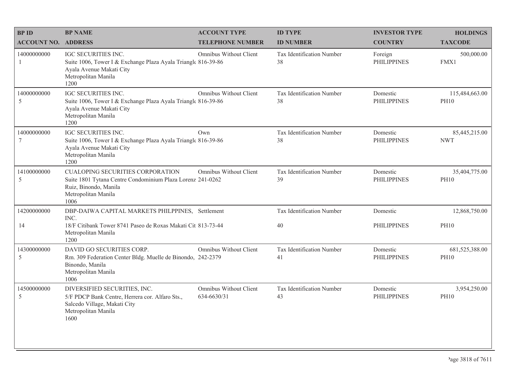| <b>BPID</b>                  | <b>BP NAME</b>                                                                                                                                                | <b>ACCOUNT TYPE</b>                   | <b>ID TYPE</b>                  | <b>INVESTOR TYPE</b>           | <b>HOLDINGS</b>               |
|------------------------------|---------------------------------------------------------------------------------------------------------------------------------------------------------------|---------------------------------------|---------------------------------|--------------------------------|-------------------------------|
| <b>ACCOUNT NO. ADDRESS</b>   |                                                                                                                                                               | <b>TELEPHONE NUMBER</b>               | <b>ID NUMBER</b>                | <b>COUNTRY</b>                 | <b>TAXCODE</b>                |
| 14000000000<br>$\mathbf{1}$  | IGC SECURITIES INC.<br>Suite 1006, Tower I & Exchange Plaza Ayala Triangle 816-39-86<br>Ayala Avenue Makati City<br>Metropolitan Manila<br>1200               | <b>Omnibus Without Client</b>         | Tax Identification Number<br>38 | Foreign<br><b>PHILIPPINES</b>  | 500,000.00<br>FMX1            |
| 14000000000<br>5             | <b>IGC SECURITIES INC.</b><br>Suite 1006, Tower I & Exchange Plaza Ayala Triangle 816-39-86<br>Ayala Avenue Makati City<br>Metropolitan Manila<br>1200        | Omnibus Without Client                | Tax Identification Number<br>38 | Domestic<br><b>PHILIPPINES</b> | 115,484,663.00<br><b>PH10</b> |
| 14000000000<br>7             | <b>IGC SECURITIES INC.</b><br>Suite 1006, Tower I & Exchange Plaza Ayala Triangle 816-39-86<br>Ayala Avenue Makati City<br>Metropolitan Manila<br>1200        | Own                                   | Tax Identification Number<br>38 | Domestic<br><b>PHILIPPINES</b> | 85,445,215.00<br><b>NWT</b>   |
| 14100000000<br>$\mathfrak s$ | <b>CUALOPING SECURITIES CORPORATION</b><br>Suite 1801 Tytana Centre Condominium Plaza Lorenz 241-0262<br>Ruiz, Binondo, Manila<br>Metropolitan Manila<br>1006 | <b>Omnibus Without Client</b>         | Tax Identification Number<br>39 | Domestic<br><b>PHILIPPINES</b> | 35,404,775.00<br><b>PH10</b>  |
| 14200000000                  | DBP-DAIWA CAPITAL MARKETS PHILPPINES, Settlement<br>INC.                                                                                                      |                                       | Tax Identification Number       | Domestic                       | 12,868,750.00                 |
| 14                           | 18/F Citibank Tower 8741 Paseo de Roxas Makati Cit 813-73-44<br>Metropolitan Manila<br>1200                                                                   |                                       | 40                              | <b>PHILIPPINES</b>             | <b>PH10</b>                   |
| 14300000000<br>5             | DAVID GO SECURITIES CORP.<br>Rm. 309 Federation Center Bldg. Muelle de Binondo, 242-2379<br>Binondo, Manila<br>Metropolitan Manila<br>1006                    | <b>Omnibus Without Client</b>         | Tax Identification Number<br>41 | Domestic<br><b>PHILIPPINES</b> | 681,525,388.00<br><b>PH10</b> |
| 14500000000<br>5             | DIVERSIFIED SECURITIES, INC.<br>5/F PDCP Bank Centre, Herrera cor. Alfaro Sts.,<br>Salcedo Village, Makati City<br>Metropolitan Manila<br>1600                | Omnibus Without Client<br>634-6630/31 | Tax Identification Number<br>43 | Domestic<br><b>PHILIPPINES</b> | 3,954,250.00<br><b>PH10</b>   |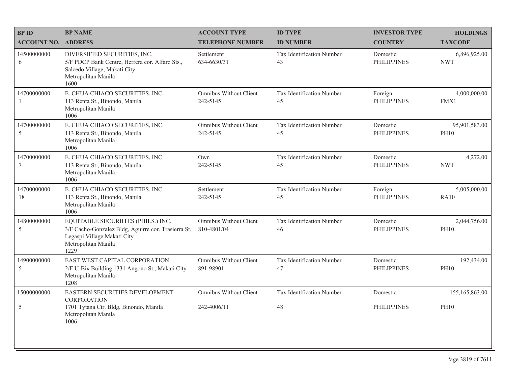| <b>BPID</b>                | <b>BP NAME</b>                                                                                                                                          | <b>ACCOUNT TYPE</b>                       | <b>ID TYPE</b>                  | <b>INVESTOR TYPE</b>           | <b>HOLDINGS</b>              |
|----------------------------|---------------------------------------------------------------------------------------------------------------------------------------------------------|-------------------------------------------|---------------------------------|--------------------------------|------------------------------|
| <b>ACCOUNT NO. ADDRESS</b> |                                                                                                                                                         | <b>TELEPHONE NUMBER</b>                   | <b>ID NUMBER</b>                | <b>COUNTRY</b>                 | <b>TAXCODE</b>               |
| 14500000000<br>6           | DIVERSIFIED SECURITIES, INC.<br>5/F PDCP Bank Centre, Herrera cor. Alfaro Sts.,<br>Salcedo Village, Makati City<br>Metropolitan Manila<br>1600          | Settlement<br>634-6630/31                 | Tax Identification Number<br>43 | Domestic<br><b>PHILIPPINES</b> | 6,896,925.00<br><b>NWT</b>   |
| 14700000000                | E. CHUA CHIACO SECURITIES, INC.<br>113 Renta St., Binondo, Manila<br>Metropolitan Manila<br>1006                                                        | Omnibus Without Client<br>242-5145        | Tax Identification Number<br>45 | Foreign<br><b>PHILIPPINES</b>  | 4,000,000.00<br>FMX1         |
| 14700000000<br>5           | E. CHUA CHIACO SECURITIES, INC.<br>113 Renta St., Binondo, Manila<br>Metropolitan Manila<br>1006                                                        | <b>Omnibus Without Client</b><br>242-5145 | Tax Identification Number<br>45 | Domestic<br><b>PHILIPPINES</b> | 95,901,583.00<br><b>PH10</b> |
| 14700000000<br>7           | E. CHUA CHIACO SECURITIES, INC.<br>113 Renta St., Binondo, Manila<br>Metropolitan Manila<br>1006                                                        | Own<br>242-5145                           | Tax Identification Number<br>45 | Domestic<br><b>PHILIPPINES</b> | 4,272.00<br><b>NWT</b>       |
| 14700000000<br>18          | E. CHUA CHIACO SECURITIES, INC.<br>113 Renta St., Binondo, Manila<br>Metropolitan Manila<br>1006                                                        | Settlement<br>242-5145                    | Tax Identification Number<br>45 | Foreign<br><b>PHILIPPINES</b>  | 5,005,000.00<br>RA10         |
| 14800000000<br>5           | EQUITABLE SECURIITES (PHILS.) INC.<br>3/F Cacho-Gonzalez Bldg, Aguirre cor. Trasierra St,<br>Legaspi Village Makati City<br>Metropolitan Manila<br>1229 | Omnibus Without Client<br>810-4801/04     | Tax Identification Number<br>46 | Domestic<br><b>PHILIPPINES</b> | 2,044,756.00<br><b>PH10</b>  |
| 14900000000<br>5           | EAST WEST CAPITAL CORPORATION<br>2/F U-Bix Building 1331 Angono St., Makati City<br>Metropolitan Manila<br>1208                                         | Omnibus Without Client<br>891-98901       | Tax Identification Number<br>47 | Domestic<br><b>PHILIPPINES</b> | 192,434.00<br><b>PH10</b>    |
| 15000000000                | EASTERN SECURITIES DEVELOPMENT<br><b>CORPORATION</b>                                                                                                    | Omnibus Without Client                    | Tax Identification Number       | Domestic                       | 155,165,863.00               |
| 5                          | 1701 Tytana Ctr. Bldg, Binondo, Manila<br>Metropolitan Manila<br>1006                                                                                   | 242-4006/11                               | 48                              | <b>PHILIPPINES</b>             | <b>PH10</b>                  |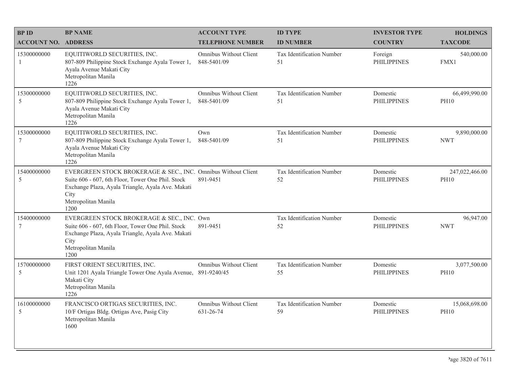| <b>BPID</b>                    | <b>BP NAME</b>                                                                                                                                                                                                 | <b>ACCOUNT TYPE</b>                        | <b>ID TYPE</b>                         | <b>INVESTOR TYPE</b>           | <b>HOLDINGS</b>               |
|--------------------------------|----------------------------------------------------------------------------------------------------------------------------------------------------------------------------------------------------------------|--------------------------------------------|----------------------------------------|--------------------------------|-------------------------------|
| <b>ACCOUNT NO. ADDRESS</b>     |                                                                                                                                                                                                                | <b>TELEPHONE NUMBER</b>                    | <b>ID NUMBER</b>                       | <b>COUNTRY</b>                 | <b>TAXCODE</b>                |
| 15300000000<br>$\overline{1}$  | EQUITIWORLD SECURITIES, INC.<br>807-809 Philippine Stock Exchange Ayala Tower 1,<br>Ayala Avenue Makati City<br>Metropolitan Manila<br>1226                                                                    | Omnibus Without Client<br>848-5401/09      | <b>Tax Identification Number</b><br>51 | Foreign<br><b>PHILIPPINES</b>  | 540,000.00<br>FMX1            |
| 15300000000<br>5               | EQUITIWORLD SECURITIES, INC.<br>807-809 Philippine Stock Exchange Ayala Tower 1,<br>Ayala Avenue Makati City<br>Metropolitan Manila<br>1226                                                                    | Omnibus Without Client<br>848-5401/09      | Tax Identification Number<br>51        | Domestic<br><b>PHILIPPINES</b> | 66,499,990.00<br><b>PH10</b>  |
| 15300000000<br>7               | EQUITIWORLD SECURITIES, INC.<br>807-809 Philippine Stock Exchange Ayala Tower 1,<br>Ayala Avenue Makati City<br>Metropolitan Manila<br>1226                                                                    | Own<br>848-5401/09                         | Tax Identification Number<br>51        | Domestic<br><b>PHILIPPINES</b> | 9,890,000.00<br><b>NWT</b>    |
| 15400000000<br>5               | EVERGREEN STOCK BROKERAGE & SEC., INC. Omnibus Without Client<br>Suite 606 - 607, 6th Floor, Tower One Phil. Stock<br>Exchange Plaza, Ayala Triangle, Ayala Ave. Makati<br>City<br>Metropolitan Manila<br>1200 | 891-9451                                   | Tax Identification Number<br>52        | Domestic<br><b>PHILIPPINES</b> | 247,022,466.00<br><b>PH10</b> |
| 15400000000<br>$7\phantom{.0}$ | EVERGREEN STOCK BROKERAGE & SEC., INC. Own<br>Suite 606 - 607, 6th Floor, Tower One Phil. Stock<br>Exchange Plaza, Ayala Triangle, Ayala Ave. Makati<br>City<br>Metropolitan Manila<br>1200                    | 891-9451                                   | Tax Identification Number<br>52        | Domestic<br><b>PHILIPPINES</b> | 96,947.00<br><b>NWT</b>       |
| 15700000000<br>5               | FIRST ORIENT SECURITIES, INC.<br>Unit 1201 Ayala Triangle Tower One Ayala Avenue,<br>Makati City<br>Metropolitan Manila<br>1226                                                                                | Omnibus Without Client<br>891-9240/45      | Tax Identification Number<br>55        | Domestic<br><b>PHILIPPINES</b> | 3,077,500.00<br><b>PH10</b>   |
| 16100000000<br>5               | FRANCISCO ORTIGAS SECURITIES, INC.<br>10/F Ortigas Bldg. Ortigas Ave, Pasig City<br>Metropolitan Manila<br>1600                                                                                                | <b>Omnibus Without Client</b><br>631-26-74 | Tax Identification Number<br>59        | Domestic<br><b>PHILIPPINES</b> | 15,068,698.00<br><b>PH10</b>  |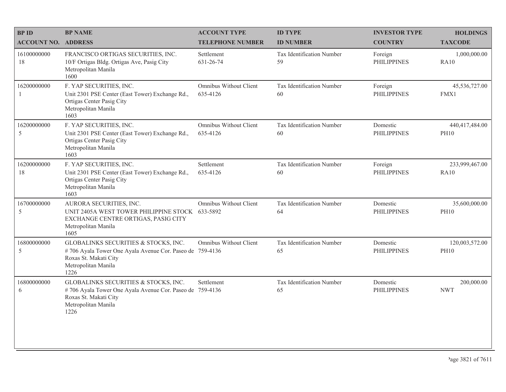| <b>BPID</b>                  | <b>BP NAME</b>                                                                                                                                           | <b>ACCOUNT TYPE</b>                       | <b>ID TYPE</b>                  | <b>INVESTOR TYPE</b>           | <b>HOLDINGS</b>               |
|------------------------------|----------------------------------------------------------------------------------------------------------------------------------------------------------|-------------------------------------------|---------------------------------|--------------------------------|-------------------------------|
| <b>ACCOUNT NO. ADDRESS</b>   |                                                                                                                                                          | <b>TELEPHONE NUMBER</b>                   | <b>ID NUMBER</b>                | <b>COUNTRY</b>                 | <b>TAXCODE</b>                |
| 16100000000<br>18            | FRANCISCO ORTIGAS SECURITIES, INC.<br>10/F Ortigas Bldg. Ortigas Ave, Pasig City<br>Metropolitan Manila<br>1600                                          | Settlement<br>631-26-74                   | Tax Identification Number<br>59 | Foreign<br><b>PHILIPPINES</b>  | 1,000,000.00<br>RA10          |
| 16200000000<br>-1            | F. YAP SECURITIES, INC.<br>Unit 2301 PSE Center (East Tower) Exchange Rd.,<br>Ortigas Center Pasig City<br>Metropolitan Manila<br>1603                   | Omnibus Without Client<br>635-4126        | Tax Identification Number<br>60 | Foreign<br><b>PHILIPPINES</b>  | 45,536,727.00<br>FMX1         |
| 16200000000<br>$\mathfrak s$ | F. YAP SECURITIES, INC.<br>Unit 2301 PSE Center (East Tower) Exchange Rd.,<br>Ortigas Center Pasig City<br>Metropolitan Manila<br>1603                   | <b>Omnibus Without Client</b><br>635-4126 | Tax Identification Number<br>60 | Domestic<br><b>PHILIPPINES</b> | 440,417,484.00<br><b>PH10</b> |
| 16200000000<br>18            | F. YAP SECURITIES, INC.<br>Unit 2301 PSE Center (East Tower) Exchange Rd.,<br>Ortigas Center Pasig City<br>Metropolitan Manila<br>1603                   | Settlement<br>635-4126                    | Tax Identification Number<br>60 | Foreign<br><b>PHILIPPINES</b>  | 233,999,467.00<br><b>RA10</b> |
| 16700000000<br>5             | AURORA SECURITIES, INC.<br>UNIT 2405A WEST TOWER PHILIPPINE STOCK 633-5892<br>EXCHANGE CENTRE ORTIGAS, PASIG CITY<br>Metropolitan Manila<br>1605         | Omnibus Without Client                    | Tax Identification Number<br>64 | Domestic<br><b>PHILIPPINES</b> | 35,600,000.00<br><b>PH10</b>  |
| 16800000000<br>5             | GLOBALINKS SECURITIES & STOCKS, INC.<br>#706 Ayala Tower One Ayala Avenue Cor. Paseo de 759-4136<br>Roxas St. Makati City<br>Metropolitan Manila<br>1226 | <b>Omnibus Without Client</b>             | Tax Identification Number<br>65 | Domestic<br><b>PHILIPPINES</b> | 120,003,572.00<br><b>PH10</b> |
| 16800000000<br>6             | GLOBALINKS SECURITIES & STOCKS, INC.<br>#706 Ayala Tower One Ayala Avenue Cor. Paseo de 759-4136<br>Roxas St. Makati City<br>Metropolitan Manila<br>1226 | Settlement                                | Tax Identification Number<br>65 | Domestic<br><b>PHILIPPINES</b> | 200,000.00<br><b>NWT</b>      |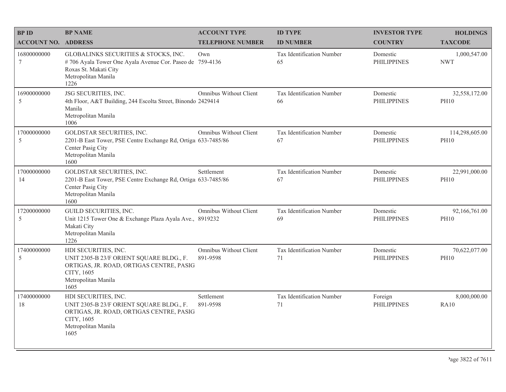| <b>BPID</b>                | <b>BP NAME</b>                                                                                                                                            | <b>ACCOUNT TYPE</b>                | <b>ID TYPE</b>                  | <b>INVESTOR TYPE</b>           | <b>HOLDINGS</b>               |
|----------------------------|-----------------------------------------------------------------------------------------------------------------------------------------------------------|------------------------------------|---------------------------------|--------------------------------|-------------------------------|
| <b>ACCOUNT NO. ADDRESS</b> |                                                                                                                                                           | <b>TELEPHONE NUMBER</b>            | <b>ID NUMBER</b>                | <b>COUNTRY</b>                 | <b>TAXCODE</b>                |
| 16800000000<br>7           | GLOBALINKS SECURITIES & STOCKS, INC.<br>#706 Ayala Tower One Ayala Avenue Cor. Paseo de 759-4136<br>Roxas St. Makati City<br>Metropolitan Manila<br>1226  | Own                                | Tax Identification Number<br>65 | Domestic<br><b>PHILIPPINES</b> | 1,000,547.00<br><b>NWT</b>    |
| 16900000000<br>5           | JSG SECURITIES, INC.<br>4th Floor, A&T Building, 244 Escolta Street, Binondo 2429414<br>Manila<br>Metropolitan Manila<br>1006                             | Omnibus Without Client             | Tax Identification Number<br>66 | Domestic<br><b>PHILIPPINES</b> | 32,558,172.00<br><b>PH10</b>  |
| 17000000000<br>5           | GOLDSTAR SECURITIES, INC.<br>2201-B East Tower, PSE Centre Exchange Rd, Ortiga 633-7485/86<br>Center Pasig City<br>Metropolitan Manila<br>1600            | Omnibus Without Client             | Tax Identification Number<br>67 | Domestic<br><b>PHILIPPINES</b> | 114,298,605.00<br><b>PH10</b> |
| 17000000000<br>14          | GOLDSTAR SECURITIES, INC.<br>2201-B East Tower, PSE Centre Exchange Rd, Ortiga 633-7485/86<br>Center Pasig City<br>Metropolitan Manila<br>1600            | Settlement                         | Tax Identification Number<br>67 | Domestic<br><b>PHILIPPINES</b> | 22,991,000.00<br><b>PH10</b>  |
| 17200000000<br>5           | GUILD SECURITIES, INC.<br>Unit 1215 Tower One & Exchange Plaza Ayala Ave., 8919232<br>Makati City<br>Metropolitan Manila<br>1226                          | Omnibus Without Client             | Tax Identification Number<br>69 | Domestic<br><b>PHILIPPINES</b> | 92,166,761.00<br><b>PH10</b>  |
| 17400000000<br>5           | HDI SECURITIES, INC.<br>UNIT 2305-B 23/F ORIENT SQUARE BLDG., F.<br>ORTIGAS, JR. ROAD, ORTIGAS CENTRE, PASIG<br>CITY, 1605<br>Metropolitan Manila<br>1605 | Omnibus Without Client<br>891-9598 | Tax Identification Number<br>71 | Domestic<br><b>PHILIPPINES</b> | 70,622,077.00<br><b>PH10</b>  |
| 17400000000<br>18          | HDI SECURITIES, INC.<br>UNIT 2305-B 23/F ORIENT SQUARE BLDG., F.<br>ORTIGAS, JR. ROAD, ORTIGAS CENTRE, PASIG<br>CITY, 1605<br>Metropolitan Manila<br>1605 | Settlement<br>891-9598             | Tax Identification Number<br>71 | Foreign<br><b>PHILIPPINES</b>  | 8,000,000.00<br><b>RA10</b>   |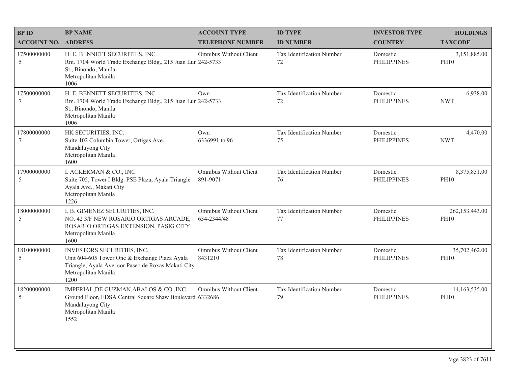| <b>BPID</b>                    | <b>BP NAME</b>                                                                                                                                                    | <b>ACCOUNT TYPE</b>                       | <b>ID TYPE</b>                         | <b>INVESTOR TYPE</b>           | <b>HOLDINGS</b>               |
|--------------------------------|-------------------------------------------------------------------------------------------------------------------------------------------------------------------|-------------------------------------------|----------------------------------------|--------------------------------|-------------------------------|
| <b>ACCOUNT NO. ADDRESS</b>     |                                                                                                                                                                   | <b>TELEPHONE NUMBER</b>                   | <b>ID NUMBER</b>                       | <b>COUNTRY</b>                 | <b>TAXCODE</b>                |
| 17500000000<br>5               | H. E. BENNETT SECURITIES, INC.<br>Rm. 1704 World Trade Exchange Bldg., 215 Juan Lur 242-5733<br>St., Binondo, Manila<br>Metropolitan Manila<br>1006               | Omnibus Without Client                    | <b>Tax Identification Number</b><br>72 | Domestic<br><b>PHILIPPINES</b> | 3,151,885.00<br><b>PH10</b>   |
| 17500000000<br>$7\phantom{.0}$ | H. E. BENNETT SECURITIES, INC.<br>Rm. 1704 World Trade Exchange Bldg., 215 Juan Lur 242-5733<br>St., Binondo, Manila<br>Metropolitan Manila<br>1006               | Own                                       | Tax Identification Number<br>72        | Domestic<br><b>PHILIPPINES</b> | 6,938.00<br><b>NWT</b>        |
| 17800000000<br>$\overline{7}$  | HK SECURITIES, INC.<br>Suite 102 Columbia Tower, Ortigas Ave.,<br>Mandaluyong City<br>Metropolitan Manila<br>1600                                                 | Own<br>6336991 to 96                      | Tax Identification Number<br>75        | Domestic<br><b>PHILIPPINES</b> | 4,470.00<br><b>NWT</b>        |
| 17900000000<br>5               | I. ACKERMAN & CO., INC.<br>Suite 705, Tower I Bldg. PSE Plaza, Ayala Triangle<br>Ayala Ave., Makati City<br>Metropolitan Manila<br>1226                           | <b>Omnibus Without Client</b><br>891-9071 | Tax Identification Number<br>76        | Domestic<br><b>PHILIPPINES</b> | 8,375,851.00<br><b>PH10</b>   |
| 18000000000<br>-5              | I. B. GIMENEZ SECURITIES, INC.<br>NO. 42 3/F NEW ROSARIO ORTIGAS ARCADE,<br>ROSARIO ORTIGAS EXTENSION, PASIG CITY<br>Metropolitan Manila<br>1600                  | Omnibus Without Client<br>634-2344/48     | Tax Identification Number<br>77        | Domestic<br><b>PHILIPPINES</b> | 262,153,443.00<br><b>PH10</b> |
| 18100000000<br>5               | INVESTORS SECURITIES, INC,<br>Unit 604-605 Tower One & Exchange Plaza Ayala<br>Triangle, Ayala Ave. cor Paseo de Roxas Makati City<br>Metropolitan Manila<br>1200 | Omnibus Without Client<br>8431210         | Tax Identification Number<br>78        | Domestic<br><b>PHILIPPINES</b> | 35,702,462.00<br><b>PH10</b>  |
| 18200000000<br>$\overline{5}$  | IMPERIAL, DE GUZMAN, ABALOS & CO., INC.<br>Ground Floor, EDSA Central Square Shaw Boulevard 6332686<br>Mandaluyong City<br>Metropolitan Manila<br>1552            | <b>Omnibus Without Client</b>             | Tax Identification Number<br>79        | Domestic<br><b>PHILIPPINES</b> | 14,163,535.00<br><b>PH10</b>  |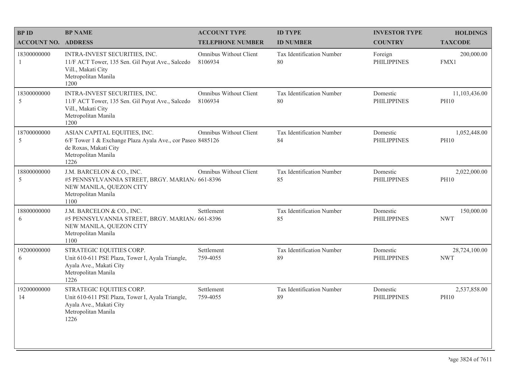| <b>BPID</b>                  | <b>BP NAME</b>                                                                                                                                     | <b>ACCOUNT TYPE</b>                      | <b>ID TYPE</b>                  | <b>INVESTOR TYPE</b>           | <b>HOLDINGS</b>              |
|------------------------------|----------------------------------------------------------------------------------------------------------------------------------------------------|------------------------------------------|---------------------------------|--------------------------------|------------------------------|
| <b>ACCOUNT NO. ADDRESS</b>   |                                                                                                                                                    | <b>TELEPHONE NUMBER</b>                  | <b>ID NUMBER</b>                | <b>COUNTRY</b>                 | <b>TAXCODE</b>               |
| 18300000000<br>$\mathbf{1}$  | INTRA-INVEST SECURITIES, INC.<br>11/F ACT Tower, 135 Sen. Gil Puyat Ave., Salcedo<br>Vill., Makati City<br>Metropolitan Manila<br>1200             | Omnibus Without Client<br>8106934        | Tax Identification Number<br>80 | Foreign<br><b>PHILIPPINES</b>  | 200,000.00<br>FMX1           |
| 18300000000<br>$\mathfrak s$ | INTRA-INVEST SECURITIES, INC.<br>11/F ACT Tower, 135 Sen. Gil Puyat Ave., Salcedo<br>Vill., Makati City<br>Metropolitan Manila<br>1200             | <b>Omnibus Without Client</b><br>8106934 | Tax Identification Number<br>80 | Domestic<br><b>PHILIPPINES</b> | 11,103,436.00<br><b>PH10</b> |
| 18700000000<br>$\mathfrak s$ | ASIAN CAPITAL EQUITIES, INC.<br>6/F Tower 1 & Exchange Plaza Ayala Ave., cor Paseo 8485126<br>de Roxas, Makati City<br>Metropolitan Manila<br>1226 | <b>Omnibus Without Client</b>            | Tax Identification Number<br>84 | Domestic<br><b>PHILIPPINES</b> | 1,052,448.00<br><b>PH10</b>  |
| 18800000000<br>5             | J.M. BARCELON & CO., INC.<br>#5 PENNSYLVANNIA STREET, BRGY. MARIAN/ 661-8396<br>NEW MANILA, QUEZON CITY<br>Metropolitan Manila<br>1100             | Omnibus Without Client                   | Tax Identification Number<br>85 | Domestic<br><b>PHILIPPINES</b> | 2,022,000.00<br><b>PH10</b>  |
| 18800000000<br>6             | J.M. BARCELON & CO., INC.<br>#5 PENNSYLVANNIA STREET, BRGY. MARIAN/ 661-8396<br>NEW MANILA, QUEZON CITY<br>Metropolitan Manila<br>1100             | Settlement                               | Tax Identification Number<br>85 | Domestic<br><b>PHILIPPINES</b> | 150,000.00<br><b>NWT</b>     |
| 19200000000<br>6             | STRATEGIC EQUITIES CORP.<br>Unit 610-611 PSE Plaza, Tower I, Ayala Triangle,<br>Ayala Ave., Makati City<br>Metropolitan Manila<br>1226             | Settlement<br>759-4055                   | Tax Identification Number<br>89 | Domestic<br><b>PHILIPPINES</b> | 28,724,100.00<br><b>NWT</b>  |
| 19200000000<br>14            | STRATEGIC EQUITIES CORP.<br>Unit 610-611 PSE Plaza, Tower I, Ayala Triangle,<br>Ayala Ave., Makati City<br>Metropolitan Manila<br>1226             | Settlement<br>759-4055                   | Tax Identification Number<br>89 | Domestic<br><b>PHILIPPINES</b> | 2,537,858.00<br><b>PH10</b>  |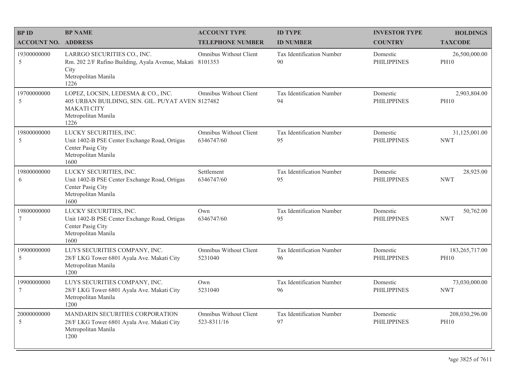| <b>BPID</b>                | <b>BP NAME</b>                                                                                                                              | <b>ACCOUNT TYPE</b>                         | <b>ID TYPE</b>                  | <b>INVESTOR TYPE</b>           | <b>HOLDINGS</b>               |
|----------------------------|---------------------------------------------------------------------------------------------------------------------------------------------|---------------------------------------------|---------------------------------|--------------------------------|-------------------------------|
| <b>ACCOUNT NO. ADDRESS</b> |                                                                                                                                             | <b>TELEPHONE NUMBER</b>                     | <b>ID NUMBER</b>                | <b>COUNTRY</b>                 | <b>TAXCODE</b>                |
| 19300000000<br>5           | LARRGO SECURITIES CO., INC.<br>Rm. 202 2/F Rufino Building, Ayala Avenue, Makati 8101353<br>City<br>Metropolitan Manila<br>1226             | Omnibus Without Client                      | Tax Identification Number<br>90 | Domestic<br><b>PHILIPPINES</b> | 26,500,000.00<br><b>PH10</b>  |
| 19700000000<br>.5          | LOPEZ, LOCSIN, LEDESMA & CO., INC.<br>405 URBAN BUILDING, SEN. GIL. PUYAT AVEN 8127482<br><b>MAKATI CITY</b><br>Metropolitan Manila<br>1226 | Omnibus Without Client                      | Tax Identification Number<br>94 | Domestic<br><b>PHILIPPINES</b> | 2,903,804.00<br><b>PH10</b>   |
| 19800000000<br>5           | LUCKY SECURITIES, INC.<br>Unit 1402-B PSE Center Exchange Road, Ortigas<br>Center Pasig City<br>Metropolitan Manila<br>1600                 | <b>Omnibus Without Client</b><br>6346747/60 | Tax Identification Number<br>95 | Domestic<br><b>PHILIPPINES</b> | 31,125,001.00<br><b>NWT</b>   |
| 19800000000<br>6           | LUCKY SECURITIES, INC.<br>Unit 1402-B PSE Center Exchange Road, Ortigas<br>Center Pasig City<br>Metropolitan Manila<br>1600                 | Settlement<br>6346747/60                    | Tax Identification Number<br>95 | Domestic<br><b>PHILIPPINES</b> | 28,925.00<br><b>NWT</b>       |
| 19800000000<br>7           | LUCKY SECURITIES, INC.<br>Unit 1402-B PSE Center Exchange Road, Ortigas<br>Center Pasig City<br>Metropolitan Manila<br>1600                 | Own<br>6346747/60                           | Tax Identification Number<br>95 | Domestic<br><b>PHILIPPINES</b> | 50,762.00<br><b>NWT</b>       |
| 19900000000<br>5           | LUYS SECURITIES COMPANY, INC.<br>28/F LKG Tower 6801 Ayala Ave. Makati City<br>Metropolitan Manila<br>1200                                  | <b>Omnibus Without Client</b><br>5231040    | Tax Identification Number<br>96 | Domestic<br><b>PHILIPPINES</b> | 183,265,717.00<br><b>PH10</b> |
| 19900000000<br>7           | LUYS SECURITIES COMPANY, INC.<br>28/F LKG Tower 6801 Ayala Ave. Makati City<br>Metropolitan Manila<br>1200                                  | Own<br>5231040                              | Tax Identification Number<br>96 | Domestic<br><b>PHILIPPINES</b> | 73,030,000.00<br><b>NWT</b>   |
| 20000000000<br>5           | MANDARIN SECURITIES CORPORATION<br>28/F LKG Tower 6801 Ayala Ave. Makati City<br>Metropolitan Manila<br>1200                                | Omnibus Without Client<br>523-8311/16       | Tax Identification Number<br>97 | Domestic<br><b>PHILIPPINES</b> | 208,030,296.00<br><b>PH10</b> |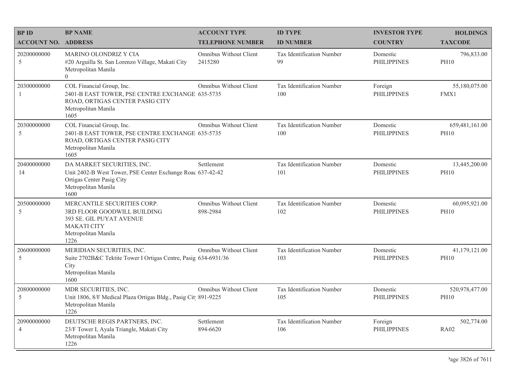| <b>BPID</b>                   | <b>BP NAME</b>                                                                                                                                       | <b>ACCOUNT TYPE</b>                | <b>ID TYPE</b>                   | <b>INVESTOR TYPE</b>           | <b>HOLDINGS</b>               |
|-------------------------------|------------------------------------------------------------------------------------------------------------------------------------------------------|------------------------------------|----------------------------------|--------------------------------|-------------------------------|
| <b>ACCOUNT NO. ADDRESS</b>    |                                                                                                                                                      | <b>TELEPHONE NUMBER</b>            | <b>ID NUMBER</b>                 | <b>COUNTRY</b>                 | <b>TAXCODE</b>                |
| 20200000000<br>5              | <b>MARINO OLONDRIZ Y CIA</b><br>#20 Arguilla St. San Lorenzo Village, Makati City<br>Metropolitan Manila<br>$\Omega$                                 | Omnibus Without Client<br>2415280  | Tax Identification Number<br>99  | Domestic<br><b>PHILIPPINES</b> | 796,833.00<br><b>PH10</b>     |
| 20300000000<br>$\overline{1}$ | COL Financial Group, Inc.<br>2401-B EAST TOWER, PSE CENTRE EXCHANGE 635-5735<br>ROAD, ORTIGAS CENTER PASIG CITY<br>Metropolitan Manila<br>1605       | Omnibus Without Client             | Tax Identification Number<br>100 | Foreign<br><b>PHILIPPINES</b>  | 55,180,075.00<br>FMX1         |
| 20300000000<br>5              | COL Financial Group, Inc.<br>2401-B EAST TOWER, PSE CENTRE EXCHANGE 635-5735<br>ROAD, ORTIGAS CENTER PASIG CITY<br>Metropolitan Manila<br>1605       | Omnibus Without Client             | Tax Identification Number<br>100 | Domestic<br><b>PHILIPPINES</b> | 659,481,161.00<br><b>PH10</b> |
| 20400000000<br>14             | DA MARKET SECURITIES, INC.<br>Unit 2402-B West Tower, PSE Center Exchange Roac 637-42-42<br>Ortigas Center Pasig City<br>Metropolitan Manila<br>1600 | Settlement                         | Tax Identification Number<br>101 | Domestic<br><b>PHILIPPINES</b> | 13,445,200.00<br><b>PH10</b>  |
| 20500000000<br>5              | MERCANTILE SECURITIES CORP.<br>3RD FLOOR GOODWILL BUILDING<br><b>393 SE. GIL PUYAT AVENUE</b><br><b>MAKATI CITY</b><br>Metropolitan Manila<br>1226   | Omnibus Without Client<br>898-2984 | Tax Identification Number<br>102 | Domestic<br><b>PHILIPPINES</b> | 60,095,921.00<br><b>PH10</b>  |
| 20600000000<br>5              | MERIDIAN SECURITIES, INC.<br>Suite 2702B&C Tektite Tower I Ortigas Centre, Pasig 634-6931/36<br>City<br>Metropolitan Manila<br>1600                  | Omnibus Without Client             | Tax Identification Number<br>103 | Domestic<br><b>PHILIPPINES</b> | 41,179,121.00<br><b>PH10</b>  |
| 20800000000<br>5              | MDR SECURITIES, INC.<br>Unit 1806, 8/F Medical Plaza Ortigas Bldg., Pasig Cit 891-9225<br>Metropolitan Manila<br>1226                                | Omnibus Without Client             | Tax Identification Number<br>105 | Domestic<br><b>PHILIPPINES</b> | 520,978,477.00<br><b>PH10</b> |
| 20900000000<br>$\overline{4}$ | DEUTSCHE REGIS PARTNERS, INC.<br>23/F Tower I, Ayala Triangle, Makati City<br>Metropolitan Manila<br>1226                                            | Settlement<br>894-6620             | Tax Identification Number<br>106 | Foreign<br><b>PHILIPPINES</b>  | 502,774.00<br><b>RA02</b>     |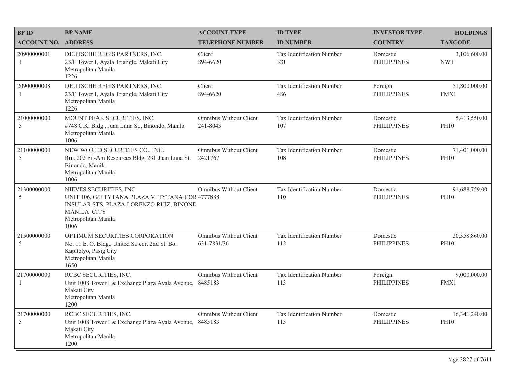| <b>BPID</b>                  | <b>BP NAME</b>                                                                                                                                                              | <b>ACCOUNT TYPE</b>                          | <b>ID TYPE</b>                   | <b>INVESTOR TYPE</b>           | <b>HOLDINGS</b>              |
|------------------------------|-----------------------------------------------------------------------------------------------------------------------------------------------------------------------------|----------------------------------------------|----------------------------------|--------------------------------|------------------------------|
| <b>ACCOUNT NO. ADDRESS</b>   |                                                                                                                                                                             | <b>TELEPHONE NUMBER</b>                      | <b>ID NUMBER</b>                 | <b>COUNTRY</b>                 | <b>TAXCODE</b>               |
| 20900000001<br>1             | DEUTSCHE REGIS PARTNERS, INC.<br>23/F Tower I, Ayala Triangle, Makati City<br>Metropolitan Manila<br>1226                                                                   | Client<br>894-6620                           | Tax Identification Number<br>381 | Domestic<br><b>PHILIPPINES</b> | 3,106,600.00<br><b>NWT</b>   |
| 20900000008<br>-1            | DEUTSCHE REGIS PARTNERS, INC.<br>23/F Tower I, Ayala Triangle, Makati City<br>Metropolitan Manila<br>1226                                                                   | Client<br>894-6620                           | Tax Identification Number<br>486 | Foreign<br><b>PHILIPPINES</b>  | 51,800,000.00<br>FMX1        |
| 21000000000<br>5             | MOUNT PEAK SECURITIES, INC.<br>#748 C.K. Bldg., Juan Luna St., Binondo, Manila<br>Metropolitan Manila<br>1006                                                               | Omnibus Without Client<br>241-8043           | Tax Identification Number<br>107 | Domestic<br><b>PHILIPPINES</b> | 5,413,550.00<br><b>PH10</b>  |
| 21100000000<br>$\mathfrak s$ | NEW WORLD SECURITIES CO., INC.<br>Rm. 202 Fil-Am Resources Bldg. 231 Juan Luna St.<br>Binondo, Manila<br>Metropolitan Manila<br>1006                                        | Omnibus Without Client<br>2421767            | Tax Identification Number<br>108 | Domestic<br><b>PHILIPPINES</b> | 71,401,000.00<br><b>PH10</b> |
| 21300000000<br>5             | NIEVES SECURITIES, INC.<br>UNIT 106, G/F TYTANA PLAZA V. TYTANA COR 4777888<br>INSULAR STS. PLAZA LORENZO RUIZ, BINONE<br><b>MANILA CITY</b><br>Metropolitan Manila<br>1006 | Omnibus Without Client                       | Tax Identification Number<br>110 | Domestic<br><b>PHILIPPINES</b> | 91,688,759.00<br><b>PH10</b> |
| 21500000000<br>$\mathfrak s$ | OPTIMUM SECURITIES CORPORATION<br>No. 11 E. O. Bldg., United St. cor. 2nd St. Bo.<br>Kapitolyo, Pasig City<br>Metropolitan Manila<br>1650                                   | <b>Omnibus Without Client</b><br>631-7831/36 | Tax Identification Number<br>112 | Domestic<br><b>PHILIPPINES</b> | 20,358,860.00<br><b>PH10</b> |
| 21700000000                  | RCBC SECURITIES, INC.<br>Unit 1008 Tower I & Exchange Plaza Ayala Avenue, 8485183<br>Makati City<br>Metropolitan Manila<br>1200                                             | Omnibus Without Client                       | Tax Identification Number<br>113 | Foreign<br><b>PHILIPPINES</b>  | 9,000,000.00<br>FMX1         |
| 21700000000<br>$\mathfrak s$ | RCBC SECURITIES, INC.<br>Unit 1008 Tower I & Exchange Plaza Ayala Avenue, 8485183<br>Makati City<br>Metropolitan Manila<br>1200                                             | Omnibus Without Client                       | Tax Identification Number<br>113 | Domestic<br><b>PHILIPPINES</b> | 16,341,240.00<br><b>PH10</b> |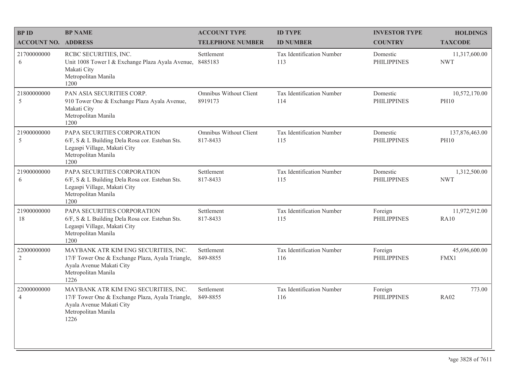| <b>BPID</b>                   | <b>BP NAME</b>                                                                                                                                      | <b>ACCOUNT TYPE</b>                | <b>ID TYPE</b>                   | <b>INVESTOR TYPE</b>           | <b>HOLDINGS</b>               |
|-------------------------------|-----------------------------------------------------------------------------------------------------------------------------------------------------|------------------------------------|----------------------------------|--------------------------------|-------------------------------|
| <b>ACCOUNT NO. ADDRESS</b>    |                                                                                                                                                     | <b>TELEPHONE NUMBER</b>            | <b>ID NUMBER</b>                 | <b>COUNTRY</b>                 | <b>TAXCODE</b>                |
| 21700000000<br>6              | RCBC SECURITIES, INC.<br>Unit 1008 Tower I & Exchange Plaza Ayala Avenue,<br>Makati City<br>Metropolitan Manila<br>1200                             | Settlement<br>8485183              | Tax Identification Number<br>113 | Domestic<br><b>PHILIPPINES</b> | 11,317,600.00<br><b>NWT</b>   |
| 21800000000<br>5              | PAN ASIA SECURITIES CORP.<br>910 Tower One & Exchange Plaza Ayala Avenue,<br>Makati City<br>Metropolitan Manila<br>1200                             | Omnibus Without Client<br>8919173  | Tax Identification Number<br>114 | Domestic<br><b>PHILIPPINES</b> | 10,572,170.00<br><b>PH10</b>  |
| 21900000000<br>5              | PAPA SECURITIES CORPORATION<br>6/F, S & L Building Dela Rosa cor. Esteban Sts.<br>Legaspi Village, Makati City<br>Metropolitan Manila<br>1200       | Omnibus Without Client<br>817-8433 | Tax Identification Number<br>115 | Domestic<br><b>PHILIPPINES</b> | 137,876,463.00<br><b>PH10</b> |
| 21900000000<br>6              | PAPA SECURITIES CORPORATION<br>6/F, S & L Building Dela Rosa cor. Esteban Sts.<br>Legaspi Village, Makati City<br>Metropolitan Manila<br>1200       | Settlement<br>817-8433             | Tax Identification Number<br>115 | Domestic<br><b>PHILIPPINES</b> | 1,312,500.00<br><b>NWT</b>    |
| 21900000000<br>18             | PAPA SECURITIES CORPORATION<br>6/F, S & L Building Dela Rosa cor. Esteban Sts.<br>Legaspi Village, Makati City<br>Metropolitan Manila<br>1200       | Settlement<br>817-8433             | Tax Identification Number<br>115 | Foreign<br><b>PHILIPPINES</b>  | 11,972,912.00<br><b>RA10</b>  |
| 22000000000<br>$\overline{2}$ | MAYBANK ATR KIM ENG SECURITIES, INC.<br>17/F Tower One & Exchange Plaza, Ayala Triangle,<br>Ayala Avenue Makati City<br>Metropolitan Manila<br>1226 | Settlement<br>849-8855             | Tax Identification Number<br>116 | Foreign<br><b>PHILIPPINES</b>  | 45,696,600.00<br>FMX1         |
| 22000000000<br>$\overline{4}$ | MAYBANK ATR KIM ENG SECURITIES, INC.<br>17/F Tower One & Exchange Plaza, Ayala Triangle,<br>Ayala Avenue Makati City<br>Metropolitan Manila<br>1226 | Settlement<br>849-8855             | Tax Identification Number<br>116 | Foreign<br><b>PHILIPPINES</b>  | 773.00<br><b>RA02</b>         |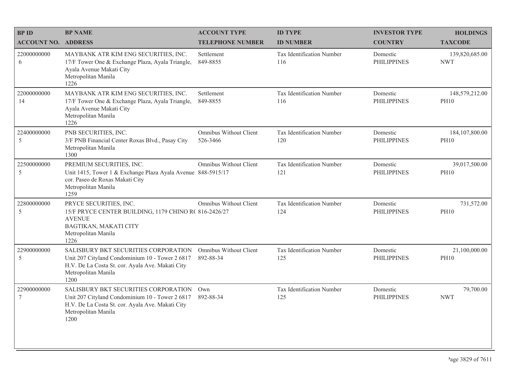| <b>BP ID</b>                   | <b>BP NAME</b>                                                                                                                                                             | <b>ACCOUNT TYPE</b>                       | <b>ID TYPE</b>                          | <b>INVESTOR TYPE</b>           | <b>HOLDINGS</b>                 |
|--------------------------------|----------------------------------------------------------------------------------------------------------------------------------------------------------------------------|-------------------------------------------|-----------------------------------------|--------------------------------|---------------------------------|
| <b>ACCOUNT NO. ADDRESS</b>     |                                                                                                                                                                            | <b>TELEPHONE NUMBER</b>                   | <b>ID NUMBER</b>                        | <b>COUNTRY</b>                 | <b>TAXCODE</b>                  |
| 22000000000<br>6               | MAYBANK ATR KIM ENG SECURITIES, INC.<br>17/F Tower One & Exchange Plaza, Ayala Triangle,<br>Ayala Avenue Makati City<br>Metropolitan Manila<br>1226                        | Settlement<br>849-8855                    | <b>Tax Identification Number</b><br>116 | Domestic<br><b>PHILIPPINES</b> | 139,820,685.00<br><b>NWT</b>    |
| 22000000000<br>14              | MAYBANK ATR KIM ENG SECURITIES, INC.<br>17/F Tower One & Exchange Plaza, Ayala Triangle,<br>Ayala Avenue Makati City<br>Metropolitan Manila<br>1226                        | Settlement<br>849-8855                    | Tax Identification Number<br>116        | Domestic<br><b>PHILIPPINES</b> | 148,579,212.00<br><b>PH10</b>   |
| 22400000000<br>5               | PNB SECURITIES, INC.<br>3/F PNB Financial Center Roxas Blvd., Pasay City<br>Metropolitan Manila<br>1300                                                                    | <b>Omnibus Without Client</b><br>526-3466 | Tax Identification Number<br>120        | Domestic<br><b>PHILIPPINES</b> | 184, 107, 800.00<br><b>PH10</b> |
| 22500000000<br>5               | PREMIUM SECURITIES, INC.<br>Unit 1415, Tower 1 & Exchange Plaza Ayala Avenue 848-5915/17<br>cor. Paseo de Roxas Makati City<br>Metropolitan Manila<br>1259                 | Omnibus Without Client                    | Tax Identification Number<br>121        | Domestic<br><b>PHILIPPINES</b> | 39,017,500.00<br><b>PH10</b>    |
| 22800000000<br>5               | PRYCE SECURITIES, INC.<br>15/F PRYCE CENTER BUILDING, 1179 CHINO R( 816-2426/27<br><b>AVENUE</b><br>BAGTIKAN, MAKATI CITY<br>Metropolitan Manila<br>1226                   | Omnibus Without Client                    | Tax Identification Number<br>124        | Domestic<br><b>PHILIPPINES</b> | 731,572.00<br><b>PH10</b>       |
| 22900000000<br>5               | SALISBURY BKT SECURITIES CORPORATION<br>Unit 207 Cityland Condominium 10 - Tower 2 6817<br>H.V. De La Costa St. cor. Ayala Ave. Makati City<br>Metropolitan Manila<br>1200 | Omnibus Without Client<br>892-88-34       | Tax Identification Number<br>125        | Domestic<br><b>PHILIPPINES</b> | 21,100,000.00<br><b>PH10</b>    |
| 22900000000<br>$7\overline{ }$ | SALISBURY BKT SECURITIES CORPORATION<br>Unit 207 Cityland Condominium 10 - Tower 2 6817<br>H.V. De La Costa St. cor. Ayala Ave. Makati City<br>Metropolitan Manila<br>1200 | Own<br>892-88-34                          | Tax Identification Number<br>125        | Domestic<br><b>PHILIPPINES</b> | 79,700.00<br><b>NWT</b>         |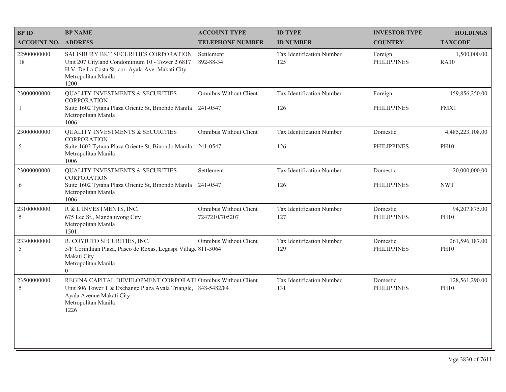| <b>BPID</b>                 | <b>BP NAME</b>                                                                                                                                                                          | <b>ACCOUNT TYPE</b>                      | <b>ID TYPE</b>                          | <b>INVESTOR TYPE</b>           | <b>HOLDINGS</b>                 |
|-----------------------------|-----------------------------------------------------------------------------------------------------------------------------------------------------------------------------------------|------------------------------------------|-----------------------------------------|--------------------------------|---------------------------------|
| <b>ACCOUNT NO. ADDRESS</b>  |                                                                                                                                                                                         | <b>TELEPHONE NUMBER</b>                  | <b>ID NUMBER</b>                        | <b>COUNTRY</b>                 | <b>TAXCODE</b>                  |
| 22900000000<br>18           | <b>SALISBURY BKT SECURITIES CORPORATION</b><br>Unit 207 Cityland Condominium 10 - Tower 2 6817<br>H.V. De La Costa St. cor. Ayala Ave. Makati City<br>Metropolitan Manila<br>1200       | Settlement<br>892-88-34                  | <b>Tax Identification Number</b><br>125 | Foreign<br><b>PHILIPPINES</b>  | 1,500,000.00<br><b>RA10</b>     |
| 23000000000<br>$\mathbf{1}$ | <b>QUALITY INVESTMENTS &amp; SECURITIES</b><br><b>CORPORATION</b><br>Suite 1602 Tytana Plaza Oriente St, Binondo Manila 241-0547<br>Metropolitan Manila<br>1006                         | Omnibus Without Client                   | Tax Identification Number<br>126        | Foreign<br><b>PHILIPPINES</b>  | 459,856,250.00<br>FMX1          |
| 23000000000<br>5            | <b>QUALITY INVESTMENTS &amp; SECURITIES</b><br><b>CORPORATION</b><br>Suite 1602 Tytana Plaza Oriente St, Binondo Manila 241-0547<br>Metropolitan Manila<br>1006                         | Omnibus Without Client                   | Tax Identification Number<br>126        | Domestic<br><b>PHILIPPINES</b> | 4,485,223,108.00<br><b>PH10</b> |
| 23000000000<br>6            | <b>QUALITY INVESTMENTS &amp; SECURITIES</b><br><b>CORPORATION</b><br>Suite 1602 Tytana Plaza Oriente St, Binondo Manila<br>Metropolitan Manila<br>1006                                  | Settlement<br>241-0547                   | Tax Identification Number<br>126        | Domestic<br><b>PHILIPPINES</b> | 20,000,000.00<br><b>NWT</b>     |
| 23100000000<br>5            | R & L INVESTMENTS, INC.<br>675 Lee St., Mandaluyong City<br>Metropolitan Manila<br>1501                                                                                                 | Omnibus Without Client<br>7247210/705207 | Tax Identification Number<br>127        | Domestic<br><b>PHILIPPINES</b> | 94,207,875.00<br><b>PH10</b>    |
| 23300000000<br>5            | R. COYIUTO SECURITIES, INC.<br>5/F Corinthian Plaza, Paseo de Roxas, Legaspi Village 811-3064<br>Makati City<br>Metropolitan Manila<br>$\Omega$                                         | <b>Omnibus Without Client</b>            | Tax Identification Number<br>129        | Domestic<br><b>PHILIPPINES</b> | 261,596,187.00<br><b>PH10</b>   |
| 23500000000<br>5            | REGINA CAPITAL DEVELOPMENT CORPORATI Omnibus Without Client<br>Unit 806 Tower 1 & Exchange Plaza Ayala Triangle, 848-5482/84<br>Ayala Avenue Makati City<br>Metropolitan Manila<br>1226 |                                          | Tax Identification Number<br>131        | Domestic<br><b>PHILIPPINES</b> | 128,561,290.00<br><b>PH10</b>   |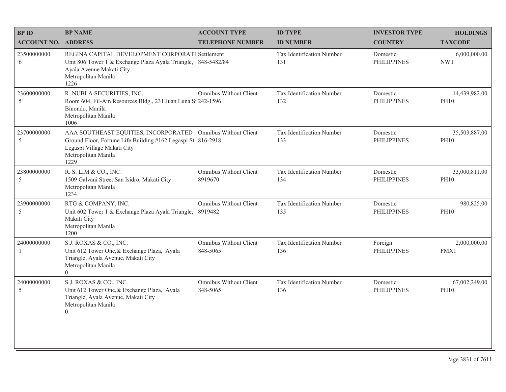| <b>BPID</b>                | <b>BP NAME</b>                                                                                                                                                                             | <b>ACCOUNT TYPE</b>                | <b>ID TYPE</b>                   | <b>INVESTOR TYPE</b>           | <b>HOLDINGS</b>              |
|----------------------------|--------------------------------------------------------------------------------------------------------------------------------------------------------------------------------------------|------------------------------------|----------------------------------|--------------------------------|------------------------------|
| <b>ACCOUNT NO. ADDRESS</b> |                                                                                                                                                                                            | <b>TELEPHONE NUMBER</b>            | <b>ID NUMBER</b>                 | <b>COUNTRY</b>                 | <b>TAXCODE</b>               |
| 23500000000<br>6           | REGINA CAPITAL DEVELOPMENT CORPORATI Settlement<br>Unit 806 Tower 1 & Exchange Plaza Ayala Triangle, 848-5482/84<br>Ayala Avenue Makati City<br>Metropolitan Manila<br>1226                |                                    | Tax Identification Number<br>131 | Domestic<br><b>PHILIPPINES</b> | 6,000,000.00<br><b>NWT</b>   |
| 23600000000<br>5           | R. NUBLA SECURITIES, INC.<br>Room 604, Fil-Am Resources Bldg., 231 Juan Luna S 242-1596<br>Binondo, Manila<br>Metropolitan Manila<br>1006                                                  | Omnibus Without Client             | Tax Identification Number<br>132 | Domestic<br><b>PHILIPPINES</b> | 14,439,982.00<br><b>PH10</b> |
| 23700000000<br>5           | AAA SOUTHEAST EQUITIES, INCORPORATED Omnibus Without Client<br>Ground Floor, Fortune Life Building #162 Legaspi St. 816-2918<br>Legaspi Village Makati City<br>Metropolitan Manila<br>1229 |                                    | Tax Identification Number<br>133 | Domestic<br><b>PHILIPPINES</b> | 35,503,887.00<br><b>PH10</b> |
| 23800000000<br>5           | R. S. LIM & CO., INC.<br>1509 Galvani Street San Isidro, Makati City<br>Metropolitan Manila<br>1234                                                                                        | Omnibus Without Client<br>8919670  | Tax Identification Number<br>134 | Domestic<br><b>PHILIPPINES</b> | 33,000,811.00<br><b>PH10</b> |
| 23900000000<br>5           | RTG & COMPANY, INC.<br>Unit 602 Tower 1 & Exchange Plaza Ayala Triangle,<br>Makati City<br>Metropolitan Manila<br>1200                                                                     | Omnibus Without Client<br>8919482  | Tax Identification Number<br>135 | Domestic<br><b>PHILIPPINES</b> | 980,825.00<br><b>PH10</b>    |
| 24000000000<br>-1          | S.J. ROXAS & CO., INC.<br>Unit 612 Tower One, & Exchange Plaza, Ayala<br>Triangle, Ayala Avenue, Makati City<br>Metropolitan Manila<br>$\overline{0}$                                      | Omnibus Without Client<br>848-5065 | Tax Identification Number<br>136 | Foreign<br><b>PHILIPPINES</b>  | 2,000,000.00<br>FMX1         |
| 24000000000<br>5           | S.J. ROXAS & CO., INC.<br>Unit 612 Tower One, & Exchange Plaza, Ayala<br>Triangle, Ayala Avenue, Makati City<br>Metropolitan Manila<br>$\Omega$                                            | Omnibus Without Client<br>848-5065 | Tax Identification Number<br>136 | Domestic<br><b>PHILIPPINES</b> | 67,002,249.00<br><b>PH10</b> |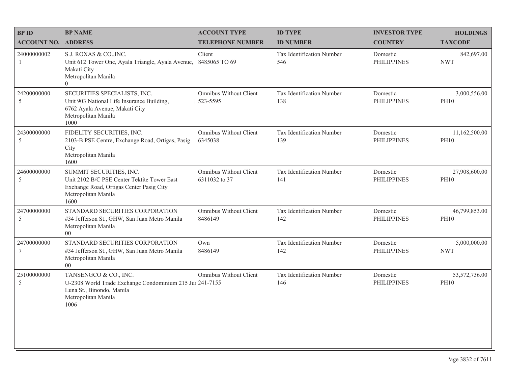| <b>BP NAME</b>                                                                                                                                    | <b>ACCOUNT TYPE</b>                     | <b>ID TYPE</b>                                           | <b>INVESTOR TYPE</b>           | <b>HOLDINGS</b>              |
|---------------------------------------------------------------------------------------------------------------------------------------------------|-----------------------------------------|----------------------------------------------------------|--------------------------------|------------------------------|
|                                                                                                                                                   | <b>TELEPHONE NUMBER</b>                 | <b>ID NUMBER</b>                                         | <b>COUNTRY</b>                 | <b>TAXCODE</b>               |
| S.J. ROXAS & CO., INC.<br>Unit 612 Tower One, Ayala Triangle, Ayala Avenue,<br>Makati City<br>Metropolitan Manila<br>$\theta$                     | Client<br>8485065 TO 69                 | Tax Identification Number<br>546                         | Domestic<br><b>PHILIPPINES</b> | 842,697.00<br><b>NWT</b>     |
| SECURITIES SPECIALISTS, INC.<br>Unit 903 National Life Insurance Building,<br>6762 Ayala Avenue, Makati City<br>Metropolitan Manila<br>1000       | Omnibus Without Client<br>523-5595      | Tax Identification Number<br>138                         | Domestic<br><b>PHILIPPINES</b> | 3,000,556.00<br><b>PH10</b>  |
| FIDELITY SECURITIES, INC.<br>2103-B PSE Centre, Exchange Road, Ortigas, Pasig<br>City<br>Metropolitan Manila<br>1600                              | Omnibus Without Client<br>6345038       | Tax Identification Number<br>139                         | Domestic<br><b>PHILIPPINES</b> | 11,162,500.00<br><b>PH10</b> |
| SUMMIT SECURITIES, INC.<br>Unit 2102 B/C PSE Center Tektite Tower East<br>Exchange Road, Ortigas Center Pasig City<br>Metropolitan Manila<br>1600 | Omnibus Without Client<br>6311032 to 37 | Tax Identification Number<br>141                         | Domestic<br><b>PHILIPPINES</b> | 27,908,600.00<br><b>PH10</b> |
| STANDARD SECURITIES CORPORATION<br>#34 Jefferson St., GHW, San Juan Metro Manila<br>Metropolitan Manila<br>00 <sup>°</sup>                        | Omnibus Without Client<br>8486149       | Tax Identification Number<br>142                         | Domestic<br><b>PHILIPPINES</b> | 46,799,853.00<br><b>PH10</b> |
| STANDARD SECURITIES CORPORATION<br>#34 Jefferson St., GHW, San Juan Metro Manila<br>Metropolitan Manila<br>00 <sup>°</sup>                        | Own<br>8486149                          | Tax Identification Number<br>142                         | Domestic<br><b>PHILIPPINES</b> | 5,000,000.00<br><b>NWT</b>   |
| TANSENGCO & CO., INC.<br>Luna St., Binondo, Manila<br>Metropolitan Manila<br>1006                                                                 | <b>Omnibus Without Client</b>           | Tax Identification Number<br>146                         | Domestic<br><b>PHILIPPINES</b> | 53,572,736.00<br><b>PH10</b> |
|                                                                                                                                                   | <b>ACCOUNT NO. ADDRESS</b>              | U-2308 World Trade Exchange Condominium 215 Ju: 241-7155 |                                |                              |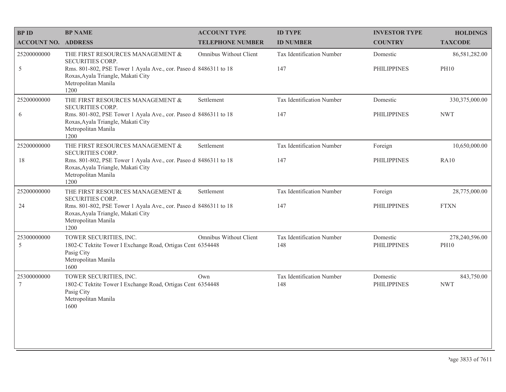| <b>BP ID</b>                   | <b>BP NAME</b>                                                                                                                        | <b>ACCOUNT TYPE</b>           | <b>ID TYPE</b>                   | <b>INVESTOR TYPE</b>           | <b>HOLDINGS</b>          |
|--------------------------------|---------------------------------------------------------------------------------------------------------------------------------------|-------------------------------|----------------------------------|--------------------------------|--------------------------|
| <b>ACCOUNT NO. ADDRESS</b>     |                                                                                                                                       | <b>TELEPHONE NUMBER</b>       | <b>ID NUMBER</b>                 | <b>COUNTRY</b>                 | <b>TAXCODE</b>           |
| 25200000000                    | THE FIRST RESOURCES MANAGEMENT &<br><b>SECURITIES CORP.</b>                                                                           | <b>Omnibus Without Client</b> | Tax Identification Number        | Domestic                       | 86,581,282.00            |
| 5                              | Rms. 801-802, PSE Tower 1 Ayala Ave., cor. Paseo d 8486311 to 18<br>Roxas, Ayala Triangle, Makati City<br>Metropolitan Manila<br>1200 |                               | 147                              | <b>PHILIPPINES</b>             | <b>PH10</b>              |
| 25200000000                    | THE FIRST RESOURCES MANAGEMENT &<br>SECURITIES CORP.                                                                                  | Settlement                    | Tax Identification Number        | Domestic                       | 330, 375, 000.00         |
| 6                              | Rms. 801-802, PSE Tower 1 Ayala Ave., cor. Paseo d 8486311 to 18<br>Roxas, Ayala Triangle, Makati City<br>Metropolitan Manila<br>1200 |                               | 147                              | <b>PHILIPPINES</b>             | <b>NWT</b>               |
| 25200000000                    | THE FIRST RESOURCES MANAGEMENT &<br>SECURITIES CORP.                                                                                  | Settlement                    | Tax Identification Number        | Foreign                        | 10,650,000.00            |
| 18                             | Rms. 801-802, PSE Tower 1 Ayala Ave., cor. Paseo d 8486311 to 18<br>Roxas, Ayala Triangle, Makati City<br>Metropolitan Manila<br>1200 |                               | 147                              | <b>PHILIPPINES</b>             | <b>RA10</b>              |
| 25200000000                    | THE FIRST RESOURCES MANAGEMENT $\&$<br>SECURITIES CORP.                                                                               | Settlement                    | Tax Identification Number        | Foreign                        | 28,775,000.00            |
| 24                             | Rms. 801-802, PSE Tower 1 Ayala Ave., cor. Paseo d 8486311 to 18<br>Roxas, Ayala Triangle, Makati City<br>Metropolitan Manila<br>1200 |                               | 147                              | <b>PHILIPPINES</b>             | <b>FTXN</b>              |
| 25300000000                    | TOWER SECURITIES, INC.                                                                                                                | Omnibus Without Client        | Tax Identification Number        | Domestic                       | 278,240,596.00           |
| 5                              | 1802-C Tektite Tower I Exchange Road, Ortigas Cent 6354448<br>Pasig City<br>Metropolitan Manila<br>1600                               |                               | 148                              | <b>PHILIPPINES</b>             | <b>PH10</b>              |
| 25300000000<br>$7\phantom{.0}$ | TOWER SECURITIES, INC.<br>1802-C Tektite Tower I Exchange Road, Ortigas Cent 6354448<br>Pasig City<br>Metropolitan Manila<br>1600     | Own                           | Tax Identification Number<br>148 | Domestic<br><b>PHILIPPINES</b> | 843,750.00<br><b>NWT</b> |
|                                |                                                                                                                                       |                               |                                  |                                |                          |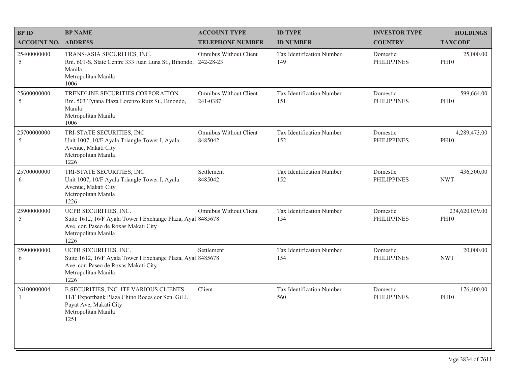| <b>BPID</b>                   | <b>BP NAME</b>                                                                                                                                              | <b>ACCOUNT TYPE</b>                | <b>ID TYPE</b>                          | <b>INVESTOR TYPE</b>           | <b>HOLDINGS</b>               |
|-------------------------------|-------------------------------------------------------------------------------------------------------------------------------------------------------------|------------------------------------|-----------------------------------------|--------------------------------|-------------------------------|
| <b>ACCOUNT NO. ADDRESS</b>    |                                                                                                                                                             | <b>TELEPHONE NUMBER</b>            | <b>ID NUMBER</b>                        | <b>COUNTRY</b>                 | <b>TAXCODE</b>                |
| 25400000000<br>5              | TRANS-ASIA SECURITIES, INC.<br>Rm. 601-S, State Centre 333 Juan Luna St., Binondo, 242-28-23<br>Manila<br>Metropolitan Manila<br>1006                       | Omnibus Without Client             | <b>Tax Identification Number</b><br>149 | Domestic<br><b>PHILIPPINES</b> | 25,000.00<br><b>PH10</b>      |
| 25600000000<br>5              | TRENDLINE SECURITIES CORPORATION<br>Rm. 503 Tytana Plaza Lorenzo Ruiz St., Binondo,<br>Manila<br>Metropolitan Manila<br>1006                                | Omnibus Without Client<br>241-0387 | Tax Identification Number<br>151        | Domestic<br><b>PHILIPPINES</b> | 599,664.00<br><b>PH10</b>     |
| 25700000000<br>5              | TRI-STATE SECURITIES, INC.<br>Unit 1007, 10/F Ayala Triangle Tower I, Ayala<br>Avenue, Makati City<br>Metropolitan Manila<br>1226                           | Omnibus Without Client<br>8485042  | Tax Identification Number<br>152        | Domestic<br><b>PHILIPPINES</b> | 4,289,473.00<br><b>PH10</b>   |
| 25700000000<br>6              | TRI-STATE SECURITIES, INC.<br>Unit 1007, 10/F Ayala Triangle Tower I, Ayala<br>Avenue, Makati City<br>Metropolitan Manila<br>1226                           | Settlement<br>8485042              | Tax Identification Number<br>152        | Domestic<br><b>PHILIPPINES</b> | 436,500.00<br><b>NWT</b>      |
| 25900000000<br>5              | UCPB SECURITIES, INC.<br>Suite 1612, 16/F Ayala Tower I Exchange Plaza, Ayal 8485678<br>Ave. cor. Paseo de Roxas Makati City<br>Metropolitan Manila<br>1226 | Omnibus Without Client             | Tax Identification Number<br>154        | Domestic<br><b>PHILIPPINES</b> | 234,620,039.00<br><b>PH10</b> |
| 25900000000<br>6              | UCPB SECURITIES, INC.<br>Suite 1612, 16/F Ayala Tower I Exchange Plaza, Ayal 8485678<br>Ave. cor. Paseo de Roxas Makati City<br>Metropolitan Manila<br>1226 | Settlement                         | Tax Identification Number<br>154        | Domestic<br><b>PHILIPPINES</b> | 20,000.00<br><b>NWT</b>       |
| 26100000004<br>$\overline{1}$ | E.SECURITIES, INC. ITF VARIOUS CLIENTS<br>11/F Exportbank Plaza Chino Roces cor Sen. Gil J.<br>Puyat Ave, Makati City<br>Metropolitan Manila<br>1251        | Client                             | Tax Identification Number<br>560        | Domestic<br><b>PHILIPPINES</b> | 176,400.00<br><b>PH10</b>     |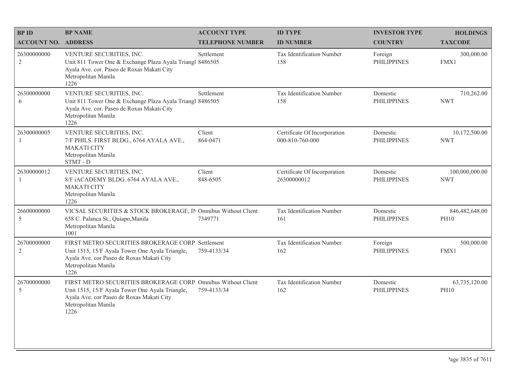| <b>BPID</b>                   | <b>BP NAME</b>                                                                                                                                                                               | <b>ACCOUNT TYPE</b>     | <b>ID TYPE</b>                                  | <b>INVESTOR TYPE</b>           | <b>HOLDINGS</b>               |
|-------------------------------|----------------------------------------------------------------------------------------------------------------------------------------------------------------------------------------------|-------------------------|-------------------------------------------------|--------------------------------|-------------------------------|
| <b>ACCOUNT NO. ADDRESS</b>    |                                                                                                                                                                                              | <b>TELEPHONE NUMBER</b> | <b>ID NUMBER</b>                                | <b>COUNTRY</b>                 | <b>TAXCODE</b>                |
| 26300000000<br>$\overline{2}$ | VENTURE SECURITIES, INC.<br>Unit 811 Tower One & Exchange Plaza Ayala Triangl 8486505<br>Ayala Ave. cor. Paseo de Roxas Makati City<br>Metropolitan Manila<br>1226                           | Settlement              | Tax Identification Number<br>158                | Foreign<br><b>PHILIPPINES</b>  | 300,000.00<br>FMX1            |
| 26300000000<br>6              | VENTURE SECURITIES, INC.<br>Unit 811 Tower One & Exchange Plaza Ayala Triangl 8486505<br>Ayala Ave. cor. Paseo de Roxas Makati City<br>Metropolitan Manila<br>1226                           | Settlement              | Tax Identification Number<br>158                | Domestic<br><b>PHILIPPINES</b> | 710,262.00<br><b>NWT</b>      |
| 26300000005<br>$\mathbf{1}$   | VENTURE SECURITIES, INC.<br>7/F PHILS. FIRST BLDG., 6764 AYALA AVE.,<br><b>MAKATI CITY</b><br>Metropolitan Manila<br>STMT-D                                                                  | Client<br>864-0471      | Certificate Of Incorporation<br>000-810-760-000 | Domestic<br><b>PHILIPPINES</b> | 10,172,500.00<br><b>NWT</b>   |
| 26300000012<br>1              | VENTURE SECURITIES, INC.<br>8/F iACADEMY BLDG. 6764 AYALA AVE.,<br><b>MAKATI CITY</b><br>Metropolitan Manila<br>1226                                                                         | Client<br>848-6505      | Certificate Of Incorporation<br>26300000012     | Domestic<br><b>PHILIPPINES</b> | 100,000,000.00<br><b>NWT</b>  |
| 26600000000<br>5              | VICSAL SECURITIES & STOCK BROKERAGE, IN Omnibus Without Client<br>658 C. Palanca St., Quiapo, Manila<br>Metropolitan Manila<br>1001                                                          | 7349771                 | Tax Identification Number<br>161                | Domestic<br><b>PHILIPPINES</b> | 846,482,648.00<br><b>PH10</b> |
| 26700000000<br>$\overline{2}$ | FIRST METRO SECURITIES BROKERAGE CORP. Settlement<br>Unit 1515, 15/F Ayala Tower One Ayala Triangle,<br>Ayala Ave. cor Paseo de Roxas Makati City<br>Metropolitan Manila<br>1226             | 759-4133/34             | Tax Identification Number<br>162                | Foreign<br><b>PHILIPPINES</b>  | 500,000.00<br>FMX1            |
| 26700000000<br>5              | FIRST METRO SECURITIES BROKERAGE CORP. Omnibus Without Client<br>Unit 1515, 15/F Ayala Tower One Ayala Triangle,<br>Ayala Ave. cor Paseo de Roxas Makati City<br>Metropolitan Manila<br>1226 | 759-4133/34             | Tax Identification Number<br>162                | Domestic<br><b>PHILIPPINES</b> | 63,735,120.00<br><b>PH10</b>  |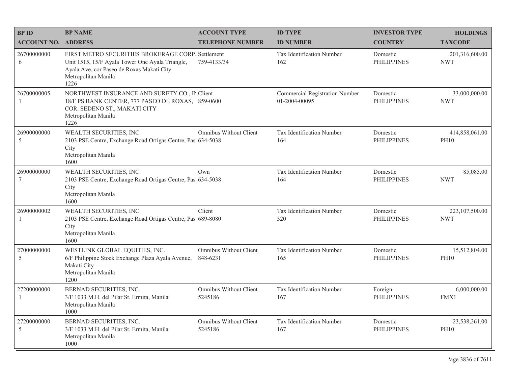| <b>BP ID</b>                   | <b>BP NAME</b>                                                                                                                                                                   | <b>ACCOUNT TYPE</b>                | <b>ID TYPE</b>                                  | <b>INVESTOR TYPE</b>           | <b>HOLDINGS</b>               |
|--------------------------------|----------------------------------------------------------------------------------------------------------------------------------------------------------------------------------|------------------------------------|-------------------------------------------------|--------------------------------|-------------------------------|
| <b>ACCOUNT NO. ADDRESS</b>     |                                                                                                                                                                                  | <b>TELEPHONE NUMBER</b>            | <b>ID NUMBER</b>                                | <b>COUNTRY</b>                 | <b>TAXCODE</b>                |
| 26700000000<br>6               | FIRST METRO SECURITIES BROKERAGE CORP. Settlement<br>Unit 1515, 15/F Ayala Tower One Ayala Triangle,<br>Ayala Ave. cor Paseo de Roxas Makati City<br>Metropolitan Manila<br>1226 | 759-4133/34                        | Tax Identification Number<br>162                | Domestic<br><b>PHILIPPINES</b> | 201,316,600.00<br><b>NWT</b>  |
| 26700000005<br>$\overline{1}$  | NORTHWEST INSURANCE AND SURETY CO., II Client<br>18/F PS BANK CENTER, 777 PASEO DE ROXAS, 859-0600<br>COR. SEDENO ST., MAKATI CITY<br>Metropolitan Manila<br>1226                |                                    | Commercial Registration Number<br>01-2004-00095 | Domestic<br><b>PHILIPPINES</b> | 33,000,000.00<br><b>NWT</b>   |
| 26900000000<br>5               | WEALTH SECURITIES, INC.<br>2103 PSE Centre, Exchange Road Ortigas Centre, Pas 634-5038<br>City<br>Metropolitan Manila<br>1600                                                    | <b>Omnibus Without Client</b>      | Tax Identification Number<br>164                | Domestic<br><b>PHILIPPINES</b> | 414,858,061.00<br><b>PH10</b> |
| 26900000000<br>$7\phantom{.0}$ | WEALTH SECURITIES, INC.<br>2103 PSE Centre, Exchange Road Ortigas Centre, Pas 634-5038<br>City<br>Metropolitan Manila<br>1600                                                    | Own                                | Tax Identification Number<br>164                | Domestic<br><b>PHILIPPINES</b> | 85,085.00<br><b>NWT</b>       |
| 26900000002<br>-1              | WEALTH SECURITIES, INC.<br>2103 PSE Centre, Exchange Road Ortigas Centre, Pas 689-8080<br>City<br>Metropolitan Manila<br>1600                                                    | Client                             | Tax Identification Number<br>320                | Domestic<br><b>PHILIPPINES</b> | 223,107,500.00<br><b>NWT</b>  |
| 27000000000<br>5               | WESTLINK GLOBAL EQUITIES, INC.<br>6/F Philippine Stock Exchange Plaza Ayala Avenue,<br>Makati City<br>Metropolitan Manila<br>1200                                                | Omnibus Without Client<br>848-6231 | Tax Identification Number<br>165                | Domestic<br><b>PHILIPPINES</b> | 15,512,804.00<br><b>PH10</b>  |
| 27200000000<br>$\overline{1}$  | BERNAD SECURITIES, INC.<br>3/F 1033 M.H. del Pilar St. Ermita, Manila<br>Metropolitan Manila<br>1000                                                                             | Omnibus Without Client<br>5245186  | Tax Identification Number<br>167                | Foreign<br><b>PHILIPPINES</b>  | 6,000,000.00<br>FMX1          |
| 27200000000<br>5               | BERNAD SECURITIES, INC.<br>3/F 1033 M.H. del Pilar St. Ermita, Manila<br>Metropolitan Manila<br>1000                                                                             | Omnibus Without Client<br>5245186  | Tax Identification Number<br>167                | Domestic<br><b>PHILIPPINES</b> | 23,538,261.00<br><b>PH10</b>  |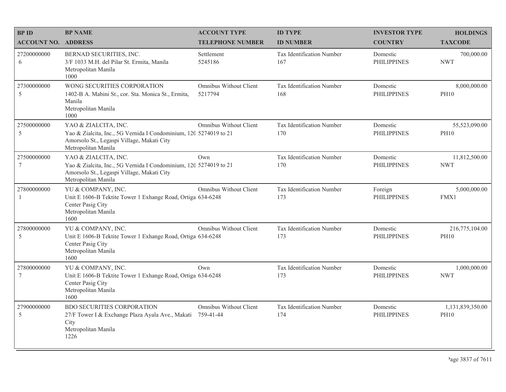| <b>BPID</b>                   | <b>BP NAME</b>                                                                                                                                                 | <b>ACCOUNT TYPE</b>                 | <b>ID TYPE</b>                   | <b>INVESTOR TYPE</b>           | <b>HOLDINGS</b>                 |
|-------------------------------|----------------------------------------------------------------------------------------------------------------------------------------------------------------|-------------------------------------|----------------------------------|--------------------------------|---------------------------------|
| <b>ACCOUNT NO. ADDRESS</b>    |                                                                                                                                                                | <b>TELEPHONE NUMBER</b>             | <b>ID NUMBER</b>                 | <b>COUNTRY</b>                 | <b>TAXCODE</b>                  |
| 27200000000<br>6              | BERNAD SECURITIES, INC.<br>3/F 1033 M.H. del Pilar St. Ermita, Manila<br>Metropolitan Manila<br>1000                                                           | Settlement<br>5245186               | Tax Identification Number<br>167 | Domestic<br><b>PHILIPPINES</b> | 700,000.00<br><b>NWT</b>        |
| 27300000000<br>$\mathfrak s$  | WONG SECURITIES CORPORATION<br>1402-B A. Mabini St., cor. Sta. Monica St., Ermita,<br>Manila<br>Metropolitan Manila<br>1000                                    | Omnibus Without Client<br>5217794   | Tax Identification Number<br>168 | Domestic<br><b>PHILIPPINES</b> | 8,000,000.00<br><b>PH10</b>     |
| 27500000000<br>$\mathfrak s$  | YAO & ZIALCITA, INC.<br>Yao & Zialcita, Inc., 5G Vernida I Condominium, 120 5274019 to 21<br>Amorsolo St., Legaspi Village, Makati City<br>Metropolitan Manila | Omnibus Without Client              | Tax Identification Number<br>170 | Domestic<br><b>PHILIPPINES</b> | 55,523,090.00<br><b>PH10</b>    |
| 27500000000<br>7              | YAO & ZIALCITA, INC.<br>Yao & Zialcita, Inc., 5G Vernida I Condominium, 120 5274019 to 21<br>Amorsolo St., Legaspi Village, Makati City<br>Metropolitan Manila | Own                                 | Tax Identification Number<br>170 | Domestic<br><b>PHILIPPINES</b> | 11,812,500.00<br><b>NWT</b>     |
| 27800000000<br>-1             | YU & COMPANY, INC.<br>Unit E 1606-B Tektite Tower 1 Exhange Road, Ortiga 634-6248<br>Center Pasig City<br>Metropolitan Manila<br>1600                          | <b>Omnibus Without Client</b>       | Tax Identification Number<br>173 | Foreign<br><b>PHILIPPINES</b>  | 5,000,000.00<br>FMX1            |
| 27800000000<br>5              | YU & COMPANY, INC.<br>Unit E 1606-B Tektite Tower 1 Exhange Road, Ortiga 634-6248<br>Center Pasig City<br>Metropolitan Manila<br>1600                          | Omnibus Without Client              | Tax Identification Number<br>173 | Domestic<br><b>PHILIPPINES</b> | 216,775,104.00<br><b>PH10</b>   |
| 27800000000<br>$\overline{7}$ | YU & COMPANY, INC.<br>Unit E 1606-B Tektite Tower 1 Exhange Road, Ortiga 634-6248<br>Center Pasig City<br>Metropolitan Manila<br>1600                          | Own                                 | Tax Identification Number<br>173 | Domestic<br><b>PHILIPPINES</b> | 1,000,000.00<br><b>NWT</b>      |
| 27900000000<br>5              | <b>BDO SECURITIES CORPORATION</b><br>27/F Tower I & Exchange Plaza Ayala Ave., Makati<br>City<br>Metropolitan Manila<br>1226                                   | Omnibus Without Client<br>759-41-44 | Tax Identification Number<br>174 | Domestic<br><b>PHILIPPINES</b> | 1,131,839,350.00<br><b>PH10</b> |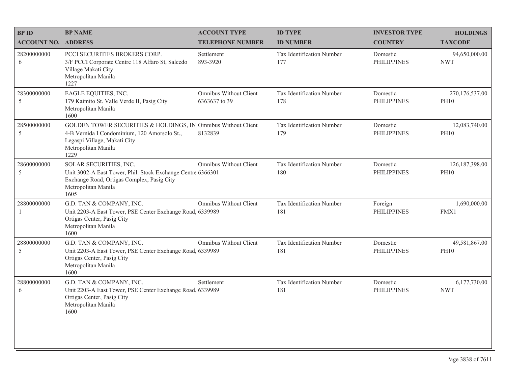| <b>BP NAME</b>                                                                                                                          | <b>ACCOUNT TYPE</b>                            | <b>ID TYPE</b>                                                                                                                                                                                                                                                                                                      | <b>INVESTOR TYPE</b>           | <b>HOLDINGS</b>                 |
|-----------------------------------------------------------------------------------------------------------------------------------------|------------------------------------------------|---------------------------------------------------------------------------------------------------------------------------------------------------------------------------------------------------------------------------------------------------------------------------------------------------------------------|--------------------------------|---------------------------------|
|                                                                                                                                         | <b>TELEPHONE NUMBER</b>                        | <b>ID NUMBER</b>                                                                                                                                                                                                                                                                                                    | <b>COUNTRY</b>                 | <b>TAXCODE</b>                  |
| PCCI SECURITIES BROKERS CORP.<br>3/F PCCI Corporate Centre 118 Alfaro St, Salcedo<br>Village Makati City<br>Metropolitan Manila<br>1227 | Settlement<br>893-3920                         | Tax Identification Number<br>177                                                                                                                                                                                                                                                                                    | Domestic<br><b>PHILIPPINES</b> | 94,650,000.00<br><b>NWT</b>     |
| EAGLE EQUITIES, INC.<br>179 Kaimito St. Valle Verde II, Pasig City<br>Metropolitan Manila<br>1600                                       | <b>Omnibus Without Client</b><br>6363637 to 39 | Tax Identification Number<br>178                                                                                                                                                                                                                                                                                    | Domestic<br><b>PHILIPPINES</b> | 270,176,537.00<br><b>PH10</b>   |
| 4-B Vernida I Condominium, 120 Amorsolo St.,<br>Legaspi Village, Makati City<br>Metropolitan Manila<br>1229                             | 8132839                                        | Tax Identification Number<br>179                                                                                                                                                                                                                                                                                    | Domestic<br><b>PHILIPPINES</b> | 12,083,740.00<br><b>PH10</b>    |
| SOLAR SECURITIES, INC.<br>Exchange Road, Ortigas Complex, Pasig City<br>Metropolitan Manila<br>1605                                     | Omnibus Without Client                         | Tax Identification Number<br>180                                                                                                                                                                                                                                                                                    | Domestic<br><b>PHILIPPINES</b> | 126, 187, 398.00<br><b>PH10</b> |
| G.D. TAN & COMPANY, INC.<br>Ortigas Center, Pasig City<br>Metropolitan Manila<br>1600                                                   | <b>Omnibus Without Client</b>                  | Tax Identification Number<br>181                                                                                                                                                                                                                                                                                    | Foreign<br><b>PHILIPPINES</b>  | 1,690,000.00<br>FMX1            |
| G.D. TAN & COMPANY, INC.<br>Ortigas Center, Pasig City<br>Metropolitan Manila<br>1600                                                   | <b>Omnibus Without Client</b>                  | Tax Identification Number<br>181                                                                                                                                                                                                                                                                                    | Domestic<br><b>PHILIPPINES</b> | 49,581,867.00<br><b>PH10</b>    |
| G.D. TAN & COMPANY, INC.<br>Ortigas Center, Pasig City<br>Metropolitan Manila<br>1600                                                   | Settlement                                     | Tax Identification Number<br>181                                                                                                                                                                                                                                                                                    | Domestic<br><b>PHILIPPINES</b> | 6,177,730.00<br><b>NWT</b>      |
|                                                                                                                                         | <b>ACCOUNT NO. ADDRESS</b>                     | GOLDEN TOWER SECURITIES & HOLDINGS, IN Omnibus Without Client<br>Unit 3002-A East Tower, Phil. Stock Exchange Centre 6366301<br>Unit 2203-A East Tower, PSE Center Exchange Road, 6339989<br>Unit 2203-A East Tower, PSE Center Exchange Road. 6339989<br>Unit 2203-A East Tower, PSE Center Exchange Road, 6339989 |                                |                                 |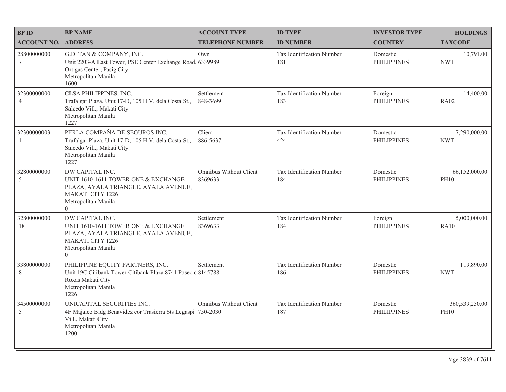| <b>BPID</b>                   | <b>BP NAME</b>                                                                                                                                               | <b>ACCOUNT TYPE</b>                      | <b>ID TYPE</b>                   | <b>INVESTOR TYPE</b>           | <b>HOLDINGS</b>               |
|-------------------------------|--------------------------------------------------------------------------------------------------------------------------------------------------------------|------------------------------------------|----------------------------------|--------------------------------|-------------------------------|
| <b>ACCOUNT NO. ADDRESS</b>    |                                                                                                                                                              | <b>TELEPHONE NUMBER</b>                  | <b>ID NUMBER</b>                 | <b>COUNTRY</b>                 | <b>TAXCODE</b>                |
| 28800000000<br>$\tau$         | G.D. TAN & COMPANY, INC.<br>Unit 2203-A East Tower, PSE Center Exchange Road. 6339989<br>Ortigas Center, Pasig City<br>Metropolitan Manila<br>1600           | Own                                      | Tax Identification Number<br>181 | Domestic<br><b>PHILIPPINES</b> | 10,791.00<br><b>NWT</b>       |
| 32300000000<br>$\overline{4}$ | CLSA PHILIPPINES, INC.<br>Trafalgar Plaza, Unit 17-D, 105 H.V. dela Costa St.,<br>Salcedo Vill., Makati City<br>Metropolitan Manila<br>1227                  | Settlement<br>848-3699                   | Tax Identification Number<br>183 | Foreign<br><b>PHILIPPINES</b>  | 14,400.00<br><b>RA02</b>      |
| 32300000003<br>$\mathbf{1}$   | PERLA COMPAÑA DE SEGUROS INC.<br>Trafalgar Plaza, Unit 17-D, 105 H.V. dela Costa St.,<br>Salcedo Vill., Makati City<br>Metropolitan Manila<br>1227           | Client<br>886-5637                       | Tax Identification Number<br>424 | Domestic<br><b>PHILIPPINES</b> | 7,290,000.00<br><b>NWT</b>    |
| 32800000000<br>5              | DW CAPITAL INC.<br>UNIT 1610-1611 TOWER ONE & EXCHANGE<br>PLAZA, AYALA TRIANGLE, AYALA AVENUE,<br><b>MAKATI CITY 1226</b><br>Metropolitan Manila<br>$\theta$ | <b>Omnibus Without Client</b><br>8369633 | Tax Identification Number<br>184 | Domestic<br><b>PHILIPPINES</b> | 66,152,000.00<br><b>PH10</b>  |
| 32800000000<br>18             | DW CAPITAL INC.<br>UNIT 1610-1611 TOWER ONE & EXCHANGE<br>PLAZA, AYALA TRIANGLE, AYALA AVENUE,<br><b>MAKATI CITY 1226</b><br>Metropolitan Manila<br>$\Omega$ | Settlement<br>8369633                    | Tax Identification Number<br>184 | Foreign<br><b>PHILIPPINES</b>  | 5,000,000.00<br><b>RA10</b>   |
| 33800000000<br>8              | PHILIPPINE EQUITY PARTNERS, INC.<br>Unit 19C Citibank Tower Citibank Plaza 8741 Paseo (8145788)<br>Roxas Makati City<br>Metropolitan Manila<br>1226          | Settlement                               | Tax Identification Number<br>186 | Domestic<br><b>PHILIPPINES</b> | 119,890.00<br><b>NWT</b>      |
| 34500000000<br>5              | UNICAPITAL SECURITIES INC.<br>4F Majalco Bldg Benavidez cor Trasierra Sts Legaspi 750-2030<br>Vill., Makati City<br>Metropolitan Manila<br>1200              | <b>Omnibus Without Client</b>            | Tax Identification Number<br>187 | Domestic<br><b>PHILIPPINES</b> | 360,539,250.00<br><b>PH10</b> |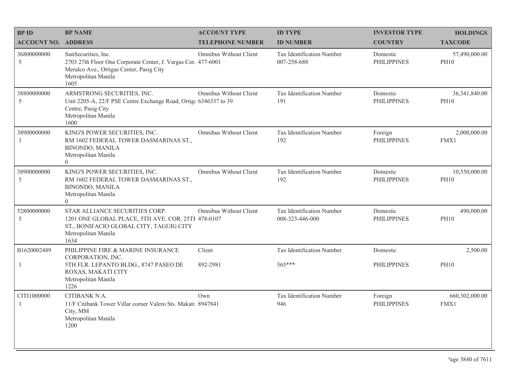| <b>BP ID</b>                  | <b>BP NAME</b>                                                                                                                                                  | <b>ACCOUNT TYPE</b>           | <b>ID TYPE</b>                                  | <b>INVESTOR TYPE</b>           | <b>HOLDINGS</b>                |
|-------------------------------|-----------------------------------------------------------------------------------------------------------------------------------------------------------------|-------------------------------|-------------------------------------------------|--------------------------------|--------------------------------|
| <b>ACCOUNT NO. ADDRESS</b>    |                                                                                                                                                                 | <b>TELEPHONE NUMBER</b>       | <b>ID NUMBER</b>                                | <b>COUNTRY</b>                 | <b>TAXCODE</b>                 |
| 36800000000<br>5              | SunSecurities, Inc.<br>2703 27th Floor One Corporate Center, J. Vargas Cor. 477-6001<br>Meralco Ave., Ortigas Center, Pasig City<br>Metropolitan Manila<br>1605 | Omnibus Without Client        | <b>Tax Identification Number</b><br>007-258-688 | Domestic<br><b>PHILIPPINES</b> | 57,490,000.00<br><b>PH10</b>   |
| 38800000000<br>5              | ARMSTRONG SECURITIES, INC.<br>Unit 2205-A, 22/F PSE Centre Exchange Road, Ortiga 6346337 to 39<br>Centre, Pasig City<br>Metropolitan Manila<br>1600             | Omnibus Without Client        | Tax Identification Number<br>191                | Domestic<br><b>PHILIPPINES</b> | 36, 341, 840.00<br><b>PH10</b> |
| 38900000000                   | KING'S POWER SECURITIES, INC.<br>RM 1602 FEDERAL TOWER DASMARINAS ST.,<br><b>BINONDO, MANILA</b><br>Metropolitan Manila<br>$\theta$                             | Omnibus Without Client        | Tax Identification Number<br>192                | Foreign<br><b>PHILIPPINES</b>  | 2,000,000.00<br>FMX1           |
| 38900000000<br>5              | KING'S POWER SECURITIES, INC.<br>RM 1602 FEDERAL TOWER DASMARINAS ST.,<br><b>BINONDO, MANILA</b><br>Metropolitan Manila<br>$\Omega$                             | <b>Omnibus Without Client</b> | Tax Identification Number<br>192                | Domestic<br><b>PHILIPPINES</b> | 10,550,000.00<br><b>PH10</b>   |
| 52800000000<br>5              | STAR ALLIANCE SECURITIES CORP.<br>1201 ONE GLOBAL PLACE, 5TH AVE. COR. 25TH 478-0107<br>ST., BONIFACIO GLOBAL CITY, TAGUIG CITY<br>Metropolitan Manila<br>1634  | <b>Omnibus Without Client</b> | Tax Identification Number<br>008-323-446-000    | Domestic<br><b>PHILIPPINES</b> | 490,000.00<br><b>PH10</b>      |
| B1620002489                   | PHILIPPINE FIRE & MARINE INSURANCE<br>CORPORATION, INC.                                                                                                         | Client                        | Tax Identification Number                       | Domestic                       | 2,500.00                       |
| 1                             | 5TH FLR. LEPANTO BLDG., 8747 PASEO DE<br>ROXAS, MAKATI CITY<br>Metropolitan Manila<br>1226                                                                      | 892-2981                      | 565***                                          | <b>PHILIPPINES</b>             | <b>PH10</b>                    |
| CITI1000000<br>$\overline{1}$ | CITIBANK N.A.<br>11/F Citibank Tower Villar corner Valero Sts. Makati 8947841<br>City, MM<br>Metropolitan Manila<br>1200                                        | Own                           | Tax Identification Number<br>946                | Foreign<br><b>PHILIPPINES</b>  | 660,302,000.00<br>FMX1         |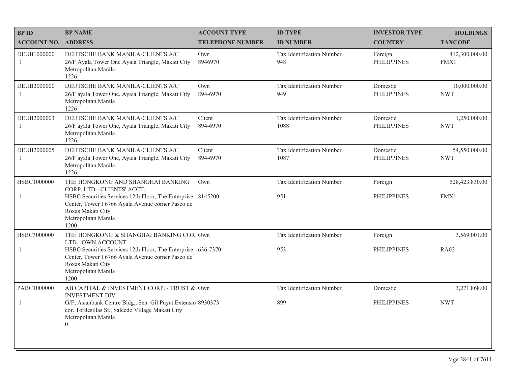| <b>BPID</b>                | <b>BP NAME</b>                                                                                                                                                        | <b>ACCOUNT TYPE</b>     | <b>ID TYPE</b>                    | <b>INVESTOR TYPE</b>           | <b>HOLDINGS</b>             |
|----------------------------|-----------------------------------------------------------------------------------------------------------------------------------------------------------------------|-------------------------|-----------------------------------|--------------------------------|-----------------------------|
| <b>ACCOUNT NO. ADDRESS</b> |                                                                                                                                                                       | <b>TELEPHONE NUMBER</b> | <b>ID NUMBER</b>                  | <b>COUNTRY</b>                 | <b>TAXCODE</b>              |
| DEUB1000000                | DEUTSCHE BANK MANILA-CLIENTS A/C<br>26/F Ayala Tower One Ayala Triangle, Makati City<br>Metropolitan Manila<br>1226                                                   | Own<br>8946970          | Tax Identification Number<br>948  | Foreign<br><b>PHILIPPINES</b>  | 412,300,000.00<br>FMX1      |
| DEUB2000000<br>1           | DEUTSCHE BANK MANILA-CLIENTS A/C<br>26/F ayala Tower One, Ayala Triangle, Makati City<br>Metropolitan Manila<br>1226                                                  | Own<br>894-6970         | Tax Identification Number<br>949  | Domestic<br><b>PHILIPPINES</b> | 10,000,000.00<br><b>NWT</b> |
| DEUB2000003                | DEUTSCHE BANK MANILA-CLIENTS A/C<br>26/F ayala Tower One, Ayala Triangle, Makati City<br>Metropolitan Manila<br>1226                                                  | Client<br>894-6970      | Tax Identification Number<br>1088 | Domestic<br><b>PHILIPPINES</b> | 1,250,000.00<br><b>NWT</b>  |
| DEUB2000005                | DEUTSCHE BANK MANILA-CLIENTS A/C<br>26/F ayala Tower One, Ayala Triangle, Makati City<br>Metropolitan Manila<br>1226                                                  | Client<br>894-6970      | Tax Identification Number<br>1087 | Domestic<br><b>PHILIPPINES</b> | 54,550,000.00<br><b>NWT</b> |
| HSBC1000000                | THE HONGKONG AND SHANGHAI BANKING<br>CORP. LTD. - CLIENTS' ACCT.                                                                                                      | Own                     | Tax Identification Number         | Foreign                        | 528,423,830.00              |
| $\mathbf{1}$               | HSBC Securities Services 12th Floor, The Enterprise 8145200<br>Center, Tower I 6766 Ayala Avenue corner Paseo de<br>Roxas Makati City<br>Metropolitan Manila<br>1200  |                         | 951                               | <b>PHILIPPINES</b>             | FMX1                        |
| HSBC3000000                | THE HONGKONG & SHANGHAI BANKING COR Own<br>LTD. - OWN ACCOUNT                                                                                                         |                         | Tax Identification Number         | Foreign                        | 3,569,001.00                |
| $\mathbf{1}$               | HSBC Securities Services 12th Floor, The Enterprise 636-7370<br>Center, Tower I 6766 Ayala Avenue corner Paseo de<br>Roxas Makati City<br>Metropolitan Manila<br>1200 |                         | 953                               | <b>PHILIPPINES</b>             | <b>RA02</b>                 |
| PABC1000000                | AB CAPITAL & INVESTMENT CORP. - TRUST & Own<br><b>INVESTMENT DIV.</b>                                                                                                 |                         | Tax Identification Number         | Domestic                       | 3,271,868.00                |
| $\mathbf{1}$               | G/F, Asianbank Centre Bldg., Sen. Gil Puyat Extensio 8930373<br>cor. Tordesillas St., Salcedo Village Makati City<br>Metropolitan Manila<br>$\boldsymbol{0}$          |                         | 899                               | <b>PHILIPPINES</b>             | <b>NWT</b>                  |